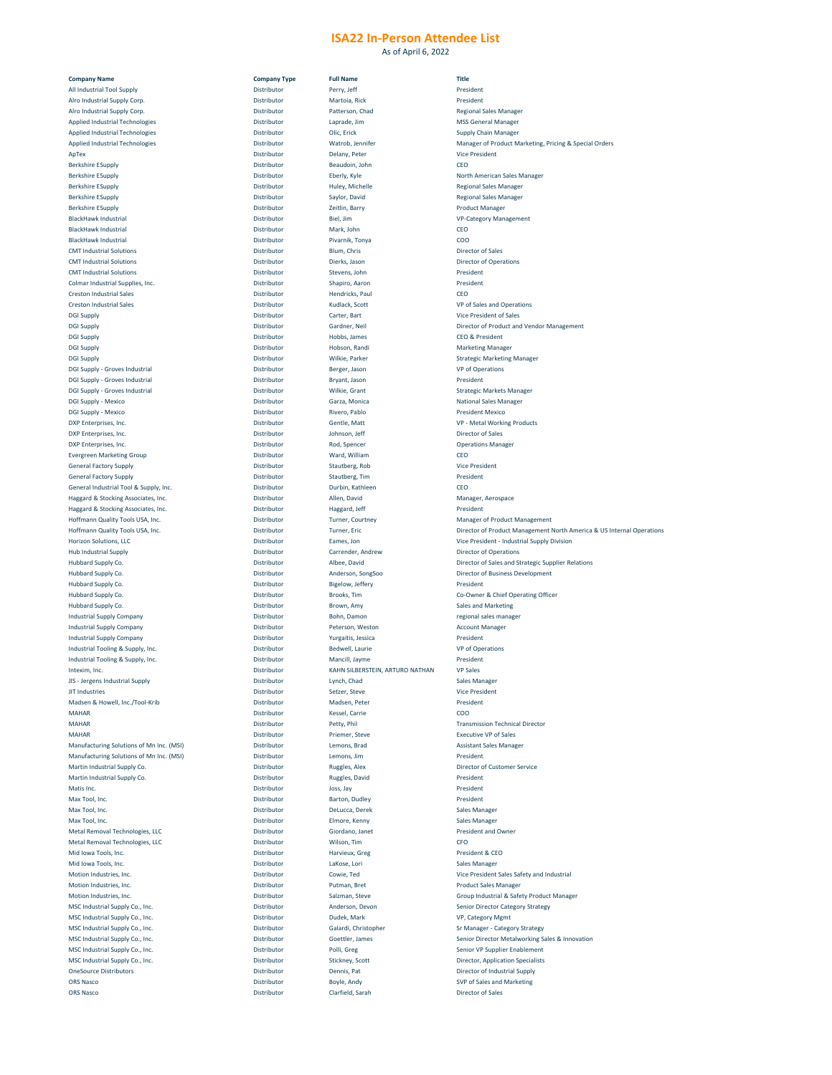As of April 6, 2022

| <b>Company Name</b>                             | <b>Company Type</b> | <b>Full Name</b>                | <b>Title</b>                                                          |
|-------------------------------------------------|---------------------|---------------------------------|-----------------------------------------------------------------------|
| <b>All Industrial Tool Supply</b>               | Distributor         | Perry, Jeff                     | President                                                             |
|                                                 |                     |                                 |                                                                       |
| Alro Industrial Supply Corp.                    | Distributor         | Martoia, Rick                   | President                                                             |
| Alro Industrial Supply Corp.                    | Distributor         | Patterson, Chad                 | <b>Regional Sales Manager</b>                                         |
| <b>Applied Industrial Technologies</b>          | Distributor         | Laprade, Jim                    | <b>MSS General Manager</b>                                            |
|                                                 |                     |                                 |                                                                       |
| <b>Applied Industrial Technologies</b>          | Distributor         | Olic, Erick                     | <b>Supply Chain Manager</b>                                           |
| <b>Applied Industrial Technologies</b>          | Distributor         | Watrob, Jennifer                | <b>Manager of Product Marketing, Pricing &amp; Special Orders</b>     |
|                                                 |                     |                                 |                                                                       |
| ApTex                                           | Distributor         | Delany, Peter                   | <b>Vice President</b>                                                 |
| <b>Berkshire ESupply</b>                        | Distributor         | Beaudoin, John                  | <b>CEO</b>                                                            |
| <b>Berkshire ESupply</b>                        | Distributor         | Eberly, Kyle                    | <b>North American Sales Manager</b>                                   |
|                                                 |                     |                                 |                                                                       |
| <b>Berkshire ESupply</b>                        | Distributor         | Huley, Michelle                 | <b>Regional Sales Manager</b>                                         |
| <b>Berkshire ESupply</b>                        | Distributor         | Saylor, David                   | <b>Regional Sales Manager</b>                                         |
|                                                 |                     |                                 |                                                                       |
| <b>Berkshire ESupply</b>                        | Distributor         | Zeitlin, Barry                  | <b>Product Manager</b>                                                |
| <b>BlackHawk Industrial</b>                     | Distributor         | Biel, Jim                       | <b>VP-Category Management</b>                                         |
|                                                 |                     |                                 |                                                                       |
| <b>BlackHawk Industrial</b>                     | Distributor         | Mark, John                      | CEO                                                                   |
| <b>BlackHawk Industrial</b>                     | Distributor         | Pivarnik, Tonya                 | COO                                                                   |
|                                                 |                     |                                 |                                                                       |
| <b>CMT Industrial Solutions</b>                 | Distributor         | Blum, Chris                     | <b>Director of Sales</b>                                              |
| <b>CMT Industrial Solutions</b>                 | Distributor         | Dierks, Jason                   | <b>Director of Operations</b>                                         |
|                                                 |                     |                                 |                                                                       |
| <b>CMT Industrial Solutions</b>                 | Distributor         | Stevens, John                   | President                                                             |
| <b>Colmar Industrial Supplies, Inc.</b>         | Distributor         | Shapiro, Aaron                  | President                                                             |
|                                                 |                     |                                 |                                                                       |
| <b>Creston Industrial Sales</b>                 | Distributor         | Hendricks, Paul                 | <b>CEO</b>                                                            |
| <b>Creston Industrial Sales</b>                 | Distributor         | Kudlack, Scott                  | <b>VP of Sales and Operations</b>                                     |
|                                                 |                     |                                 |                                                                       |
| <b>DGI Supply</b>                               | Distributor         | Carter, Bart                    | <b>Vice President of Sales</b>                                        |
| <b>DGI Supply</b>                               | Distributor         | <b>Gardner, Neil</b>            | Director of Product and Vendor Management                             |
|                                                 |                     |                                 |                                                                       |
| <b>DGI Supply</b>                               | Distributor         | Hobbs, James                    | <b>CEO &amp; President</b>                                            |
| <b>DGI Supply</b>                               | Distributor         | Hobson, Randi                   | <b>Marketing Manager</b>                                              |
|                                                 |                     |                                 |                                                                       |
| <b>DGI Supply</b>                               | Distributor         | Wilkie, Parker                  | <b>Strategic Marketing Manager</b>                                    |
| <b>DGI Supply - Groves Industrial</b>           | Distributor         | Berger, Jason                   | <b>VP of Operations</b>                                               |
| <b>DGI Supply - Groves Industrial</b>           | Distributor         | Bryant, Jason                   | President                                                             |
|                                                 |                     |                                 |                                                                       |
| <b>DGI Supply - Groves Industrial</b>           | Distributor         | Wilkie, Grant                   | <b>Strategic Markets Manager</b>                                      |
| <b>DGI Supply - Mexico</b>                      | Distributor         | Garza, Monica                   | <b>National Sales Manager</b>                                         |
|                                                 |                     |                                 |                                                                       |
| <b>DGI Supply - Mexico</b>                      | Distributor         | Rivero, Pablo                   | <b>President Mexico</b>                                               |
| DXP Enterprises, Inc.                           | Distributor         | Gentle, Matt                    | <b>VP - Metal Working Products</b>                                    |
|                                                 |                     |                                 |                                                                       |
| DXP Enterprises, Inc.                           | Distributor         | Johnson, Jeff                   | <b>Director of Sales</b>                                              |
| DXP Enterprises, Inc.                           | Distributor         | Rod, Spencer                    | <b>Operations Manager</b>                                             |
|                                                 |                     |                                 |                                                                       |
| <b>Evergreen Marketing Group</b>                | Distributor         | Ward, William                   | <b>CEO</b>                                                            |
| <b>General Factory Supply</b>                   | Distributor         | Stautberg, Rob                  | <b>Vice President</b>                                                 |
|                                                 |                     |                                 |                                                                       |
| <b>General Factory Supply</b>                   | Distributor         | Stautberg, Tim                  | President                                                             |
| General Industrial Tool & Supply, Inc.          | Distributor         | Durbin, Kathleen                | <b>CEO</b>                                                            |
|                                                 |                     |                                 |                                                                       |
| Haggard & Stocking Associates, Inc.             | Distributor         | Allen, David                    | Manager, Aerospace                                                    |
| Haggard & Stocking Associates, Inc.             | Distributor         | Haggard, Jeff                   | President                                                             |
|                                                 |                     |                                 |                                                                       |
| Hoffmann Quality Tools USA, Inc.                | Distributor         | <b>Turner, Courtney</b>         | <b>Manager of Product Management</b>                                  |
| Hoffmann Quality Tools USA, Inc.                | Distributor         | <b>Turner, Eric</b>             | Director of Product Management North America & US Internal Operations |
|                                                 |                     |                                 |                                                                       |
| Horizon Solutions, LLC                          | Distributor         | Eames, Jon                      | <b>Vice President - Industrial Supply Division</b>                    |
| <b>Hub Industrial Supply</b>                    | Distributor         | Carrender, Andrew               | <b>Director of Operations</b>                                         |
|                                                 |                     |                                 | Director of Sales and Strategic Supplier Relations                    |
|                                                 |                     |                                 |                                                                       |
| <b>Hubbard Supply Co.</b>                       | Distributor         | Albee, David                    |                                                                       |
| <b>Hubbard Supply Co.</b>                       | Distributor         | Anderson, SongSoo               | <b>Director of Business Development</b>                               |
|                                                 |                     |                                 |                                                                       |
| Hubbard Supply Co.                              | Distributor         | Bigelow, Jeffery                | President                                                             |
| <b>Hubbard Supply Co.</b>                       | Distributor         | Brooks, Tim                     | Co-Owner & Chief Operating Officer                                    |
|                                                 |                     |                                 |                                                                       |
| <b>Hubbard Supply Co.</b>                       | Distributor         | Brown, Amy                      | <b>Sales and Marketing</b>                                            |
| <b>Industrial Supply Company</b>                | Distributor         | Bohn, Damon                     | regional sales manager                                                |
|                                                 |                     |                                 |                                                                       |
| <b>Industrial Supply Company</b>                | Distributor         | Peterson, Weston                | <b>Account Manager</b>                                                |
| <b>Industrial Supply Company</b>                | Distributor         | Yurgaitis, Jessica              | President                                                             |
|                                                 |                     |                                 |                                                                       |
| Industrial Tooling & Supply, Inc.               | Distributor         | Bedwell, Laurie                 | <b>VP of Operations</b>                                               |
| Industrial Tooling & Supply, Inc.               | Distributor         | Mancill, Jayme                  | President                                                             |
|                                                 |                     |                                 |                                                                       |
| Intexim, Inc.                                   | Distributor         | KAHN SILBERSTEIN, ARTURO NATHAN | <b>VP Sales</b>                                                       |
| JIS - Jergens Industrial Supply                 | Distributor         | Lynch, Chad                     | <b>Sales Manager</b>                                                  |
|                                                 |                     |                                 |                                                                       |
| JIT Industries                                  | Distributor         | Setzer, Steve                   | <b>Vice President</b>                                                 |
| Madsen & Howell, Inc./Tool-Krib                 | Distributor         | Madsen, Peter                   | President                                                             |
|                                                 |                     |                                 |                                                                       |
| <b>MAHAR</b>                                    | Distributor         | <b>Kessel, Carrie</b>           | COO                                                                   |
| <b>MAHAR</b>                                    | Distributor         | Petty, Phil                     | <b>Transmission Technical Director</b>                                |
|                                                 |                     |                                 |                                                                       |
| <b>MAHAR</b>                                    | Distributor         | <b>Priemer, Steve</b>           | <b>Executive VP of Sales</b>                                          |
| <b>Manufacturing Solutions of Mn Inc. (MSI)</b> | Distributor         | Lemons, Brad                    | <b>Assistant Sales Manager</b>                                        |
|                                                 |                     |                                 |                                                                       |
| Manufacturing Solutions of Mn Inc. (MSI)        | Distributor         | Lemons, Jim                     | President                                                             |
| <b>Martin Industrial Supply Co.</b>             | Distributor         | <b>Ruggles, Alex</b>            | <b>Director of Customer Service</b>                                   |
|                                                 |                     |                                 |                                                                       |
| <b>Martin Industrial Supply Co.</b>             | Distributor         | <b>Ruggles, David</b>           | President                                                             |
| Matis Inc.                                      | Distributor         | Joss, Jay                       | President                                                             |
|                                                 |                     |                                 |                                                                       |
| Max Tool, Inc.                                  | Distributor         | <b>Barton, Dudley</b>           | President                                                             |
| Max Tool, Inc.                                  | Distributor         | DeLucca, Derek                  | <b>Sales Manager</b>                                                  |
|                                                 |                     |                                 |                                                                       |
| Max Tool, Inc.                                  | Distributor         | Elmore, Kenny                   | <b>Sales Manager</b>                                                  |
| <b>Metal Removal Technologies, LLC</b>          | Distributor         | Giordano, Janet                 | <b>President and Owner</b>                                            |
|                                                 |                     |                                 |                                                                       |
| <b>Metal Removal Technologies, LLC</b>          | Distributor         | Wilson, Tim                     | <b>CFO</b>                                                            |
| Mid Iowa Tools, Inc.                            | Distributor         | Harvieux, Greg                  | President & CEO                                                       |
|                                                 |                     |                                 |                                                                       |
| Mid Iowa Tools, Inc.                            | Distributor         | LaKose, Lori                    | <b>Sales Manager</b>                                                  |
| Motion Industries, Inc.                         | Distributor         | Cowie, Ted                      | Vice President Sales Safety and Industrial                            |
|                                                 |                     |                                 |                                                                       |
| Motion Industries, Inc.                         | Distributor         | Putman, Bret                    | <b>Product Sales Manager</b>                                          |
| Motion Industries, Inc.                         | Distributor         | Salzman, Steve                  | <b>Group Industrial &amp; Safety Product Manager</b>                  |
|                                                 |                     |                                 |                                                                       |
| MSC Industrial Supply Co., Inc.                 | Distributor         | Anderson, Devon                 | <b>Senior Director Category Strategy</b>                              |
| MSC Industrial Supply Co., Inc.                 | Distributor         | Dudek, Mark                     | VP, Category Mgmt                                                     |
|                                                 |                     |                                 |                                                                       |
| MSC Industrial Supply Co., Inc.                 | Distributor         | Galardi, Christopher            | <b>Sr Manager - Category Strategy</b>                                 |
| MSC Industrial Supply Co., Inc.                 | Distributor         | Goettler, James                 | <b>Senior Director Metalworking Sales &amp; Innovation</b>            |
|                                                 |                     |                                 |                                                                       |
| MSC Industrial Supply Co., Inc.                 | Distributor         | Polli, Greg                     | <b>Senior VP Supplier Enablement</b>                                  |
| MSC Industrial Supply Co., Inc.                 | Distributor         | <b>Stickney, Scott</b>          | <b>Director, Application Specialists</b>                              |
| <b>OneSource Distributors</b>                   | Distributor         |                                 |                                                                       |
|                                                 |                     | Dennis, Pat                     | Director of Industrial Supply                                         |
| <b>ORS Nasco</b>                                | Distributor         | Boyle, Andy                     | <b>SVP of Sales and Marketing</b>                                     |
| <b>ORS Nasco</b>                                | Distributor         | Clarfield, Sarah                | <b>Director of Sales</b>                                              |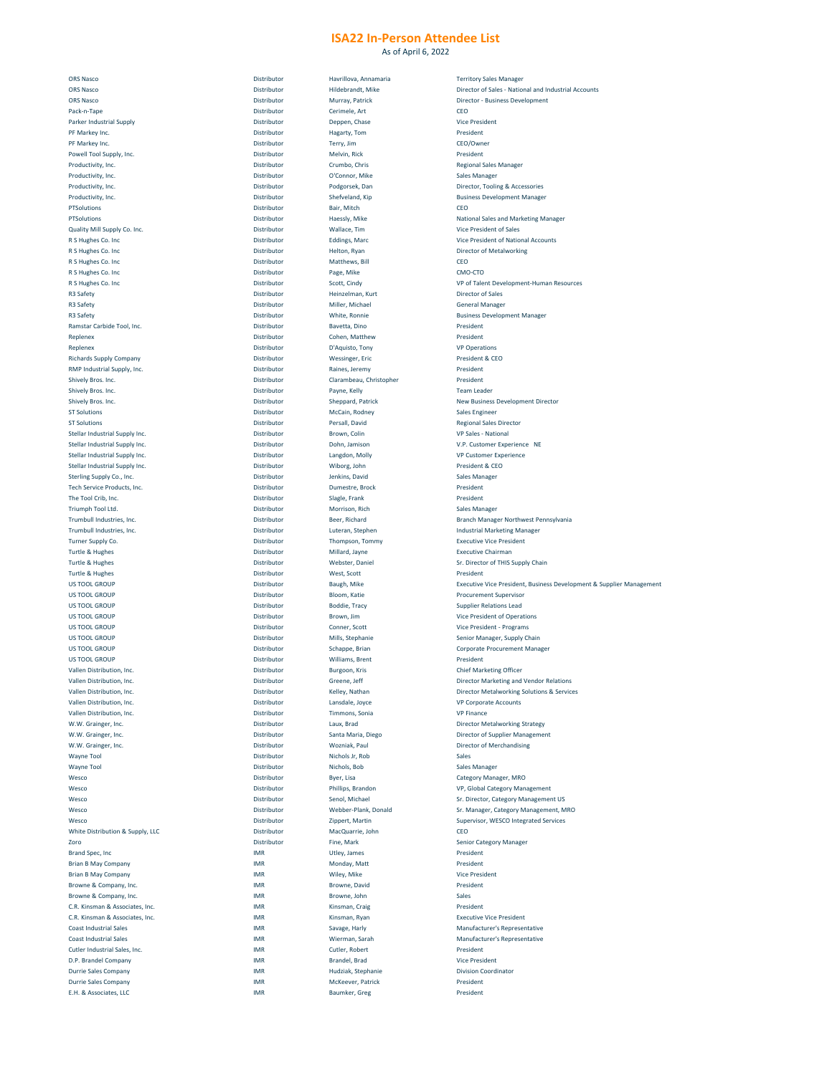As of April 6, 2022

|                                             |             |                          | Director of Sales - National and Industrial Accounts                 |
|---------------------------------------------|-------------|--------------------------|----------------------------------------------------------------------|
| <b>ORS Nasco</b>                            | Distributor | Hildebrandt, Mike        |                                                                      |
|                                             |             |                          |                                                                      |
| <b>ORS Nasco</b>                            | Distributor | Murray, Patrick          | <b>Director - Business Development</b>                               |
| Pack-n-Tape                                 | Distributor | Cerimele, Art            | CEO                                                                  |
| <b>Parker Industrial Supply</b>             | Distributor | Deppen, Chase            | <b>Vice President</b>                                                |
|                                             |             |                          |                                                                      |
| PF Markey Inc.                              | Distributor | Hagarty, Tom             | President                                                            |
| PF Markey Inc.                              | Distributor | Terry, Jim               | CEO/Owner                                                            |
| Powell Tool Supply, Inc.                    | Distributor | Melvin, Rick             | President                                                            |
|                                             |             |                          |                                                                      |
| Productivity, Inc.                          | Distributor | Crumbo, Chris            | <b>Regional Sales Manager</b>                                        |
| Productivity, Inc.                          | Distributor | O'Connor, Mike           | <b>Sales Manager</b>                                                 |
|                                             |             |                          |                                                                      |
| Productivity, Inc.                          | Distributor | Podgorsek, Dan           | Director, Tooling & Accessories                                      |
| Productivity, Inc.                          | Distributor | Shefveland, Kip          | <b>Business Development Manager</b>                                  |
|                                             |             |                          |                                                                      |
| PTSolutions                                 | Distributor | Bair, Mitch              | CEO                                                                  |
| PTSolutions                                 | Distributor | Haessly, Mike            | <b>National Sales and Marketing Manager</b>                          |
|                                             |             |                          |                                                                      |
| <b>Quality Mill Supply Co. Inc.</b>         | Distributor | Wallace, Tim             | <b>Vice President of Sales</b>                                       |
| R S Hughes Co. Inc                          | Distributor | <b>Eddings, Marc</b>     | <b>Vice President of National Accounts</b>                           |
|                                             |             |                          |                                                                      |
| R S Hughes Co. Inc                          | Distributor | Helton, Ryan             | Director of Metalworking                                             |
| R S Hughes Co. Inc                          | Distributor | Matthews, Bill           | CEO                                                                  |
| R S Hughes Co. Inc                          | Distributor | Page, Mike               | CMO-CTO                                                              |
|                                             |             |                          |                                                                      |
| R S Hughes Co. Inc                          | Distributor | Scott, Cindy             | VP of Talent Development-Human Resources                             |
| <b>R3 Safety</b>                            | Distributor | Heinzelman, Kurt         | <b>Director of Sales</b>                                             |
|                                             |             |                          |                                                                      |
| <b>R3 Safety</b>                            | Distributor | Miller, Michael          | <b>General Manager</b>                                               |
| <b>R3 Safety</b>                            | Distributor | White, Ronnie            | <b>Business Development Manager</b>                                  |
|                                             |             |                          |                                                                      |
| Ramstar Carbide Tool, Inc.                  | Distributor | Bavetta, Dino            | President                                                            |
| Replenex                                    | Distributor | Cohen, Matthew           | President                                                            |
|                                             |             |                          |                                                                      |
| Replenex                                    | Distributor | D'Aquisto, Tony          | <b>VP Operations</b>                                                 |
| <b>Richards Supply Company</b>              | Distributor | <b>Wessinger, Eric</b>   | President & CEO                                                      |
|                                             |             |                          |                                                                      |
| <b>RMP Industrial Supply, Inc.</b>          | Distributor | Raines, Jeremy           | President                                                            |
| Shively Bros. Inc.                          | Distributor | Clarambeau, Christopher  | President                                                            |
| <b>Shively Bros. Inc.</b>                   | Distributor |                          | <b>Team Leader</b>                                                   |
|                                             |             | Payne, Kelly             |                                                                      |
| <b>Shively Bros. Inc.</b>                   | Distributor | Sheppard, Patrick        | <b>New Business Development Director</b>                             |
|                                             |             |                          |                                                                      |
| <b>ST Solutions</b>                         | Distributor | McCain, Rodney           | <b>Sales Engineer</b>                                                |
| <b>ST Solutions</b>                         | Distributor | Persall, David           | <b>Regional Sales Director</b>                                       |
|                                             |             |                          |                                                                      |
| Stellar Industrial Supply Inc.              | Distributor | Brown, Colin             | <b>VP Sales - National</b>                                           |
| <b>Stellar Industrial Supply Inc.</b>       | Distributor | Dohn, Jamison            | V.P. Customer Experience NE                                          |
| Stellar Industrial Supply Inc.              | Distributor | Langdon, Molly           | <b>VP Customer Experience</b>                                        |
|                                             |             |                          |                                                                      |
| <b>Stellar Industrial Supply Inc.</b>       | Distributor | Wiborg, John             | President & CEO                                                      |
| Sterling Supply Co., Inc.                   | Distributor | Jenkins, David           | <b>Sales Manager</b>                                                 |
|                                             |             |                          |                                                                      |
| Tech Service Products, Inc.                 | Distributor | Dumestre, Brock          | President                                                            |
| The Tool Crib, Inc.                         | Distributor | Slagle, Frank            | President                                                            |
|                                             |             |                          |                                                                      |
| Triumph Tool Ltd.                           | Distributor | Morrison, Rich           | <b>Sales Manager</b>                                                 |
| Trumbull Industries, Inc.                   | Distributor | Beer, Richard            | <b>Branch Manager Northwest Pennsylvania</b>                         |
|                                             |             |                          |                                                                      |
| Trumbull Industries, Inc.                   | Distributor | Luteran, Stephen         | <b>Industrial Marketing Manager</b>                                  |
| <b>Turner Supply Co.</b>                    | Distributor | Thompson, Tommy          | <b>Executive Vice President</b>                                      |
|                                             |             |                          |                                                                      |
| <b>Turtle &amp; Hughes</b>                  | Distributor | Millard, Jayne           | <b>Executive Chairman</b>                                            |
| <b>Turtle &amp; Hughes</b>                  | Distributor | <b>Webster, Daniel</b>   | Sr. Director of THIS Supply Chain                                    |
| <b>Turtle &amp; Hughes</b>                  | Distributor |                          | President                                                            |
|                                             |             | West, Scott              |                                                                      |
| US TOOL GROUP                               | Distributor | Baugh, Mike              | Executive Vice President, Business Development & Supplier Management |
| US TOOL GROUP                               | Distributor | Bloom, Katie             | <b>Procurement Supervisor</b>                                        |
|                                             |             |                          |                                                                      |
| US TOOL GROUP                               | Distributor | <b>Boddie, Tracy</b>     | <b>Supplier Relations Lead</b>                                       |
| US TOOL GROUP                               | Distributor | Brown, Jim               | <b>Vice President of Operations</b>                                  |
|                                             |             |                          |                                                                      |
| US TOOL GROUP                               | Distributor | <b>Conner, Scott</b>     | Vice President - Programs                                            |
|                                             |             | Mills, Stephanie         | <b>Senior Manager, Supply Chain</b>                                  |
|                                             |             |                          |                                                                      |
| US TOOL GROUP                               | Distributor |                          |                                                                      |
| US TOOL GROUP                               | Distributor | Schappe, Brian           | <b>Corporate Procurement Manager</b>                                 |
|                                             |             |                          |                                                                      |
| US TOOL GROUP                               | Distributor | Williams, Brent          | President                                                            |
| <b>Vallen Distribution, Inc.</b>            | Distributor | Burgoon, Kris            | <b>Chief Marketing Officer</b>                                       |
|                                             |             |                          |                                                                      |
| <b>Vallen Distribution, Inc.</b>            | Distributor | Greene, Jeff             | <b>Director Marketing and Vendor Relations</b>                       |
| <b>Vallen Distribution, Inc.</b>            | Distributor | Kelley, Nathan           | <b>Director Metalworking Solutions &amp; Services</b>                |
|                                             |             |                          |                                                                      |
| <b>Vallen Distribution, Inc.</b>            | Distributor | Lansdale, Joyce          | <b>VP Corporate Accounts</b>                                         |
| Vallen Distribution, Inc.                   | Distributor | Timmons, Sonia           | <b>VP Finance</b>                                                    |
|                                             | Distributor |                          |                                                                      |
| W.W. Grainger, Inc.                         |             | Laux, Brad               | <b>Director Metalworking Strategy</b>                                |
| W.W. Grainger, Inc.                         | Distributor | Santa Maria, Diego       | <b>Director of Supplier Management</b>                               |
| W.W. Grainger, Inc.                         | Distributor | Wozniak, Paul            | <b>Director of Merchandising</b>                                     |
|                                             |             |                          |                                                                      |
| <b>Wayne Tool</b>                           | Distributor | Nichols Jr, Rob          | Sales                                                                |
| <b>Wayne Tool</b>                           | Distributor | Nichols, Bob             | <b>Sales Manager</b>                                                 |
|                                             |             |                          |                                                                      |
| Wesco                                       | Distributor | Byer, Lisa               | <b>Category Manager, MRO</b>                                         |
| Wesco                                       | Distributor | <b>Phillips, Brandon</b> | VP, Global Category Management                                       |
|                                             |             |                          |                                                                      |
| Wesco                                       | Distributor | Senol, Michael           | Sr. Director, Category Management US                                 |
| Wesco                                       | Distributor | Webber-Plank, Donald     | Sr. Manager, Category Management, MRO                                |
|                                             |             |                          |                                                                      |
| Wesco                                       | Distributor | Zippert, Martin          | <b>Supervisor, WESCO Integrated Services</b>                         |
| <b>White Distribution &amp; Supply, LLC</b> | Distributor | MacQuarrie, John         | CEO                                                                  |
|                                             |             |                          |                                                                      |
| Zoro                                        | Distributor | Fine, Mark               | <b>Senior Category Manager</b>                                       |
| <b>Brand Spec, Inc.</b>                     | <b>IMR</b>  | Utley, James             | President                                                            |
|                                             |             |                          |                                                                      |
| <b>Brian B May Company</b>                  | <b>IMR</b>  | Monday, Matt             | President                                                            |
| <b>Brian B May Company</b>                  | <b>IMR</b>  | Wiley, Mike              | <b>Vice President</b>                                                |
|                                             |             |                          |                                                                      |
| Browne & Company, Inc.                      | <b>IMR</b>  | Browne, David            | President                                                            |
| Browne & Company, Inc.                      | <b>IMR</b>  | Browne, John             | Sales                                                                |
|                                             |             |                          |                                                                      |
| C.R. Kinsman & Associates, Inc.             | <b>IMR</b>  | Kinsman, Craig           | President                                                            |
| C.R. Kinsman & Associates, Inc.             | <b>IMR</b>  | Kinsman, Ryan            | <b>Executive Vice President</b>                                      |
|                                             |             |                          |                                                                      |
| <b>Coast Industrial Sales</b>               | <b>IMR</b>  | Savage, Harly            | <b>Manufacturer's Representative</b>                                 |
| <b>Coast Industrial Sales</b>               | <b>IMR</b>  | Wierman, Sarah           | <b>Manufacturer's Representative</b>                                 |
|                                             |             |                          |                                                                      |
| Cutler Industrial Sales, Inc.               | <b>IMR</b>  | Cutler, Robert           | President                                                            |
| D.P. Brandel Company                        | <b>IMR</b>  | <b>Brandel, Brad</b>     | <b>Vice President</b>                                                |
|                                             | <b>IMR</b>  | Hudziak, Stephanie       | <b>Division Coordinator</b>                                          |
| <b>Durrie Sales Company</b>                 |             |                          |                                                                      |
| <b>Durrie Sales Company</b>                 | <b>IMR</b>  | McKeever, Patrick        | President                                                            |
| E.H. & Associates, LLC                      | <b>IMR</b>  | <b>Baumker, Greg</b>     | President                                                            |

| R S Hughes Co. Inc<br>Distributor<br>VP of Talent Development-Human Resources<br>Scott, Cindy<br><b>R3 Safety</b><br><b>Director of Sales</b><br>Distributor<br>Heinzelman, Kurt<br><b>R3 Safety</b><br>Distributor<br>Miller, Michael<br><b>General Manager</b><br><b>R3 Safety</b><br>Distributor<br>White, Ronnie<br><b>Business Development Manager</b><br>Distributor<br>President<br>Bavetta, Dino<br>President<br>Distributor<br>Cohen, Matthew<br>Replenex<br>Replenex<br>Distributor<br>D'Aquisto, Tony<br><b>VP Operations</b><br>Distributor<br>President & CEO<br><b>Wessinger, Eric</b><br><b>Richards Supply Company</b><br>President<br>Distributor<br>Raines, Jeremy<br>Distributor<br>President<br><b>Shively Bros. Inc.</b><br>Clarambeau, Christopher<br>Shively Bros. Inc.<br>Distributor<br>Payne, Kelly<br><b>Team Leader</b><br><b>Shively Bros. Inc.</b><br>Distributor<br><b>Sheppard, Patrick</b><br><b>New Business Development Director</b><br><b>ST Solutions</b><br>Distributor<br><b>Sales Engineer</b><br>McCain, Rodney<br><b>ST Solutions</b><br>Distributor<br>Persall, David<br><b>Regional Sales Director</b><br>Distributor<br><b>VP Sales - National</b><br>Stellar Industrial Supply Inc.<br>Brown, Colin<br><b>Stellar Industrial Supply Inc.</b><br>Distributor<br>Dohn, Jamison<br>V.P. Customer Experience NE<br>Distributor<br>Langdon, Molly<br><b>VP Customer Experience</b><br><b>Stellar Industrial Supply Inc.</b><br>Distributor<br>President & CEO<br>Wiborg, John<br>Distributor<br><b>Sterling Supply Co., Inc.</b><br>Jenkins, David<br><b>Sales Manager</b><br>Tech Service Products, Inc.<br>President<br>Distributor<br>Dumestre, Brock<br>President<br>The Tool Crib, Inc.<br>Distributor<br>Slagle, Frank<br>Triumph Tool Ltd.<br>Distributor<br>Morrison, Rich<br><b>Sales Manager</b><br>Trumbull Industries, Inc.<br><b>Branch Manager Northwest Pennsylvania</b><br>Distributor<br>Beer, Richard<br>Trumbull Industries, Inc.<br>Distributor<br><b>Industrial Marketing Manager</b><br>Luteran, Stephen<br><b>Executive Vice President</b><br><b>Turner Supply Co.</b><br>Distributor<br>Thompson, Tommy<br><b>Turtle &amp; Hughes</b><br>Distributor<br><b>Executive Chairman</b><br>Millard, Jayne<br><b>Turtle &amp; Hughes</b><br>Distributor<br>Sr. Director of THIS Supply Chain<br><b>Webster, Daniel</b><br><b>Turtle &amp; Hughes</b><br>Distributor<br>President<br>West, Scott<br>Distributor<br>Baugh, Mike<br>US TOOL GROUP<br>US TOOL GROUP<br>Distributor<br>Bloom, Katie<br><b>Procurement Supervisor</b><br>Distributor<br><b>Boddie, Tracy</b><br><b>Supplier Relations Lead</b><br>US TOOL GROUP<br>US TOOL GROUP<br>Distributor<br><b>Vice President of Operations</b><br>Brown, Jim<br>Distributor<br>US TOOL GROUP<br>Vice President - Programs<br><b>Conner, Scott</b><br>Mills, Stephanie<br>Senior Manager, Supply Chain<br>Distributor<br>US TOOL GROUP<br>Distributor<br>US TOOL GROUP<br>Schappe, Brian<br><b>Corporate Procurement Manager</b><br>Distributor<br>President<br>US TOOL GROUP<br><b>Williams, Brent</b><br>Vallen Distribution, Inc.<br>Distributor<br><b>Chief Marketing Officer</b><br>Burgoon, Kris<br><b>Vallen Distribution, Inc.</b><br>Distributor<br><b>Director Marketing and Vendor Relations</b><br>Greene, Jeff<br><b>Director Metalworking Solutions &amp; Services</b><br><b>Vallen Distribution, Inc.</b><br>Kelley, Nathan<br>Distributor<br>Distributor<br>Vallen Distribution, Inc.<br>Lansdale, Joyce<br><b>VP Corporate Accounts</b><br><b>Vallen Distribution, Inc.</b><br>Distributor<br>Timmons, Sonia<br><b>VP Finance</b><br>Distributor<br>W.W. Grainger, Inc.<br>Laux, Brad<br><b>Director Metalworking Strategy</b><br>Distributor<br>W.W. Grainger, Inc.<br><b>Director of Supplier Management</b><br>Santa Maria, Diego<br>Wozniak, Paul<br><b>Director of Merchandising</b><br>Distributor<br>W.W. Grainger, Inc.<br>Distributor<br>Nichols Jr, Rob<br><b>Wayne Tool</b><br>Sales<br><b>Wayne Tool</b><br>Distributor<br>Nichols, Bob<br><b>Sales Manager</b><br>Distributor<br>Wesco<br>Byer, Lisa<br><b>Category Manager, MRO</b><br>Wesco<br>Distributor<br>Phillips, Brandon<br>VP, Global Category Management<br>Senol, Michael<br>Distributor<br>Wesco<br>Sr. Director, Category Management US<br>Distributor<br>Webber-Plank, Donald<br>Wesco<br>Sr. Manager, Category Management, MRO<br>Distributor<br>Wesco<br><b>Supervisor, WESCO Integrated Services</b><br>Zippert, Martin<br>Distributor<br>White Distribution & Supply, LLC<br>MacQuarrie, John<br><b>CEO</b><br>Distributor<br>Fine, Mark<br><b>Senior Category Manager</b><br>Zoro<br><b>IMR</b><br>President<br><b>Brand Spec, Inc.</b><br>Utley, James<br><b>IMR</b><br>President<br>Monday, Matt<br><b>Brian B May Company</b><br><b>IMR</b><br><b>Vice President</b><br><b>Brian B May Company</b><br>Wiley, Mike<br>IMR<br>President<br>Browne & Company, Inc.<br>Browne, David<br>Browne & Company, Inc.<br><b>IMR</b><br>Sales<br>Browne, John<br><b>IMR</b><br>C.R. Kinsman & Associates, Inc.<br>President<br>Kinsman, Craig<br>C.R. Kinsman & Associates, Inc.<br>IMR<br><b>Executive Vice President</b><br>Kinsman, Ryan<br><b>Coast Industrial Sales</b><br><b>IMR</b><br><b>Manufacturer's Representative</b><br>Savage, Harly<br><b>Coast Industrial Sales</b><br>IMR<br><b>Manufacturer's Representative</b><br>Wierman, Sarah<br><b>IMR</b><br>Cutler Industrial Sales, Inc.<br>Cutler, Robert<br>President<br><b>IMR</b><br><b>Brandel, Brad</b><br><b>Vice President</b><br>D.P. Brandel Company<br>IMR<br>Hudziak, Stephanie<br><b>Durrie Sales Company</b><br><b>Division Coordinator</b><br>McKeever, Patrick<br><b>IMR</b><br>President<br>E.H. & Associates, LLC<br>President<br><b>IMR</b><br><b>Baumker, Greg</b> | R S Hughes Co. Inc                 | Distributor | Page, Mike | CMO-CTO                                                         |
|--------------------------------------------------------------------------------------------------------------------------------------------------------------------------------------------------------------------------------------------------------------------------------------------------------------------------------------------------------------------------------------------------------------------------------------------------------------------------------------------------------------------------------------------------------------------------------------------------------------------------------------------------------------------------------------------------------------------------------------------------------------------------------------------------------------------------------------------------------------------------------------------------------------------------------------------------------------------------------------------------------------------------------------------------------------------------------------------------------------------------------------------------------------------------------------------------------------------------------------------------------------------------------------------------------------------------------------------------------------------------------------------------------------------------------------------------------------------------------------------------------------------------------------------------------------------------------------------------------------------------------------------------------------------------------------------------------------------------------------------------------------------------------------------------------------------------------------------------------------------------------------------------------------------------------------------------------------------------------------------------------------------------------------------------------------------------------------------------------------------------------------------------------------------------------------------------------------------------------------------------------------------------------------------------------------------------------------------------------------------------------------------------------------------------------------------------------------------------------------------------------------------------------------------------------------------------------------------------------------------------------------------------------------------------------------------------------------------------------------------------------------------------------------------------------------------------------------------------------------------------------------------------------------------------------------------------------------------------------------------------------------------------------------------------------------------------------------------------------------------------------------------------------------------------------------------------------------------------------------------------------------------------------------------------------------------------------------------------------------------------------------------------------------------------------------------------------------------------------------------------------------------------------------------------------------------------------------------------------------------------------------------------------------------------------------------------------------------------------------------------------------------------------------------------------------------------------------------------------------------------------------------------------------------------------------------------------------------------------------------------------------------------------------------------------------------------------------------------------------------------------------------------------------------------------------------------------------------------------------------------------------------------------------------------------------------------------------------------------------------------------------------------------------------------------------------------------------------------------------------------------------------------------------------------------------------------------------------------------------------------------------------------------------------------------------------------------------------------------------------------------------------------------------------------------------------------------------------------------------------------------------------------------------------------------------------------------------------------------------------------------------------------------------------------------------------------------------------------------------------------------------------------------------------------------------------------------------------------------------------------------------------------------------------------------------------------------------------------------------------------------------------------------------------------------------------------------------------------------------------------------------------------------------------------------------------------------------------------------------------------------------------------------------------------------------------------------------------------------------------------------------------------------------------------------------------------------------------------------|------------------------------------|-------------|------------|-----------------------------------------------------------------|
|                                                                                                                                                                                                                                                                                                                                                                                                                                                                                                                                                                                                                                                                                                                                                                                                                                                                                                                                                                                                                                                                                                                                                                                                                                                                                                                                                                                                                                                                                                                                                                                                                                                                                                                                                                                                                                                                                                                                                                                                                                                                                                                                                                                                                                                                                                                                                                                                                                                                                                                                                                                                                                                                                                                                                                                                                                                                                                                                                                                                                                                                                                                                                                                                                                                                                                                                                                                                                                                                                                                                                                                                                                                                                                                                                                                                                                                                                                                                                                                                                                                                                                                                                                                                                                                                                                                                                                                                                                                                                                                                                                                                                                                                                                                                                                                                                                                                                                                                                                                                                                                                                                                                                                                                                                                                                                                                                                                                                                                                                                                                                                                                                                                                                                                                                                                                                                                        |                                    |             |            |                                                                 |
|                                                                                                                                                                                                                                                                                                                                                                                                                                                                                                                                                                                                                                                                                                                                                                                                                                                                                                                                                                                                                                                                                                                                                                                                                                                                                                                                                                                                                                                                                                                                                                                                                                                                                                                                                                                                                                                                                                                                                                                                                                                                                                                                                                                                                                                                                                                                                                                                                                                                                                                                                                                                                                                                                                                                                                                                                                                                                                                                                                                                                                                                                                                                                                                                                                                                                                                                                                                                                                                                                                                                                                                                                                                                                                                                                                                                                                                                                                                                                                                                                                                                                                                                                                                                                                                                                                                                                                                                                                                                                                                                                                                                                                                                                                                                                                                                                                                                                                                                                                                                                                                                                                                                                                                                                                                                                                                                                                                                                                                                                                                                                                                                                                                                                                                                                                                                                                                        |                                    |             |            |                                                                 |
|                                                                                                                                                                                                                                                                                                                                                                                                                                                                                                                                                                                                                                                                                                                                                                                                                                                                                                                                                                                                                                                                                                                                                                                                                                                                                                                                                                                                                                                                                                                                                                                                                                                                                                                                                                                                                                                                                                                                                                                                                                                                                                                                                                                                                                                                                                                                                                                                                                                                                                                                                                                                                                                                                                                                                                                                                                                                                                                                                                                                                                                                                                                                                                                                                                                                                                                                                                                                                                                                                                                                                                                                                                                                                                                                                                                                                                                                                                                                                                                                                                                                                                                                                                                                                                                                                                                                                                                                                                                                                                                                                                                                                                                                                                                                                                                                                                                                                                                                                                                                                                                                                                                                                                                                                                                                                                                                                                                                                                                                                                                                                                                                                                                                                                                                                                                                                                                        |                                    |             |            |                                                                 |
|                                                                                                                                                                                                                                                                                                                                                                                                                                                                                                                                                                                                                                                                                                                                                                                                                                                                                                                                                                                                                                                                                                                                                                                                                                                                                                                                                                                                                                                                                                                                                                                                                                                                                                                                                                                                                                                                                                                                                                                                                                                                                                                                                                                                                                                                                                                                                                                                                                                                                                                                                                                                                                                                                                                                                                                                                                                                                                                                                                                                                                                                                                                                                                                                                                                                                                                                                                                                                                                                                                                                                                                                                                                                                                                                                                                                                                                                                                                                                                                                                                                                                                                                                                                                                                                                                                                                                                                                                                                                                                                                                                                                                                                                                                                                                                                                                                                                                                                                                                                                                                                                                                                                                                                                                                                                                                                                                                                                                                                                                                                                                                                                                                                                                                                                                                                                                                                        |                                    |             |            |                                                                 |
|                                                                                                                                                                                                                                                                                                                                                                                                                                                                                                                                                                                                                                                                                                                                                                                                                                                                                                                                                                                                                                                                                                                                                                                                                                                                                                                                                                                                                                                                                                                                                                                                                                                                                                                                                                                                                                                                                                                                                                                                                                                                                                                                                                                                                                                                                                                                                                                                                                                                                                                                                                                                                                                                                                                                                                                                                                                                                                                                                                                                                                                                                                                                                                                                                                                                                                                                                                                                                                                                                                                                                                                                                                                                                                                                                                                                                                                                                                                                                                                                                                                                                                                                                                                                                                                                                                                                                                                                                                                                                                                                                                                                                                                                                                                                                                                                                                                                                                                                                                                                                                                                                                                                                                                                                                                                                                                                                                                                                                                                                                                                                                                                                                                                                                                                                                                                                                                        |                                    |             |            |                                                                 |
|                                                                                                                                                                                                                                                                                                                                                                                                                                                                                                                                                                                                                                                                                                                                                                                                                                                                                                                                                                                                                                                                                                                                                                                                                                                                                                                                                                                                                                                                                                                                                                                                                                                                                                                                                                                                                                                                                                                                                                                                                                                                                                                                                                                                                                                                                                                                                                                                                                                                                                                                                                                                                                                                                                                                                                                                                                                                                                                                                                                                                                                                                                                                                                                                                                                                                                                                                                                                                                                                                                                                                                                                                                                                                                                                                                                                                                                                                                                                                                                                                                                                                                                                                                                                                                                                                                                                                                                                                                                                                                                                                                                                                                                                                                                                                                                                                                                                                                                                                                                                                                                                                                                                                                                                                                                                                                                                                                                                                                                                                                                                                                                                                                                                                                                                                                                                                                                        | Ramstar Carbide Tool, Inc.         |             |            |                                                                 |
|                                                                                                                                                                                                                                                                                                                                                                                                                                                                                                                                                                                                                                                                                                                                                                                                                                                                                                                                                                                                                                                                                                                                                                                                                                                                                                                                                                                                                                                                                                                                                                                                                                                                                                                                                                                                                                                                                                                                                                                                                                                                                                                                                                                                                                                                                                                                                                                                                                                                                                                                                                                                                                                                                                                                                                                                                                                                                                                                                                                                                                                                                                                                                                                                                                                                                                                                                                                                                                                                                                                                                                                                                                                                                                                                                                                                                                                                                                                                                                                                                                                                                                                                                                                                                                                                                                                                                                                                                                                                                                                                                                                                                                                                                                                                                                                                                                                                                                                                                                                                                                                                                                                                                                                                                                                                                                                                                                                                                                                                                                                                                                                                                                                                                                                                                                                                                                                        |                                    |             |            |                                                                 |
|                                                                                                                                                                                                                                                                                                                                                                                                                                                                                                                                                                                                                                                                                                                                                                                                                                                                                                                                                                                                                                                                                                                                                                                                                                                                                                                                                                                                                                                                                                                                                                                                                                                                                                                                                                                                                                                                                                                                                                                                                                                                                                                                                                                                                                                                                                                                                                                                                                                                                                                                                                                                                                                                                                                                                                                                                                                                                                                                                                                                                                                                                                                                                                                                                                                                                                                                                                                                                                                                                                                                                                                                                                                                                                                                                                                                                                                                                                                                                                                                                                                                                                                                                                                                                                                                                                                                                                                                                                                                                                                                                                                                                                                                                                                                                                                                                                                                                                                                                                                                                                                                                                                                                                                                                                                                                                                                                                                                                                                                                                                                                                                                                                                                                                                                                                                                                                                        |                                    |             |            |                                                                 |
|                                                                                                                                                                                                                                                                                                                                                                                                                                                                                                                                                                                                                                                                                                                                                                                                                                                                                                                                                                                                                                                                                                                                                                                                                                                                                                                                                                                                                                                                                                                                                                                                                                                                                                                                                                                                                                                                                                                                                                                                                                                                                                                                                                                                                                                                                                                                                                                                                                                                                                                                                                                                                                                                                                                                                                                                                                                                                                                                                                                                                                                                                                                                                                                                                                                                                                                                                                                                                                                                                                                                                                                                                                                                                                                                                                                                                                                                                                                                                                                                                                                                                                                                                                                                                                                                                                                                                                                                                                                                                                                                                                                                                                                                                                                                                                                                                                                                                                                                                                                                                                                                                                                                                                                                                                                                                                                                                                                                                                                                                                                                                                                                                                                                                                                                                                                                                                                        |                                    |             |            |                                                                 |
|                                                                                                                                                                                                                                                                                                                                                                                                                                                                                                                                                                                                                                                                                                                                                                                                                                                                                                                                                                                                                                                                                                                                                                                                                                                                                                                                                                                                                                                                                                                                                                                                                                                                                                                                                                                                                                                                                                                                                                                                                                                                                                                                                                                                                                                                                                                                                                                                                                                                                                                                                                                                                                                                                                                                                                                                                                                                                                                                                                                                                                                                                                                                                                                                                                                                                                                                                                                                                                                                                                                                                                                                                                                                                                                                                                                                                                                                                                                                                                                                                                                                                                                                                                                                                                                                                                                                                                                                                                                                                                                                                                                                                                                                                                                                                                                                                                                                                                                                                                                                                                                                                                                                                                                                                                                                                                                                                                                                                                                                                                                                                                                                                                                                                                                                                                                                                                                        |                                    |             |            |                                                                 |
|                                                                                                                                                                                                                                                                                                                                                                                                                                                                                                                                                                                                                                                                                                                                                                                                                                                                                                                                                                                                                                                                                                                                                                                                                                                                                                                                                                                                                                                                                                                                                                                                                                                                                                                                                                                                                                                                                                                                                                                                                                                                                                                                                                                                                                                                                                                                                                                                                                                                                                                                                                                                                                                                                                                                                                                                                                                                                                                                                                                                                                                                                                                                                                                                                                                                                                                                                                                                                                                                                                                                                                                                                                                                                                                                                                                                                                                                                                                                                                                                                                                                                                                                                                                                                                                                                                                                                                                                                                                                                                                                                                                                                                                                                                                                                                                                                                                                                                                                                                                                                                                                                                                                                                                                                                                                                                                                                                                                                                                                                                                                                                                                                                                                                                                                                                                                                                                        | <b>RMP Industrial Supply, Inc.</b> |             |            |                                                                 |
|                                                                                                                                                                                                                                                                                                                                                                                                                                                                                                                                                                                                                                                                                                                                                                                                                                                                                                                                                                                                                                                                                                                                                                                                                                                                                                                                                                                                                                                                                                                                                                                                                                                                                                                                                                                                                                                                                                                                                                                                                                                                                                                                                                                                                                                                                                                                                                                                                                                                                                                                                                                                                                                                                                                                                                                                                                                                                                                                                                                                                                                                                                                                                                                                                                                                                                                                                                                                                                                                                                                                                                                                                                                                                                                                                                                                                                                                                                                                                                                                                                                                                                                                                                                                                                                                                                                                                                                                                                                                                                                                                                                                                                                                                                                                                                                                                                                                                                                                                                                                                                                                                                                                                                                                                                                                                                                                                                                                                                                                                                                                                                                                                                                                                                                                                                                                                                                        |                                    |             |            |                                                                 |
|                                                                                                                                                                                                                                                                                                                                                                                                                                                                                                                                                                                                                                                                                                                                                                                                                                                                                                                                                                                                                                                                                                                                                                                                                                                                                                                                                                                                                                                                                                                                                                                                                                                                                                                                                                                                                                                                                                                                                                                                                                                                                                                                                                                                                                                                                                                                                                                                                                                                                                                                                                                                                                                                                                                                                                                                                                                                                                                                                                                                                                                                                                                                                                                                                                                                                                                                                                                                                                                                                                                                                                                                                                                                                                                                                                                                                                                                                                                                                                                                                                                                                                                                                                                                                                                                                                                                                                                                                                                                                                                                                                                                                                                                                                                                                                                                                                                                                                                                                                                                                                                                                                                                                                                                                                                                                                                                                                                                                                                                                                                                                                                                                                                                                                                                                                                                                                                        |                                    |             |            |                                                                 |
|                                                                                                                                                                                                                                                                                                                                                                                                                                                                                                                                                                                                                                                                                                                                                                                                                                                                                                                                                                                                                                                                                                                                                                                                                                                                                                                                                                                                                                                                                                                                                                                                                                                                                                                                                                                                                                                                                                                                                                                                                                                                                                                                                                                                                                                                                                                                                                                                                                                                                                                                                                                                                                                                                                                                                                                                                                                                                                                                                                                                                                                                                                                                                                                                                                                                                                                                                                                                                                                                                                                                                                                                                                                                                                                                                                                                                                                                                                                                                                                                                                                                                                                                                                                                                                                                                                                                                                                                                                                                                                                                                                                                                                                                                                                                                                                                                                                                                                                                                                                                                                                                                                                                                                                                                                                                                                                                                                                                                                                                                                                                                                                                                                                                                                                                                                                                                                                        |                                    |             |            |                                                                 |
|                                                                                                                                                                                                                                                                                                                                                                                                                                                                                                                                                                                                                                                                                                                                                                                                                                                                                                                                                                                                                                                                                                                                                                                                                                                                                                                                                                                                                                                                                                                                                                                                                                                                                                                                                                                                                                                                                                                                                                                                                                                                                                                                                                                                                                                                                                                                                                                                                                                                                                                                                                                                                                                                                                                                                                                                                                                                                                                                                                                                                                                                                                                                                                                                                                                                                                                                                                                                                                                                                                                                                                                                                                                                                                                                                                                                                                                                                                                                                                                                                                                                                                                                                                                                                                                                                                                                                                                                                                                                                                                                                                                                                                                                                                                                                                                                                                                                                                                                                                                                                                                                                                                                                                                                                                                                                                                                                                                                                                                                                                                                                                                                                                                                                                                                                                                                                                                        |                                    |             |            |                                                                 |
|                                                                                                                                                                                                                                                                                                                                                                                                                                                                                                                                                                                                                                                                                                                                                                                                                                                                                                                                                                                                                                                                                                                                                                                                                                                                                                                                                                                                                                                                                                                                                                                                                                                                                                                                                                                                                                                                                                                                                                                                                                                                                                                                                                                                                                                                                                                                                                                                                                                                                                                                                                                                                                                                                                                                                                                                                                                                                                                                                                                                                                                                                                                                                                                                                                                                                                                                                                                                                                                                                                                                                                                                                                                                                                                                                                                                                                                                                                                                                                                                                                                                                                                                                                                                                                                                                                                                                                                                                                                                                                                                                                                                                                                                                                                                                                                                                                                                                                                                                                                                                                                                                                                                                                                                                                                                                                                                                                                                                                                                                                                                                                                                                                                                                                                                                                                                                                                        |                                    |             |            |                                                                 |
|                                                                                                                                                                                                                                                                                                                                                                                                                                                                                                                                                                                                                                                                                                                                                                                                                                                                                                                                                                                                                                                                                                                                                                                                                                                                                                                                                                                                                                                                                                                                                                                                                                                                                                                                                                                                                                                                                                                                                                                                                                                                                                                                                                                                                                                                                                                                                                                                                                                                                                                                                                                                                                                                                                                                                                                                                                                                                                                                                                                                                                                                                                                                                                                                                                                                                                                                                                                                                                                                                                                                                                                                                                                                                                                                                                                                                                                                                                                                                                                                                                                                                                                                                                                                                                                                                                                                                                                                                                                                                                                                                                                                                                                                                                                                                                                                                                                                                                                                                                                                                                                                                                                                                                                                                                                                                                                                                                                                                                                                                                                                                                                                                                                                                                                                                                                                                                                        |                                    |             |            |                                                                 |
|                                                                                                                                                                                                                                                                                                                                                                                                                                                                                                                                                                                                                                                                                                                                                                                                                                                                                                                                                                                                                                                                                                                                                                                                                                                                                                                                                                                                                                                                                                                                                                                                                                                                                                                                                                                                                                                                                                                                                                                                                                                                                                                                                                                                                                                                                                                                                                                                                                                                                                                                                                                                                                                                                                                                                                                                                                                                                                                                                                                                                                                                                                                                                                                                                                                                                                                                                                                                                                                                                                                                                                                                                                                                                                                                                                                                                                                                                                                                                                                                                                                                                                                                                                                                                                                                                                                                                                                                                                                                                                                                                                                                                                                                                                                                                                                                                                                                                                                                                                                                                                                                                                                                                                                                                                                                                                                                                                                                                                                                                                                                                                                                                                                                                                                                                                                                                                                        |                                    |             |            |                                                                 |
|                                                                                                                                                                                                                                                                                                                                                                                                                                                                                                                                                                                                                                                                                                                                                                                                                                                                                                                                                                                                                                                                                                                                                                                                                                                                                                                                                                                                                                                                                                                                                                                                                                                                                                                                                                                                                                                                                                                                                                                                                                                                                                                                                                                                                                                                                                                                                                                                                                                                                                                                                                                                                                                                                                                                                                                                                                                                                                                                                                                                                                                                                                                                                                                                                                                                                                                                                                                                                                                                                                                                                                                                                                                                                                                                                                                                                                                                                                                                                                                                                                                                                                                                                                                                                                                                                                                                                                                                                                                                                                                                                                                                                                                                                                                                                                                                                                                                                                                                                                                                                                                                                                                                                                                                                                                                                                                                                                                                                                                                                                                                                                                                                                                                                                                                                                                                                                                        |                                    |             |            |                                                                 |
|                                                                                                                                                                                                                                                                                                                                                                                                                                                                                                                                                                                                                                                                                                                                                                                                                                                                                                                                                                                                                                                                                                                                                                                                                                                                                                                                                                                                                                                                                                                                                                                                                                                                                                                                                                                                                                                                                                                                                                                                                                                                                                                                                                                                                                                                                                                                                                                                                                                                                                                                                                                                                                                                                                                                                                                                                                                                                                                                                                                                                                                                                                                                                                                                                                                                                                                                                                                                                                                                                                                                                                                                                                                                                                                                                                                                                                                                                                                                                                                                                                                                                                                                                                                                                                                                                                                                                                                                                                                                                                                                                                                                                                                                                                                                                                                                                                                                                                                                                                                                                                                                                                                                                                                                                                                                                                                                                                                                                                                                                                                                                                                                                                                                                                                                                                                                                                                        |                                    |             |            |                                                                 |
|                                                                                                                                                                                                                                                                                                                                                                                                                                                                                                                                                                                                                                                                                                                                                                                                                                                                                                                                                                                                                                                                                                                                                                                                                                                                                                                                                                                                                                                                                                                                                                                                                                                                                                                                                                                                                                                                                                                                                                                                                                                                                                                                                                                                                                                                                                                                                                                                                                                                                                                                                                                                                                                                                                                                                                                                                                                                                                                                                                                                                                                                                                                                                                                                                                                                                                                                                                                                                                                                                                                                                                                                                                                                                                                                                                                                                                                                                                                                                                                                                                                                                                                                                                                                                                                                                                                                                                                                                                                                                                                                                                                                                                                                                                                                                                                                                                                                                                                                                                                                                                                                                                                                                                                                                                                                                                                                                                                                                                                                                                                                                                                                                                                                                                                                                                                                                                                        | Stellar Industrial Supply Inc.     |             |            |                                                                 |
|                                                                                                                                                                                                                                                                                                                                                                                                                                                                                                                                                                                                                                                                                                                                                                                                                                                                                                                                                                                                                                                                                                                                                                                                                                                                                                                                                                                                                                                                                                                                                                                                                                                                                                                                                                                                                                                                                                                                                                                                                                                                                                                                                                                                                                                                                                                                                                                                                                                                                                                                                                                                                                                                                                                                                                                                                                                                                                                                                                                                                                                                                                                                                                                                                                                                                                                                                                                                                                                                                                                                                                                                                                                                                                                                                                                                                                                                                                                                                                                                                                                                                                                                                                                                                                                                                                                                                                                                                                                                                                                                                                                                                                                                                                                                                                                                                                                                                                                                                                                                                                                                                                                                                                                                                                                                                                                                                                                                                                                                                                                                                                                                                                                                                                                                                                                                                                                        |                                    |             |            |                                                                 |
|                                                                                                                                                                                                                                                                                                                                                                                                                                                                                                                                                                                                                                                                                                                                                                                                                                                                                                                                                                                                                                                                                                                                                                                                                                                                                                                                                                                                                                                                                                                                                                                                                                                                                                                                                                                                                                                                                                                                                                                                                                                                                                                                                                                                                                                                                                                                                                                                                                                                                                                                                                                                                                                                                                                                                                                                                                                                                                                                                                                                                                                                                                                                                                                                                                                                                                                                                                                                                                                                                                                                                                                                                                                                                                                                                                                                                                                                                                                                                                                                                                                                                                                                                                                                                                                                                                                                                                                                                                                                                                                                                                                                                                                                                                                                                                                                                                                                                                                                                                                                                                                                                                                                                                                                                                                                                                                                                                                                                                                                                                                                                                                                                                                                                                                                                                                                                                                        |                                    |             |            |                                                                 |
|                                                                                                                                                                                                                                                                                                                                                                                                                                                                                                                                                                                                                                                                                                                                                                                                                                                                                                                                                                                                                                                                                                                                                                                                                                                                                                                                                                                                                                                                                                                                                                                                                                                                                                                                                                                                                                                                                                                                                                                                                                                                                                                                                                                                                                                                                                                                                                                                                                                                                                                                                                                                                                                                                                                                                                                                                                                                                                                                                                                                                                                                                                                                                                                                                                                                                                                                                                                                                                                                                                                                                                                                                                                                                                                                                                                                                                                                                                                                                                                                                                                                                                                                                                                                                                                                                                                                                                                                                                                                                                                                                                                                                                                                                                                                                                                                                                                                                                                                                                                                                                                                                                                                                                                                                                                                                                                                                                                                                                                                                                                                                                                                                                                                                                                                                                                                                                                        |                                    |             |            |                                                                 |
|                                                                                                                                                                                                                                                                                                                                                                                                                                                                                                                                                                                                                                                                                                                                                                                                                                                                                                                                                                                                                                                                                                                                                                                                                                                                                                                                                                                                                                                                                                                                                                                                                                                                                                                                                                                                                                                                                                                                                                                                                                                                                                                                                                                                                                                                                                                                                                                                                                                                                                                                                                                                                                                                                                                                                                                                                                                                                                                                                                                                                                                                                                                                                                                                                                                                                                                                                                                                                                                                                                                                                                                                                                                                                                                                                                                                                                                                                                                                                                                                                                                                                                                                                                                                                                                                                                                                                                                                                                                                                                                                                                                                                                                                                                                                                                                                                                                                                                                                                                                                                                                                                                                                                                                                                                                                                                                                                                                                                                                                                                                                                                                                                                                                                                                                                                                                                                                        |                                    |             |            |                                                                 |
|                                                                                                                                                                                                                                                                                                                                                                                                                                                                                                                                                                                                                                                                                                                                                                                                                                                                                                                                                                                                                                                                                                                                                                                                                                                                                                                                                                                                                                                                                                                                                                                                                                                                                                                                                                                                                                                                                                                                                                                                                                                                                                                                                                                                                                                                                                                                                                                                                                                                                                                                                                                                                                                                                                                                                                                                                                                                                                                                                                                                                                                                                                                                                                                                                                                                                                                                                                                                                                                                                                                                                                                                                                                                                                                                                                                                                                                                                                                                                                                                                                                                                                                                                                                                                                                                                                                                                                                                                                                                                                                                                                                                                                                                                                                                                                                                                                                                                                                                                                                                                                                                                                                                                                                                                                                                                                                                                                                                                                                                                                                                                                                                                                                                                                                                                                                                                                                        |                                    |             |            |                                                                 |
|                                                                                                                                                                                                                                                                                                                                                                                                                                                                                                                                                                                                                                                                                                                                                                                                                                                                                                                                                                                                                                                                                                                                                                                                                                                                                                                                                                                                                                                                                                                                                                                                                                                                                                                                                                                                                                                                                                                                                                                                                                                                                                                                                                                                                                                                                                                                                                                                                                                                                                                                                                                                                                                                                                                                                                                                                                                                                                                                                                                                                                                                                                                                                                                                                                                                                                                                                                                                                                                                                                                                                                                                                                                                                                                                                                                                                                                                                                                                                                                                                                                                                                                                                                                                                                                                                                                                                                                                                                                                                                                                                                                                                                                                                                                                                                                                                                                                                                                                                                                                                                                                                                                                                                                                                                                                                                                                                                                                                                                                                                                                                                                                                                                                                                                                                                                                                                                        |                                    |             |            |                                                                 |
|                                                                                                                                                                                                                                                                                                                                                                                                                                                                                                                                                                                                                                                                                                                                                                                                                                                                                                                                                                                                                                                                                                                                                                                                                                                                                                                                                                                                                                                                                                                                                                                                                                                                                                                                                                                                                                                                                                                                                                                                                                                                                                                                                                                                                                                                                                                                                                                                                                                                                                                                                                                                                                                                                                                                                                                                                                                                                                                                                                                                                                                                                                                                                                                                                                                                                                                                                                                                                                                                                                                                                                                                                                                                                                                                                                                                                                                                                                                                                                                                                                                                                                                                                                                                                                                                                                                                                                                                                                                                                                                                                                                                                                                                                                                                                                                                                                                                                                                                                                                                                                                                                                                                                                                                                                                                                                                                                                                                                                                                                                                                                                                                                                                                                                                                                                                                                                                        |                                    |             |            |                                                                 |
|                                                                                                                                                                                                                                                                                                                                                                                                                                                                                                                                                                                                                                                                                                                                                                                                                                                                                                                                                                                                                                                                                                                                                                                                                                                                                                                                                                                                                                                                                                                                                                                                                                                                                                                                                                                                                                                                                                                                                                                                                                                                                                                                                                                                                                                                                                                                                                                                                                                                                                                                                                                                                                                                                                                                                                                                                                                                                                                                                                                                                                                                                                                                                                                                                                                                                                                                                                                                                                                                                                                                                                                                                                                                                                                                                                                                                                                                                                                                                                                                                                                                                                                                                                                                                                                                                                                                                                                                                                                                                                                                                                                                                                                                                                                                                                                                                                                                                                                                                                                                                                                                                                                                                                                                                                                                                                                                                                                                                                                                                                                                                                                                                                                                                                                                                                                                                                                        |                                    |             |            |                                                                 |
|                                                                                                                                                                                                                                                                                                                                                                                                                                                                                                                                                                                                                                                                                                                                                                                                                                                                                                                                                                                                                                                                                                                                                                                                                                                                                                                                                                                                                                                                                                                                                                                                                                                                                                                                                                                                                                                                                                                                                                                                                                                                                                                                                                                                                                                                                                                                                                                                                                                                                                                                                                                                                                                                                                                                                                                                                                                                                                                                                                                                                                                                                                                                                                                                                                                                                                                                                                                                                                                                                                                                                                                                                                                                                                                                                                                                                                                                                                                                                                                                                                                                                                                                                                                                                                                                                                                                                                                                                                                                                                                                                                                                                                                                                                                                                                                                                                                                                                                                                                                                                                                                                                                                                                                                                                                                                                                                                                                                                                                                                                                                                                                                                                                                                                                                                                                                                                                        |                                    |             |            |                                                                 |
|                                                                                                                                                                                                                                                                                                                                                                                                                                                                                                                                                                                                                                                                                                                                                                                                                                                                                                                                                                                                                                                                                                                                                                                                                                                                                                                                                                                                                                                                                                                                                                                                                                                                                                                                                                                                                                                                                                                                                                                                                                                                                                                                                                                                                                                                                                                                                                                                                                                                                                                                                                                                                                                                                                                                                                                                                                                                                                                                                                                                                                                                                                                                                                                                                                                                                                                                                                                                                                                                                                                                                                                                                                                                                                                                                                                                                                                                                                                                                                                                                                                                                                                                                                                                                                                                                                                                                                                                                                                                                                                                                                                                                                                                                                                                                                                                                                                                                                                                                                                                                                                                                                                                                                                                                                                                                                                                                                                                                                                                                                                                                                                                                                                                                                                                                                                                                                                        |                                    |             |            |                                                                 |
|                                                                                                                                                                                                                                                                                                                                                                                                                                                                                                                                                                                                                                                                                                                                                                                                                                                                                                                                                                                                                                                                                                                                                                                                                                                                                                                                                                                                                                                                                                                                                                                                                                                                                                                                                                                                                                                                                                                                                                                                                                                                                                                                                                                                                                                                                                                                                                                                                                                                                                                                                                                                                                                                                                                                                                                                                                                                                                                                                                                                                                                                                                                                                                                                                                                                                                                                                                                                                                                                                                                                                                                                                                                                                                                                                                                                                                                                                                                                                                                                                                                                                                                                                                                                                                                                                                                                                                                                                                                                                                                                                                                                                                                                                                                                                                                                                                                                                                                                                                                                                                                                                                                                                                                                                                                                                                                                                                                                                                                                                                                                                                                                                                                                                                                                                                                                                                                        |                                    |             |            |                                                                 |
|                                                                                                                                                                                                                                                                                                                                                                                                                                                                                                                                                                                                                                                                                                                                                                                                                                                                                                                                                                                                                                                                                                                                                                                                                                                                                                                                                                                                                                                                                                                                                                                                                                                                                                                                                                                                                                                                                                                                                                                                                                                                                                                                                                                                                                                                                                                                                                                                                                                                                                                                                                                                                                                                                                                                                                                                                                                                                                                                                                                                                                                                                                                                                                                                                                                                                                                                                                                                                                                                                                                                                                                                                                                                                                                                                                                                                                                                                                                                                                                                                                                                                                                                                                                                                                                                                                                                                                                                                                                                                                                                                                                                                                                                                                                                                                                                                                                                                                                                                                                                                                                                                                                                                                                                                                                                                                                                                                                                                                                                                                                                                                                                                                                                                                                                                                                                                                                        |                                    |             |            |                                                                 |
|                                                                                                                                                                                                                                                                                                                                                                                                                                                                                                                                                                                                                                                                                                                                                                                                                                                                                                                                                                                                                                                                                                                                                                                                                                                                                                                                                                                                                                                                                                                                                                                                                                                                                                                                                                                                                                                                                                                                                                                                                                                                                                                                                                                                                                                                                                                                                                                                                                                                                                                                                                                                                                                                                                                                                                                                                                                                                                                                                                                                                                                                                                                                                                                                                                                                                                                                                                                                                                                                                                                                                                                                                                                                                                                                                                                                                                                                                                                                                                                                                                                                                                                                                                                                                                                                                                                                                                                                                                                                                                                                                                                                                                                                                                                                                                                                                                                                                                                                                                                                                                                                                                                                                                                                                                                                                                                                                                                                                                                                                                                                                                                                                                                                                                                                                                                                                                                        |                                    |             |            |                                                                 |
|                                                                                                                                                                                                                                                                                                                                                                                                                                                                                                                                                                                                                                                                                                                                                                                                                                                                                                                                                                                                                                                                                                                                                                                                                                                                                                                                                                                                                                                                                                                                                                                                                                                                                                                                                                                                                                                                                                                                                                                                                                                                                                                                                                                                                                                                                                                                                                                                                                                                                                                                                                                                                                                                                                                                                                                                                                                                                                                                                                                                                                                                                                                                                                                                                                                                                                                                                                                                                                                                                                                                                                                                                                                                                                                                                                                                                                                                                                                                                                                                                                                                                                                                                                                                                                                                                                                                                                                                                                                                                                                                                                                                                                                                                                                                                                                                                                                                                                                                                                                                                                                                                                                                                                                                                                                                                                                                                                                                                                                                                                                                                                                                                                                                                                                                                                                                                                                        |                                    |             |            |                                                                 |
|                                                                                                                                                                                                                                                                                                                                                                                                                                                                                                                                                                                                                                                                                                                                                                                                                                                                                                                                                                                                                                                                                                                                                                                                                                                                                                                                                                                                                                                                                                                                                                                                                                                                                                                                                                                                                                                                                                                                                                                                                                                                                                                                                                                                                                                                                                                                                                                                                                                                                                                                                                                                                                                                                                                                                                                                                                                                                                                                                                                                                                                                                                                                                                                                                                                                                                                                                                                                                                                                                                                                                                                                                                                                                                                                                                                                                                                                                                                                                                                                                                                                                                                                                                                                                                                                                                                                                                                                                                                                                                                                                                                                                                                                                                                                                                                                                                                                                                                                                                                                                                                                                                                                                                                                                                                                                                                                                                                                                                                                                                                                                                                                                                                                                                                                                                                                                                                        |                                    |             |            | Executive Vice President, Business Development & Supplier Manag |
|                                                                                                                                                                                                                                                                                                                                                                                                                                                                                                                                                                                                                                                                                                                                                                                                                                                                                                                                                                                                                                                                                                                                                                                                                                                                                                                                                                                                                                                                                                                                                                                                                                                                                                                                                                                                                                                                                                                                                                                                                                                                                                                                                                                                                                                                                                                                                                                                                                                                                                                                                                                                                                                                                                                                                                                                                                                                                                                                                                                                                                                                                                                                                                                                                                                                                                                                                                                                                                                                                                                                                                                                                                                                                                                                                                                                                                                                                                                                                                                                                                                                                                                                                                                                                                                                                                                                                                                                                                                                                                                                                                                                                                                                                                                                                                                                                                                                                                                                                                                                                                                                                                                                                                                                                                                                                                                                                                                                                                                                                                                                                                                                                                                                                                                                                                                                                                                        |                                    |             |            |                                                                 |
|                                                                                                                                                                                                                                                                                                                                                                                                                                                                                                                                                                                                                                                                                                                                                                                                                                                                                                                                                                                                                                                                                                                                                                                                                                                                                                                                                                                                                                                                                                                                                                                                                                                                                                                                                                                                                                                                                                                                                                                                                                                                                                                                                                                                                                                                                                                                                                                                                                                                                                                                                                                                                                                                                                                                                                                                                                                                                                                                                                                                                                                                                                                                                                                                                                                                                                                                                                                                                                                                                                                                                                                                                                                                                                                                                                                                                                                                                                                                                                                                                                                                                                                                                                                                                                                                                                                                                                                                                                                                                                                                                                                                                                                                                                                                                                                                                                                                                                                                                                                                                                                                                                                                                                                                                                                                                                                                                                                                                                                                                                                                                                                                                                                                                                                                                                                                                                                        |                                    |             |            |                                                                 |
|                                                                                                                                                                                                                                                                                                                                                                                                                                                                                                                                                                                                                                                                                                                                                                                                                                                                                                                                                                                                                                                                                                                                                                                                                                                                                                                                                                                                                                                                                                                                                                                                                                                                                                                                                                                                                                                                                                                                                                                                                                                                                                                                                                                                                                                                                                                                                                                                                                                                                                                                                                                                                                                                                                                                                                                                                                                                                                                                                                                                                                                                                                                                                                                                                                                                                                                                                                                                                                                                                                                                                                                                                                                                                                                                                                                                                                                                                                                                                                                                                                                                                                                                                                                                                                                                                                                                                                                                                                                                                                                                                                                                                                                                                                                                                                                                                                                                                                                                                                                                                                                                                                                                                                                                                                                                                                                                                                                                                                                                                                                                                                                                                                                                                                                                                                                                                                                        |                                    |             |            |                                                                 |
|                                                                                                                                                                                                                                                                                                                                                                                                                                                                                                                                                                                                                                                                                                                                                                                                                                                                                                                                                                                                                                                                                                                                                                                                                                                                                                                                                                                                                                                                                                                                                                                                                                                                                                                                                                                                                                                                                                                                                                                                                                                                                                                                                                                                                                                                                                                                                                                                                                                                                                                                                                                                                                                                                                                                                                                                                                                                                                                                                                                                                                                                                                                                                                                                                                                                                                                                                                                                                                                                                                                                                                                                                                                                                                                                                                                                                                                                                                                                                                                                                                                                                                                                                                                                                                                                                                                                                                                                                                                                                                                                                                                                                                                                                                                                                                                                                                                                                                                                                                                                                                                                                                                                                                                                                                                                                                                                                                                                                                                                                                                                                                                                                                                                                                                                                                                                                                                        |                                    |             |            |                                                                 |
|                                                                                                                                                                                                                                                                                                                                                                                                                                                                                                                                                                                                                                                                                                                                                                                                                                                                                                                                                                                                                                                                                                                                                                                                                                                                                                                                                                                                                                                                                                                                                                                                                                                                                                                                                                                                                                                                                                                                                                                                                                                                                                                                                                                                                                                                                                                                                                                                                                                                                                                                                                                                                                                                                                                                                                                                                                                                                                                                                                                                                                                                                                                                                                                                                                                                                                                                                                                                                                                                                                                                                                                                                                                                                                                                                                                                                                                                                                                                                                                                                                                                                                                                                                                                                                                                                                                                                                                                                                                                                                                                                                                                                                                                                                                                                                                                                                                                                                                                                                                                                                                                                                                                                                                                                                                                                                                                                                                                                                                                                                                                                                                                                                                                                                                                                                                                                                                        |                                    |             |            |                                                                 |
|                                                                                                                                                                                                                                                                                                                                                                                                                                                                                                                                                                                                                                                                                                                                                                                                                                                                                                                                                                                                                                                                                                                                                                                                                                                                                                                                                                                                                                                                                                                                                                                                                                                                                                                                                                                                                                                                                                                                                                                                                                                                                                                                                                                                                                                                                                                                                                                                                                                                                                                                                                                                                                                                                                                                                                                                                                                                                                                                                                                                                                                                                                                                                                                                                                                                                                                                                                                                                                                                                                                                                                                                                                                                                                                                                                                                                                                                                                                                                                                                                                                                                                                                                                                                                                                                                                                                                                                                                                                                                                                                                                                                                                                                                                                                                                                                                                                                                                                                                                                                                                                                                                                                                                                                                                                                                                                                                                                                                                                                                                                                                                                                                                                                                                                                                                                                                                                        |                                    |             |            |                                                                 |
|                                                                                                                                                                                                                                                                                                                                                                                                                                                                                                                                                                                                                                                                                                                                                                                                                                                                                                                                                                                                                                                                                                                                                                                                                                                                                                                                                                                                                                                                                                                                                                                                                                                                                                                                                                                                                                                                                                                                                                                                                                                                                                                                                                                                                                                                                                                                                                                                                                                                                                                                                                                                                                                                                                                                                                                                                                                                                                                                                                                                                                                                                                                                                                                                                                                                                                                                                                                                                                                                                                                                                                                                                                                                                                                                                                                                                                                                                                                                                                                                                                                                                                                                                                                                                                                                                                                                                                                                                                                                                                                                                                                                                                                                                                                                                                                                                                                                                                                                                                                                                                                                                                                                                                                                                                                                                                                                                                                                                                                                                                                                                                                                                                                                                                                                                                                                                                                        |                                    |             |            |                                                                 |
|                                                                                                                                                                                                                                                                                                                                                                                                                                                                                                                                                                                                                                                                                                                                                                                                                                                                                                                                                                                                                                                                                                                                                                                                                                                                                                                                                                                                                                                                                                                                                                                                                                                                                                                                                                                                                                                                                                                                                                                                                                                                                                                                                                                                                                                                                                                                                                                                                                                                                                                                                                                                                                                                                                                                                                                                                                                                                                                                                                                                                                                                                                                                                                                                                                                                                                                                                                                                                                                                                                                                                                                                                                                                                                                                                                                                                                                                                                                                                                                                                                                                                                                                                                                                                                                                                                                                                                                                                                                                                                                                                                                                                                                                                                                                                                                                                                                                                                                                                                                                                                                                                                                                                                                                                                                                                                                                                                                                                                                                                                                                                                                                                                                                                                                                                                                                                                                        |                                    |             |            |                                                                 |
|                                                                                                                                                                                                                                                                                                                                                                                                                                                                                                                                                                                                                                                                                                                                                                                                                                                                                                                                                                                                                                                                                                                                                                                                                                                                                                                                                                                                                                                                                                                                                                                                                                                                                                                                                                                                                                                                                                                                                                                                                                                                                                                                                                                                                                                                                                                                                                                                                                                                                                                                                                                                                                                                                                                                                                                                                                                                                                                                                                                                                                                                                                                                                                                                                                                                                                                                                                                                                                                                                                                                                                                                                                                                                                                                                                                                                                                                                                                                                                                                                                                                                                                                                                                                                                                                                                                                                                                                                                                                                                                                                                                                                                                                                                                                                                                                                                                                                                                                                                                                                                                                                                                                                                                                                                                                                                                                                                                                                                                                                                                                                                                                                                                                                                                                                                                                                                                        |                                    |             |            |                                                                 |
|                                                                                                                                                                                                                                                                                                                                                                                                                                                                                                                                                                                                                                                                                                                                                                                                                                                                                                                                                                                                                                                                                                                                                                                                                                                                                                                                                                                                                                                                                                                                                                                                                                                                                                                                                                                                                                                                                                                                                                                                                                                                                                                                                                                                                                                                                                                                                                                                                                                                                                                                                                                                                                                                                                                                                                                                                                                                                                                                                                                                                                                                                                                                                                                                                                                                                                                                                                                                                                                                                                                                                                                                                                                                                                                                                                                                                                                                                                                                                                                                                                                                                                                                                                                                                                                                                                                                                                                                                                                                                                                                                                                                                                                                                                                                                                                                                                                                                                                                                                                                                                                                                                                                                                                                                                                                                                                                                                                                                                                                                                                                                                                                                                                                                                                                                                                                                                                        |                                    |             |            |                                                                 |
|                                                                                                                                                                                                                                                                                                                                                                                                                                                                                                                                                                                                                                                                                                                                                                                                                                                                                                                                                                                                                                                                                                                                                                                                                                                                                                                                                                                                                                                                                                                                                                                                                                                                                                                                                                                                                                                                                                                                                                                                                                                                                                                                                                                                                                                                                                                                                                                                                                                                                                                                                                                                                                                                                                                                                                                                                                                                                                                                                                                                                                                                                                                                                                                                                                                                                                                                                                                                                                                                                                                                                                                                                                                                                                                                                                                                                                                                                                                                                                                                                                                                                                                                                                                                                                                                                                                                                                                                                                                                                                                                                                                                                                                                                                                                                                                                                                                                                                                                                                                                                                                                                                                                                                                                                                                                                                                                                                                                                                                                                                                                                                                                                                                                                                                                                                                                                                                        |                                    |             |            |                                                                 |
|                                                                                                                                                                                                                                                                                                                                                                                                                                                                                                                                                                                                                                                                                                                                                                                                                                                                                                                                                                                                                                                                                                                                                                                                                                                                                                                                                                                                                                                                                                                                                                                                                                                                                                                                                                                                                                                                                                                                                                                                                                                                                                                                                                                                                                                                                                                                                                                                                                                                                                                                                                                                                                                                                                                                                                                                                                                                                                                                                                                                                                                                                                                                                                                                                                                                                                                                                                                                                                                                                                                                                                                                                                                                                                                                                                                                                                                                                                                                                                                                                                                                                                                                                                                                                                                                                                                                                                                                                                                                                                                                                                                                                                                                                                                                                                                                                                                                                                                                                                                                                                                                                                                                                                                                                                                                                                                                                                                                                                                                                                                                                                                                                                                                                                                                                                                                                                                        |                                    |             |            |                                                                 |
|                                                                                                                                                                                                                                                                                                                                                                                                                                                                                                                                                                                                                                                                                                                                                                                                                                                                                                                                                                                                                                                                                                                                                                                                                                                                                                                                                                                                                                                                                                                                                                                                                                                                                                                                                                                                                                                                                                                                                                                                                                                                                                                                                                                                                                                                                                                                                                                                                                                                                                                                                                                                                                                                                                                                                                                                                                                                                                                                                                                                                                                                                                                                                                                                                                                                                                                                                                                                                                                                                                                                                                                                                                                                                                                                                                                                                                                                                                                                                                                                                                                                                                                                                                                                                                                                                                                                                                                                                                                                                                                                                                                                                                                                                                                                                                                                                                                                                                                                                                                                                                                                                                                                                                                                                                                                                                                                                                                                                                                                                                                                                                                                                                                                                                                                                                                                                                                        |                                    |             |            |                                                                 |
|                                                                                                                                                                                                                                                                                                                                                                                                                                                                                                                                                                                                                                                                                                                                                                                                                                                                                                                                                                                                                                                                                                                                                                                                                                                                                                                                                                                                                                                                                                                                                                                                                                                                                                                                                                                                                                                                                                                                                                                                                                                                                                                                                                                                                                                                                                                                                                                                                                                                                                                                                                                                                                                                                                                                                                                                                                                                                                                                                                                                                                                                                                                                                                                                                                                                                                                                                                                                                                                                                                                                                                                                                                                                                                                                                                                                                                                                                                                                                                                                                                                                                                                                                                                                                                                                                                                                                                                                                                                                                                                                                                                                                                                                                                                                                                                                                                                                                                                                                                                                                                                                                                                                                                                                                                                                                                                                                                                                                                                                                                                                                                                                                                                                                                                                                                                                                                                        |                                    |             |            |                                                                 |
|                                                                                                                                                                                                                                                                                                                                                                                                                                                                                                                                                                                                                                                                                                                                                                                                                                                                                                                                                                                                                                                                                                                                                                                                                                                                                                                                                                                                                                                                                                                                                                                                                                                                                                                                                                                                                                                                                                                                                                                                                                                                                                                                                                                                                                                                                                                                                                                                                                                                                                                                                                                                                                                                                                                                                                                                                                                                                                                                                                                                                                                                                                                                                                                                                                                                                                                                                                                                                                                                                                                                                                                                                                                                                                                                                                                                                                                                                                                                                                                                                                                                                                                                                                                                                                                                                                                                                                                                                                                                                                                                                                                                                                                                                                                                                                                                                                                                                                                                                                                                                                                                                                                                                                                                                                                                                                                                                                                                                                                                                                                                                                                                                                                                                                                                                                                                                                                        |                                    |             |            |                                                                 |
|                                                                                                                                                                                                                                                                                                                                                                                                                                                                                                                                                                                                                                                                                                                                                                                                                                                                                                                                                                                                                                                                                                                                                                                                                                                                                                                                                                                                                                                                                                                                                                                                                                                                                                                                                                                                                                                                                                                                                                                                                                                                                                                                                                                                                                                                                                                                                                                                                                                                                                                                                                                                                                                                                                                                                                                                                                                                                                                                                                                                                                                                                                                                                                                                                                                                                                                                                                                                                                                                                                                                                                                                                                                                                                                                                                                                                                                                                                                                                                                                                                                                                                                                                                                                                                                                                                                                                                                                                                                                                                                                                                                                                                                                                                                                                                                                                                                                                                                                                                                                                                                                                                                                                                                                                                                                                                                                                                                                                                                                                                                                                                                                                                                                                                                                                                                                                                                        |                                    |             |            |                                                                 |
|                                                                                                                                                                                                                                                                                                                                                                                                                                                                                                                                                                                                                                                                                                                                                                                                                                                                                                                                                                                                                                                                                                                                                                                                                                                                                                                                                                                                                                                                                                                                                                                                                                                                                                                                                                                                                                                                                                                                                                                                                                                                                                                                                                                                                                                                                                                                                                                                                                                                                                                                                                                                                                                                                                                                                                                                                                                                                                                                                                                                                                                                                                                                                                                                                                                                                                                                                                                                                                                                                                                                                                                                                                                                                                                                                                                                                                                                                                                                                                                                                                                                                                                                                                                                                                                                                                                                                                                                                                                                                                                                                                                                                                                                                                                                                                                                                                                                                                                                                                                                                                                                                                                                                                                                                                                                                                                                                                                                                                                                                                                                                                                                                                                                                                                                                                                                                                                        |                                    |             |            |                                                                 |
|                                                                                                                                                                                                                                                                                                                                                                                                                                                                                                                                                                                                                                                                                                                                                                                                                                                                                                                                                                                                                                                                                                                                                                                                                                                                                                                                                                                                                                                                                                                                                                                                                                                                                                                                                                                                                                                                                                                                                                                                                                                                                                                                                                                                                                                                                                                                                                                                                                                                                                                                                                                                                                                                                                                                                                                                                                                                                                                                                                                                                                                                                                                                                                                                                                                                                                                                                                                                                                                                                                                                                                                                                                                                                                                                                                                                                                                                                                                                                                                                                                                                                                                                                                                                                                                                                                                                                                                                                                                                                                                                                                                                                                                                                                                                                                                                                                                                                                                                                                                                                                                                                                                                                                                                                                                                                                                                                                                                                                                                                                                                                                                                                                                                                                                                                                                                                                                        |                                    |             |            |                                                                 |
|                                                                                                                                                                                                                                                                                                                                                                                                                                                                                                                                                                                                                                                                                                                                                                                                                                                                                                                                                                                                                                                                                                                                                                                                                                                                                                                                                                                                                                                                                                                                                                                                                                                                                                                                                                                                                                                                                                                                                                                                                                                                                                                                                                                                                                                                                                                                                                                                                                                                                                                                                                                                                                                                                                                                                                                                                                                                                                                                                                                                                                                                                                                                                                                                                                                                                                                                                                                                                                                                                                                                                                                                                                                                                                                                                                                                                                                                                                                                                                                                                                                                                                                                                                                                                                                                                                                                                                                                                                                                                                                                                                                                                                                                                                                                                                                                                                                                                                                                                                                                                                                                                                                                                                                                                                                                                                                                                                                                                                                                                                                                                                                                                                                                                                                                                                                                                                                        |                                    |             |            |                                                                 |
|                                                                                                                                                                                                                                                                                                                                                                                                                                                                                                                                                                                                                                                                                                                                                                                                                                                                                                                                                                                                                                                                                                                                                                                                                                                                                                                                                                                                                                                                                                                                                                                                                                                                                                                                                                                                                                                                                                                                                                                                                                                                                                                                                                                                                                                                                                                                                                                                                                                                                                                                                                                                                                                                                                                                                                                                                                                                                                                                                                                                                                                                                                                                                                                                                                                                                                                                                                                                                                                                                                                                                                                                                                                                                                                                                                                                                                                                                                                                                                                                                                                                                                                                                                                                                                                                                                                                                                                                                                                                                                                                                                                                                                                                                                                                                                                                                                                                                                                                                                                                                                                                                                                                                                                                                                                                                                                                                                                                                                                                                                                                                                                                                                                                                                                                                                                                                                                        |                                    |             |            |                                                                 |
|                                                                                                                                                                                                                                                                                                                                                                                                                                                                                                                                                                                                                                                                                                                                                                                                                                                                                                                                                                                                                                                                                                                                                                                                                                                                                                                                                                                                                                                                                                                                                                                                                                                                                                                                                                                                                                                                                                                                                                                                                                                                                                                                                                                                                                                                                                                                                                                                                                                                                                                                                                                                                                                                                                                                                                                                                                                                                                                                                                                                                                                                                                                                                                                                                                                                                                                                                                                                                                                                                                                                                                                                                                                                                                                                                                                                                                                                                                                                                                                                                                                                                                                                                                                                                                                                                                                                                                                                                                                                                                                                                                                                                                                                                                                                                                                                                                                                                                                                                                                                                                                                                                                                                                                                                                                                                                                                                                                                                                                                                                                                                                                                                                                                                                                                                                                                                                                        |                                    |             |            |                                                                 |
|                                                                                                                                                                                                                                                                                                                                                                                                                                                                                                                                                                                                                                                                                                                                                                                                                                                                                                                                                                                                                                                                                                                                                                                                                                                                                                                                                                                                                                                                                                                                                                                                                                                                                                                                                                                                                                                                                                                                                                                                                                                                                                                                                                                                                                                                                                                                                                                                                                                                                                                                                                                                                                                                                                                                                                                                                                                                                                                                                                                                                                                                                                                                                                                                                                                                                                                                                                                                                                                                                                                                                                                                                                                                                                                                                                                                                                                                                                                                                                                                                                                                                                                                                                                                                                                                                                                                                                                                                                                                                                                                                                                                                                                                                                                                                                                                                                                                                                                                                                                                                                                                                                                                                                                                                                                                                                                                                                                                                                                                                                                                                                                                                                                                                                                                                                                                                                                        |                                    |             |            |                                                                 |
|                                                                                                                                                                                                                                                                                                                                                                                                                                                                                                                                                                                                                                                                                                                                                                                                                                                                                                                                                                                                                                                                                                                                                                                                                                                                                                                                                                                                                                                                                                                                                                                                                                                                                                                                                                                                                                                                                                                                                                                                                                                                                                                                                                                                                                                                                                                                                                                                                                                                                                                                                                                                                                                                                                                                                                                                                                                                                                                                                                                                                                                                                                                                                                                                                                                                                                                                                                                                                                                                                                                                                                                                                                                                                                                                                                                                                                                                                                                                                                                                                                                                                                                                                                                                                                                                                                                                                                                                                                                                                                                                                                                                                                                                                                                                                                                                                                                                                                                                                                                                                                                                                                                                                                                                                                                                                                                                                                                                                                                                                                                                                                                                                                                                                                                                                                                                                                                        |                                    |             |            |                                                                 |
|                                                                                                                                                                                                                                                                                                                                                                                                                                                                                                                                                                                                                                                                                                                                                                                                                                                                                                                                                                                                                                                                                                                                                                                                                                                                                                                                                                                                                                                                                                                                                                                                                                                                                                                                                                                                                                                                                                                                                                                                                                                                                                                                                                                                                                                                                                                                                                                                                                                                                                                                                                                                                                                                                                                                                                                                                                                                                                                                                                                                                                                                                                                                                                                                                                                                                                                                                                                                                                                                                                                                                                                                                                                                                                                                                                                                                                                                                                                                                                                                                                                                                                                                                                                                                                                                                                                                                                                                                                                                                                                                                                                                                                                                                                                                                                                                                                                                                                                                                                                                                                                                                                                                                                                                                                                                                                                                                                                                                                                                                                                                                                                                                                                                                                                                                                                                                                                        |                                    |             |            |                                                                 |
|                                                                                                                                                                                                                                                                                                                                                                                                                                                                                                                                                                                                                                                                                                                                                                                                                                                                                                                                                                                                                                                                                                                                                                                                                                                                                                                                                                                                                                                                                                                                                                                                                                                                                                                                                                                                                                                                                                                                                                                                                                                                                                                                                                                                                                                                                                                                                                                                                                                                                                                                                                                                                                                                                                                                                                                                                                                                                                                                                                                                                                                                                                                                                                                                                                                                                                                                                                                                                                                                                                                                                                                                                                                                                                                                                                                                                                                                                                                                                                                                                                                                                                                                                                                                                                                                                                                                                                                                                                                                                                                                                                                                                                                                                                                                                                                                                                                                                                                                                                                                                                                                                                                                                                                                                                                                                                                                                                                                                                                                                                                                                                                                                                                                                                                                                                                                                                                        |                                    |             |            |                                                                 |
|                                                                                                                                                                                                                                                                                                                                                                                                                                                                                                                                                                                                                                                                                                                                                                                                                                                                                                                                                                                                                                                                                                                                                                                                                                                                                                                                                                                                                                                                                                                                                                                                                                                                                                                                                                                                                                                                                                                                                                                                                                                                                                                                                                                                                                                                                                                                                                                                                                                                                                                                                                                                                                                                                                                                                                                                                                                                                                                                                                                                                                                                                                                                                                                                                                                                                                                                                                                                                                                                                                                                                                                                                                                                                                                                                                                                                                                                                                                                                                                                                                                                                                                                                                                                                                                                                                                                                                                                                                                                                                                                                                                                                                                                                                                                                                                                                                                                                                                                                                                                                                                                                                                                                                                                                                                                                                                                                                                                                                                                                                                                                                                                                                                                                                                                                                                                                                                        |                                    |             |            |                                                                 |
|                                                                                                                                                                                                                                                                                                                                                                                                                                                                                                                                                                                                                                                                                                                                                                                                                                                                                                                                                                                                                                                                                                                                                                                                                                                                                                                                                                                                                                                                                                                                                                                                                                                                                                                                                                                                                                                                                                                                                                                                                                                                                                                                                                                                                                                                                                                                                                                                                                                                                                                                                                                                                                                                                                                                                                                                                                                                                                                                                                                                                                                                                                                                                                                                                                                                                                                                                                                                                                                                                                                                                                                                                                                                                                                                                                                                                                                                                                                                                                                                                                                                                                                                                                                                                                                                                                                                                                                                                                                                                                                                                                                                                                                                                                                                                                                                                                                                                                                                                                                                                                                                                                                                                                                                                                                                                                                                                                                                                                                                                                                                                                                                                                                                                                                                                                                                                                                        |                                    |             |            |                                                                 |
|                                                                                                                                                                                                                                                                                                                                                                                                                                                                                                                                                                                                                                                                                                                                                                                                                                                                                                                                                                                                                                                                                                                                                                                                                                                                                                                                                                                                                                                                                                                                                                                                                                                                                                                                                                                                                                                                                                                                                                                                                                                                                                                                                                                                                                                                                                                                                                                                                                                                                                                                                                                                                                                                                                                                                                                                                                                                                                                                                                                                                                                                                                                                                                                                                                                                                                                                                                                                                                                                                                                                                                                                                                                                                                                                                                                                                                                                                                                                                                                                                                                                                                                                                                                                                                                                                                                                                                                                                                                                                                                                                                                                                                                                                                                                                                                                                                                                                                                                                                                                                                                                                                                                                                                                                                                                                                                                                                                                                                                                                                                                                                                                                                                                                                                                                                                                                                                        |                                    |             |            |                                                                 |
|                                                                                                                                                                                                                                                                                                                                                                                                                                                                                                                                                                                                                                                                                                                                                                                                                                                                                                                                                                                                                                                                                                                                                                                                                                                                                                                                                                                                                                                                                                                                                                                                                                                                                                                                                                                                                                                                                                                                                                                                                                                                                                                                                                                                                                                                                                                                                                                                                                                                                                                                                                                                                                                                                                                                                                                                                                                                                                                                                                                                                                                                                                                                                                                                                                                                                                                                                                                                                                                                                                                                                                                                                                                                                                                                                                                                                                                                                                                                                                                                                                                                                                                                                                                                                                                                                                                                                                                                                                                                                                                                                                                                                                                                                                                                                                                                                                                                                                                                                                                                                                                                                                                                                                                                                                                                                                                                                                                                                                                                                                                                                                                                                                                                                                                                                                                                                                                        |                                    |             |            |                                                                 |
|                                                                                                                                                                                                                                                                                                                                                                                                                                                                                                                                                                                                                                                                                                                                                                                                                                                                                                                                                                                                                                                                                                                                                                                                                                                                                                                                                                                                                                                                                                                                                                                                                                                                                                                                                                                                                                                                                                                                                                                                                                                                                                                                                                                                                                                                                                                                                                                                                                                                                                                                                                                                                                                                                                                                                                                                                                                                                                                                                                                                                                                                                                                                                                                                                                                                                                                                                                                                                                                                                                                                                                                                                                                                                                                                                                                                                                                                                                                                                                                                                                                                                                                                                                                                                                                                                                                                                                                                                                                                                                                                                                                                                                                                                                                                                                                                                                                                                                                                                                                                                                                                                                                                                                                                                                                                                                                                                                                                                                                                                                                                                                                                                                                                                                                                                                                                                                                        |                                    |             |            |                                                                 |
|                                                                                                                                                                                                                                                                                                                                                                                                                                                                                                                                                                                                                                                                                                                                                                                                                                                                                                                                                                                                                                                                                                                                                                                                                                                                                                                                                                                                                                                                                                                                                                                                                                                                                                                                                                                                                                                                                                                                                                                                                                                                                                                                                                                                                                                                                                                                                                                                                                                                                                                                                                                                                                                                                                                                                                                                                                                                                                                                                                                                                                                                                                                                                                                                                                                                                                                                                                                                                                                                                                                                                                                                                                                                                                                                                                                                                                                                                                                                                                                                                                                                                                                                                                                                                                                                                                                                                                                                                                                                                                                                                                                                                                                                                                                                                                                                                                                                                                                                                                                                                                                                                                                                                                                                                                                                                                                                                                                                                                                                                                                                                                                                                                                                                                                                                                                                                                                        |                                    |             |            |                                                                 |
|                                                                                                                                                                                                                                                                                                                                                                                                                                                                                                                                                                                                                                                                                                                                                                                                                                                                                                                                                                                                                                                                                                                                                                                                                                                                                                                                                                                                                                                                                                                                                                                                                                                                                                                                                                                                                                                                                                                                                                                                                                                                                                                                                                                                                                                                                                                                                                                                                                                                                                                                                                                                                                                                                                                                                                                                                                                                                                                                                                                                                                                                                                                                                                                                                                                                                                                                                                                                                                                                                                                                                                                                                                                                                                                                                                                                                                                                                                                                                                                                                                                                                                                                                                                                                                                                                                                                                                                                                                                                                                                                                                                                                                                                                                                                                                                                                                                                                                                                                                                                                                                                                                                                                                                                                                                                                                                                                                                                                                                                                                                                                                                                                                                                                                                                                                                                                                                        |                                    |             |            |                                                                 |
|                                                                                                                                                                                                                                                                                                                                                                                                                                                                                                                                                                                                                                                                                                                                                                                                                                                                                                                                                                                                                                                                                                                                                                                                                                                                                                                                                                                                                                                                                                                                                                                                                                                                                                                                                                                                                                                                                                                                                                                                                                                                                                                                                                                                                                                                                                                                                                                                                                                                                                                                                                                                                                                                                                                                                                                                                                                                                                                                                                                                                                                                                                                                                                                                                                                                                                                                                                                                                                                                                                                                                                                                                                                                                                                                                                                                                                                                                                                                                                                                                                                                                                                                                                                                                                                                                                                                                                                                                                                                                                                                                                                                                                                                                                                                                                                                                                                                                                                                                                                                                                                                                                                                                                                                                                                                                                                                                                                                                                                                                                                                                                                                                                                                                                                                                                                                                                                        |                                    |             |            |                                                                 |
|                                                                                                                                                                                                                                                                                                                                                                                                                                                                                                                                                                                                                                                                                                                                                                                                                                                                                                                                                                                                                                                                                                                                                                                                                                                                                                                                                                                                                                                                                                                                                                                                                                                                                                                                                                                                                                                                                                                                                                                                                                                                                                                                                                                                                                                                                                                                                                                                                                                                                                                                                                                                                                                                                                                                                                                                                                                                                                                                                                                                                                                                                                                                                                                                                                                                                                                                                                                                                                                                                                                                                                                                                                                                                                                                                                                                                                                                                                                                                                                                                                                                                                                                                                                                                                                                                                                                                                                                                                                                                                                                                                                                                                                                                                                                                                                                                                                                                                                                                                                                                                                                                                                                                                                                                                                                                                                                                                                                                                                                                                                                                                                                                                                                                                                                                                                                                                                        |                                    |             |            |                                                                 |
|                                                                                                                                                                                                                                                                                                                                                                                                                                                                                                                                                                                                                                                                                                                                                                                                                                                                                                                                                                                                                                                                                                                                                                                                                                                                                                                                                                                                                                                                                                                                                                                                                                                                                                                                                                                                                                                                                                                                                                                                                                                                                                                                                                                                                                                                                                                                                                                                                                                                                                                                                                                                                                                                                                                                                                                                                                                                                                                                                                                                                                                                                                                                                                                                                                                                                                                                                                                                                                                                                                                                                                                                                                                                                                                                                                                                                                                                                                                                                                                                                                                                                                                                                                                                                                                                                                                                                                                                                                                                                                                                                                                                                                                                                                                                                                                                                                                                                                                                                                                                                                                                                                                                                                                                                                                                                                                                                                                                                                                                                                                                                                                                                                                                                                                                                                                                                                                        |                                    |             |            |                                                                 |
|                                                                                                                                                                                                                                                                                                                                                                                                                                                                                                                                                                                                                                                                                                                                                                                                                                                                                                                                                                                                                                                                                                                                                                                                                                                                                                                                                                                                                                                                                                                                                                                                                                                                                                                                                                                                                                                                                                                                                                                                                                                                                                                                                                                                                                                                                                                                                                                                                                                                                                                                                                                                                                                                                                                                                                                                                                                                                                                                                                                                                                                                                                                                                                                                                                                                                                                                                                                                                                                                                                                                                                                                                                                                                                                                                                                                                                                                                                                                                                                                                                                                                                                                                                                                                                                                                                                                                                                                                                                                                                                                                                                                                                                                                                                                                                                                                                                                                                                                                                                                                                                                                                                                                                                                                                                                                                                                                                                                                                                                                                                                                                                                                                                                                                                                                                                                                                                        |                                    |             |            |                                                                 |
|                                                                                                                                                                                                                                                                                                                                                                                                                                                                                                                                                                                                                                                                                                                                                                                                                                                                                                                                                                                                                                                                                                                                                                                                                                                                                                                                                                                                                                                                                                                                                                                                                                                                                                                                                                                                                                                                                                                                                                                                                                                                                                                                                                                                                                                                                                                                                                                                                                                                                                                                                                                                                                                                                                                                                                                                                                                                                                                                                                                                                                                                                                                                                                                                                                                                                                                                                                                                                                                                                                                                                                                                                                                                                                                                                                                                                                                                                                                                                                                                                                                                                                                                                                                                                                                                                                                                                                                                                                                                                                                                                                                                                                                                                                                                                                                                                                                                                                                                                                                                                                                                                                                                                                                                                                                                                                                                                                                                                                                                                                                                                                                                                                                                                                                                                                                                                                                        |                                    |             |            |                                                                 |
|                                                                                                                                                                                                                                                                                                                                                                                                                                                                                                                                                                                                                                                                                                                                                                                                                                                                                                                                                                                                                                                                                                                                                                                                                                                                                                                                                                                                                                                                                                                                                                                                                                                                                                                                                                                                                                                                                                                                                                                                                                                                                                                                                                                                                                                                                                                                                                                                                                                                                                                                                                                                                                                                                                                                                                                                                                                                                                                                                                                                                                                                                                                                                                                                                                                                                                                                                                                                                                                                                                                                                                                                                                                                                                                                                                                                                                                                                                                                                                                                                                                                                                                                                                                                                                                                                                                                                                                                                                                                                                                                                                                                                                                                                                                                                                                                                                                                                                                                                                                                                                                                                                                                                                                                                                                                                                                                                                                                                                                                                                                                                                                                                                                                                                                                                                                                                                                        |                                    |             |            |                                                                 |
|                                                                                                                                                                                                                                                                                                                                                                                                                                                                                                                                                                                                                                                                                                                                                                                                                                                                                                                                                                                                                                                                                                                                                                                                                                                                                                                                                                                                                                                                                                                                                                                                                                                                                                                                                                                                                                                                                                                                                                                                                                                                                                                                                                                                                                                                                                                                                                                                                                                                                                                                                                                                                                                                                                                                                                                                                                                                                                                                                                                                                                                                                                                                                                                                                                                                                                                                                                                                                                                                                                                                                                                                                                                                                                                                                                                                                                                                                                                                                                                                                                                                                                                                                                                                                                                                                                                                                                                                                                                                                                                                                                                                                                                                                                                                                                                                                                                                                                                                                                                                                                                                                                                                                                                                                                                                                                                                                                                                                                                                                                                                                                                                                                                                                                                                                                                                                                                        |                                    |             |            |                                                                 |
|                                                                                                                                                                                                                                                                                                                                                                                                                                                                                                                                                                                                                                                                                                                                                                                                                                                                                                                                                                                                                                                                                                                                                                                                                                                                                                                                                                                                                                                                                                                                                                                                                                                                                                                                                                                                                                                                                                                                                                                                                                                                                                                                                                                                                                                                                                                                                                                                                                                                                                                                                                                                                                                                                                                                                                                                                                                                                                                                                                                                                                                                                                                                                                                                                                                                                                                                                                                                                                                                                                                                                                                                                                                                                                                                                                                                                                                                                                                                                                                                                                                                                                                                                                                                                                                                                                                                                                                                                                                                                                                                                                                                                                                                                                                                                                                                                                                                                                                                                                                                                                                                                                                                                                                                                                                                                                                                                                                                                                                                                                                                                                                                                                                                                                                                                                                                                                                        |                                    |             |            |                                                                 |
|                                                                                                                                                                                                                                                                                                                                                                                                                                                                                                                                                                                                                                                                                                                                                                                                                                                                                                                                                                                                                                                                                                                                                                                                                                                                                                                                                                                                                                                                                                                                                                                                                                                                                                                                                                                                                                                                                                                                                                                                                                                                                                                                                                                                                                                                                                                                                                                                                                                                                                                                                                                                                                                                                                                                                                                                                                                                                                                                                                                                                                                                                                                                                                                                                                                                                                                                                                                                                                                                                                                                                                                                                                                                                                                                                                                                                                                                                                                                                                                                                                                                                                                                                                                                                                                                                                                                                                                                                                                                                                                                                                                                                                                                                                                                                                                                                                                                                                                                                                                                                                                                                                                                                                                                                                                                                                                                                                                                                                                                                                                                                                                                                                                                                                                                                                                                                                                        |                                    |             |            |                                                                 |
|                                                                                                                                                                                                                                                                                                                                                                                                                                                                                                                                                                                                                                                                                                                                                                                                                                                                                                                                                                                                                                                                                                                                                                                                                                                                                                                                                                                                                                                                                                                                                                                                                                                                                                                                                                                                                                                                                                                                                                                                                                                                                                                                                                                                                                                                                                                                                                                                                                                                                                                                                                                                                                                                                                                                                                                                                                                                                                                                                                                                                                                                                                                                                                                                                                                                                                                                                                                                                                                                                                                                                                                                                                                                                                                                                                                                                                                                                                                                                                                                                                                                                                                                                                                                                                                                                                                                                                                                                                                                                                                                                                                                                                                                                                                                                                                                                                                                                                                                                                                                                                                                                                                                                                                                                                                                                                                                                                                                                                                                                                                                                                                                                                                                                                                                                                                                                                                        |                                    |             |            |                                                                 |
|                                                                                                                                                                                                                                                                                                                                                                                                                                                                                                                                                                                                                                                                                                                                                                                                                                                                                                                                                                                                                                                                                                                                                                                                                                                                                                                                                                                                                                                                                                                                                                                                                                                                                                                                                                                                                                                                                                                                                                                                                                                                                                                                                                                                                                                                                                                                                                                                                                                                                                                                                                                                                                                                                                                                                                                                                                                                                                                                                                                                                                                                                                                                                                                                                                                                                                                                                                                                                                                                                                                                                                                                                                                                                                                                                                                                                                                                                                                                                                                                                                                                                                                                                                                                                                                                                                                                                                                                                                                                                                                                                                                                                                                                                                                                                                                                                                                                                                                                                                                                                                                                                                                                                                                                                                                                                                                                                                                                                                                                                                                                                                                                                                                                                                                                                                                                                                                        |                                    |             |            |                                                                 |
|                                                                                                                                                                                                                                                                                                                                                                                                                                                                                                                                                                                                                                                                                                                                                                                                                                                                                                                                                                                                                                                                                                                                                                                                                                                                                                                                                                                                                                                                                                                                                                                                                                                                                                                                                                                                                                                                                                                                                                                                                                                                                                                                                                                                                                                                                                                                                                                                                                                                                                                                                                                                                                                                                                                                                                                                                                                                                                                                                                                                                                                                                                                                                                                                                                                                                                                                                                                                                                                                                                                                                                                                                                                                                                                                                                                                                                                                                                                                                                                                                                                                                                                                                                                                                                                                                                                                                                                                                                                                                                                                                                                                                                                                                                                                                                                                                                                                                                                                                                                                                                                                                                                                                                                                                                                                                                                                                                                                                                                                                                                                                                                                                                                                                                                                                                                                                                                        |                                    |             |            |                                                                 |
|                                                                                                                                                                                                                                                                                                                                                                                                                                                                                                                                                                                                                                                                                                                                                                                                                                                                                                                                                                                                                                                                                                                                                                                                                                                                                                                                                                                                                                                                                                                                                                                                                                                                                                                                                                                                                                                                                                                                                                                                                                                                                                                                                                                                                                                                                                                                                                                                                                                                                                                                                                                                                                                                                                                                                                                                                                                                                                                                                                                                                                                                                                                                                                                                                                                                                                                                                                                                                                                                                                                                                                                                                                                                                                                                                                                                                                                                                                                                                                                                                                                                                                                                                                                                                                                                                                                                                                                                                                                                                                                                                                                                                                                                                                                                                                                                                                                                                                                                                                                                                                                                                                                                                                                                                                                                                                                                                                                                                                                                                                                                                                                                                                                                                                                                                                                                                                                        |                                    |             |            |                                                                 |
|                                                                                                                                                                                                                                                                                                                                                                                                                                                                                                                                                                                                                                                                                                                                                                                                                                                                                                                                                                                                                                                                                                                                                                                                                                                                                                                                                                                                                                                                                                                                                                                                                                                                                                                                                                                                                                                                                                                                                                                                                                                                                                                                                                                                                                                                                                                                                                                                                                                                                                                                                                                                                                                                                                                                                                                                                                                                                                                                                                                                                                                                                                                                                                                                                                                                                                                                                                                                                                                                                                                                                                                                                                                                                                                                                                                                                                                                                                                                                                                                                                                                                                                                                                                                                                                                                                                                                                                                                                                                                                                                                                                                                                                                                                                                                                                                                                                                                                                                                                                                                                                                                                                                                                                                                                                                                                                                                                                                                                                                                                                                                                                                                                                                                                                                                                                                                                                        |                                    |             |            |                                                                 |
|                                                                                                                                                                                                                                                                                                                                                                                                                                                                                                                                                                                                                                                                                                                                                                                                                                                                                                                                                                                                                                                                                                                                                                                                                                                                                                                                                                                                                                                                                                                                                                                                                                                                                                                                                                                                                                                                                                                                                                                                                                                                                                                                                                                                                                                                                                                                                                                                                                                                                                                                                                                                                                                                                                                                                                                                                                                                                                                                                                                                                                                                                                                                                                                                                                                                                                                                                                                                                                                                                                                                                                                                                                                                                                                                                                                                                                                                                                                                                                                                                                                                                                                                                                                                                                                                                                                                                                                                                                                                                                                                                                                                                                                                                                                                                                                                                                                                                                                                                                                                                                                                                                                                                                                                                                                                                                                                                                                                                                                                                                                                                                                                                                                                                                                                                                                                                                                        | <b>Durrie Sales Company</b>        |             |            |                                                                 |
|                                                                                                                                                                                                                                                                                                                                                                                                                                                                                                                                                                                                                                                                                                                                                                                                                                                                                                                                                                                                                                                                                                                                                                                                                                                                                                                                                                                                                                                                                                                                                                                                                                                                                                                                                                                                                                                                                                                                                                                                                                                                                                                                                                                                                                                                                                                                                                                                                                                                                                                                                                                                                                                                                                                                                                                                                                                                                                                                                                                                                                                                                                                                                                                                                                                                                                                                                                                                                                                                                                                                                                                                                                                                                                                                                                                                                                                                                                                                                                                                                                                                                                                                                                                                                                                                                                                                                                                                                                                                                                                                                                                                                                                                                                                                                                                                                                                                                                                                                                                                                                                                                                                                                                                                                                                                                                                                                                                                                                                                                                                                                                                                                                                                                                                                                                                                                                                        |                                    |             |            |                                                                 |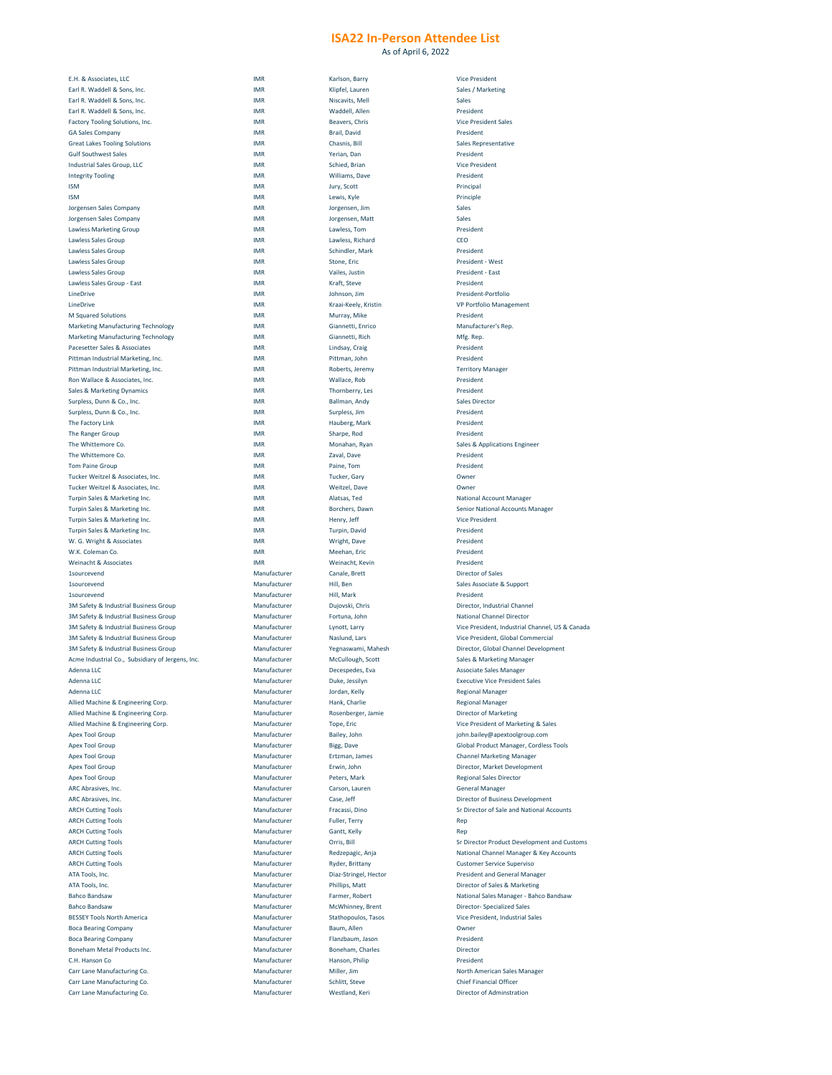As of April 6, 2022

| E.H. & Associates, LLC                                                                                                                                                                                                                                                         | <b>IMR</b>   | Karlson, Barry             |                                          |
|--------------------------------------------------------------------------------------------------------------------------------------------------------------------------------------------------------------------------------------------------------------------------------|--------------|----------------------------|------------------------------------------|
| Earl R. Waddell & Sons, Inc.                                                                                                                                                                                                                                                   | <b>IMR</b>   | Klipfel, Lauren            | Sales / Marketing                        |
| Earl R. Waddell & Sons, Inc.                                                                                                                                                                                                                                                   | <b>IMR</b>   | Niscavits, Mell            | Sales                                    |
| Earl R. Waddell & Sons, Inc.                                                                                                                                                                                                                                                   | <b>IMR</b>   | Waddell, Allen             | President                                |
|                                                                                                                                                                                                                                                                                |              |                            |                                          |
| <b>Factory Tooling Solutions, Inc.</b>                                                                                                                                                                                                                                         | IMR          | Beavers, Chris             | <b>Vice President Sales</b>              |
| <b>GA Sales Company</b>                                                                                                                                                                                                                                                        | IMR          | <b>Brail, David</b>        | President                                |
| <b>Great Lakes Tooling Solutions</b>                                                                                                                                                                                                                                           | IMR          | Chasnis, Bill              | <b>Sales Representative</b>              |
| <b>Gulf Southwest Sales</b>                                                                                                                                                                                                                                                    | <b>IMR</b>   | Yerian, Dan                | President                                |
| Industrial Sales Group, LLC                                                                                                                                                                                                                                                    | <b>IMR</b>   | <b>Schied, Brian</b>       | <b>Vice President</b>                    |
| <b>Integrity Tooling</b>                                                                                                                                                                                                                                                       | IMR          | Williams, Dave             | President                                |
|                                                                                                                                                                                                                                                                                |              |                            |                                          |
| <b>ISM</b>                                                                                                                                                                                                                                                                     | IMR          | Jury, Scott                | Principal                                |
| <b>ISM</b>                                                                                                                                                                                                                                                                     | <b>IMR</b>   | Lewis, Kyle                | Principle                                |
| Jorgensen Sales Company                                                                                                                                                                                                                                                        | <b>IMR</b>   | Jorgensen, Jim             | Sales                                    |
| Jorgensen Sales Company                                                                                                                                                                                                                                                        | IMR          | Jorgensen, Matt            | Sales                                    |
| <b>Lawless Marketing Group</b>                                                                                                                                                                                                                                                 | IMR          | Lawless, Tom               | President                                |
|                                                                                                                                                                                                                                                                                |              |                            |                                          |
| Lawless Sales Group                                                                                                                                                                                                                                                            | <b>IMR</b>   | Lawless, Richard           | CEO                                      |
| Lawless Sales Group                                                                                                                                                                                                                                                            | <b>IMR</b>   | Schindler, Mark            | President                                |
| Lawless Sales Group                                                                                                                                                                                                                                                            | <b>IMR</b>   | Stone, Eric                | President - West                         |
| Lawless Sales Group                                                                                                                                                                                                                                                            | <b>IMR</b>   | Vailes, Justin             | <b>President - East</b>                  |
| Lawless Sales Group - East                                                                                                                                                                                                                                                     | <b>IMR</b>   | Kraft, Steve               | President                                |
|                                                                                                                                                                                                                                                                                |              |                            |                                          |
| LineDrive                                                                                                                                                                                                                                                                      | <b>IMR</b>   | Johnson, Jim               | President-Portfolio                      |
| LineDrive                                                                                                                                                                                                                                                                      | <b>IMR</b>   | Kraai-Keely, Kristin       | <b>VP Portfolio Management</b>           |
| <b>M Squared Solutions</b>                                                                                                                                                                                                                                                     | <b>IMR</b>   | Murray, Mike               | President                                |
| <b>Marketing Manufacturing Technology</b>                                                                                                                                                                                                                                      | <b>IMR</b>   | Giannetti, Enrico          | Manufacturer's Rep.                      |
| <b>Marketing Manufacturing Technology</b>                                                                                                                                                                                                                                      | <b>IMR</b>   | Giannetti, Rich            | Mfg. Rep.                                |
| Pacesetter Sales & Associates                                                                                                                                                                                                                                                  |              |                            | President                                |
|                                                                                                                                                                                                                                                                                | <b>IMR</b>   | Lindsay, Craig             |                                          |
| Pittman Industrial Marketing, Inc.                                                                                                                                                                                                                                             | IMR          | Pittman, John              | President                                |
| Pittman Industrial Marketing, Inc.                                                                                                                                                                                                                                             | <b>IMR</b>   | Roberts, Jeremy            | <b>Territory Manager</b>                 |
| Ron Wallace & Associates, Inc.                                                                                                                                                                                                                                                 | <b>IMR</b>   | Wallace, Rob               | President                                |
| <b>Sales &amp; Marketing Dynamics</b>                                                                                                                                                                                                                                          | <b>IMR</b>   | Thornberry, Les            | President                                |
|                                                                                                                                                                                                                                                                                |              |                            | <b>Sales Director</b>                    |
| Surpless, Dunn & Co., Inc.                                                                                                                                                                                                                                                     | <b>IMR</b>   | Ballman, Andy              |                                          |
| Surpless, Dunn & Co., Inc.                                                                                                                                                                                                                                                     | <b>IMR</b>   | Surpless, Jim              | President                                |
| The Factory Link                                                                                                                                                                                                                                                               | <b>IMR</b>   | Hauberg, Mark              | President                                |
| The Ranger Group                                                                                                                                                                                                                                                               | <b>IMR</b>   | Sharpe, Rod                | President                                |
| The Whittemore Co.                                                                                                                                                                                                                                                             | <b>IMR</b>   | Monahan, Ryan              | <b>Sales &amp; Applications Engineer</b> |
| The Whittemore Co.                                                                                                                                                                                                                                                             |              |                            | President                                |
|                                                                                                                                                                                                                                                                                | <b>IMR</b>   | Zaval, Dave                |                                          |
| <b>Tom Paine Group</b>                                                                                                                                                                                                                                                         | <b>IMR</b>   | Paine, Tom                 | President                                |
| Tucker Weitzel & Associates, Inc.                                                                                                                                                                                                                                              | <b>IMR</b>   | <b>Tucker, Gary</b>        | Owner                                    |
| Tucker Weitzel & Associates, Inc.                                                                                                                                                                                                                                              | <b>IMR</b>   | Weitzel, Dave              | Owner                                    |
| Turpin Sales & Marketing Inc.                                                                                                                                                                                                                                                  | <b>IMR</b>   | Alatsas, Ted               | <b>National Account Manager</b>          |
| Turpin Sales & Marketing Inc.                                                                                                                                                                                                                                                  | <b>IMR</b>   | Borchers, Dawn             | <b>Senior National Accounts Manager</b>  |
|                                                                                                                                                                                                                                                                                |              |                            |                                          |
| Turpin Sales & Marketing Inc.                                                                                                                                                                                                                                                  | <b>IMR</b>   | Henry, Jeff                | <b>Vice President</b>                    |
| Turpin Sales & Marketing Inc.                                                                                                                                                                                                                                                  | <b>IMR</b>   | <b>Turpin, David</b>       | President                                |
| W. G. Wright & Associates                                                                                                                                                                                                                                                      | IMR          | Wright, Dave               | President                                |
| W.K. Coleman Co.                                                                                                                                                                                                                                                               | <b>IMR</b>   | Meehan, Eric               | President                                |
| Weinacht & Associates                                                                                                                                                                                                                                                          | <b>IMR</b>   | Weinacht, Kevin            | President                                |
|                                                                                                                                                                                                                                                                                |              |                            |                                          |
| <b>1sourcevend</b>                                                                                                                                                                                                                                                             | Manufacturer | Canale, Brett              | <b>Director of Sales</b>                 |
| <b>1sourcevend</b>                                                                                                                                                                                                                                                             | Manufacturer | Hill, Ben                  | <b>Sales Associate &amp; Support</b>     |
| <b>1sourcevend</b>                                                                                                                                                                                                                                                             | Manufacturer | Hill, Mark                 | President                                |
|                                                                                                                                                                                                                                                                                | Manufacturer | Dujovski, Chris            | Director, Industrial Channel             |
|                                                                                                                                                                                                                                                                                |              | Fortuna, John              | <b>National Channel Director</b>         |
| <b>3M Safety &amp; Industrial Business Group</b>                                                                                                                                                                                                                               |              |                            |                                          |
|                                                                                                                                                                                                                                                                                | Manufacturer |                            |                                          |
|                                                                                                                                                                                                                                                                                | Manufacturer | Lynott, Larry              | Vice President, Industrial Channel,      |
|                                                                                                                                                                                                                                                                                | Manufacturer | Naslund, Lars              | Vice President, Global Commercial        |
|                                                                                                                                                                                                                                                                                | Manufacturer | Yegnaswami, Mahesh         | Director, Global Channel Developn        |
|                                                                                                                                                                                                                                                                                |              |                            |                                          |
|                                                                                                                                                                                                                                                                                | Manufacturer | McCullough, Scott          | <b>Sales &amp; Marketing Manager</b>     |
| <b>3M Safety &amp; Industrial Business Group</b><br><b>3M Safety &amp; Industrial Business Group</b><br><b>3M Safety &amp; Industrial Business Group</b><br><b>3M Safety &amp; Industrial Business Group</b><br>Acme Industrial Co., Subsidiary of Jergens, Inc.<br>Adenna LLC | Manufacturer | Decespedes, Eva            | <b>Associate Sales Manager</b>           |
| Adenna LLC                                                                                                                                                                                                                                                                     | Manufacturer | Duke, Jessilyn             | <b>Executive Vice President Sales</b>    |
| Adenna LLC                                                                                                                                                                                                                                                                     | Manufacturer | Jordan, Kelly              | <b>Regional Manager</b>                  |
| Allied Machine & Engineering Corp.                                                                                                                                                                                                                                             | Manufacturer | Hank, Charlie              | <b>Regional Manager</b>                  |
|                                                                                                                                                                                                                                                                                |              |                            |                                          |
| Allied Machine & Engineering Corp.                                                                                                                                                                                                                                             | Manufacturer | Rosenberger, Jamie         | <b>Director of Marketing</b>             |
| Allied Machine & Engineering Corp.                                                                                                                                                                                                                                             | Manufacturer | Tope, Eric                 | Vice President of Marketing & Sale       |
| <b>Apex Tool Group</b>                                                                                                                                                                                                                                                         | Manufacturer | Bailey, John               | john.bailey@apextoolgroup.com            |
| <b>Apex Tool Group</b>                                                                                                                                                                                                                                                         | Manufacturer | Bigg, Dave                 | <b>Global Product Manager, Cordless</b>  |
|                                                                                                                                                                                                                                                                                | Manufacturer |                            |                                          |
| <b>Apex Tool Group</b>                                                                                                                                                                                                                                                         |              | Ertzman, James             | <b>Channel Marketing Manager</b>         |
| <b>Apex Tool Group</b>                                                                                                                                                                                                                                                         | Manufacturer | Erwin, John                | Director, Market Development             |
| <b>Apex Tool Group</b>                                                                                                                                                                                                                                                         | Manufacturer | Peters, Mark               | <b>Regional Sales Director</b>           |
| ARC Abrasives, Inc.                                                                                                                                                                                                                                                            | Manufacturer | Carson, Lauren             | <b>General Manager</b>                   |
| ARC Abrasives, Inc.                                                                                                                                                                                                                                                            | Manufacturer | Case, Jeff                 | <b>Director of Business Development</b>  |
| <b>ARCH Cutting Tools</b>                                                                                                                                                                                                                                                      | Manufacturer | Fracassi, Dino             | Sr Director of Sale and National Ac      |
|                                                                                                                                                                                                                                                                                |              |                            |                                          |
|                                                                                                                                                                                                                                                                                | Manufacturer | <b>Fuller, Terry</b>       | Rep                                      |
|                                                                                                                                                                                                                                                                                | Manufacturer | Gantt, Kelly               | Rep                                      |
|                                                                                                                                                                                                                                                                                | Manufacturer | Orris, Bill                | <b>Sr Director Product Development a</b> |
|                                                                                                                                                                                                                                                                                | Manufacturer | Redzepagic, Anja           | National Channel Manager & Key A         |
|                                                                                                                                                                                                                                                                                | Manufacturer | <b>Ryder, Brittany</b>     | <b>Customer Service Superviso</b>        |
|                                                                                                                                                                                                                                                                                |              |                            |                                          |
|                                                                                                                                                                                                                                                                                | Manufacturer | Diaz-Stringel, Hector      | <b>President and General Manager</b>     |
|                                                                                                                                                                                                                                                                                | Manufacturer | Phillips, Matt             | Director of Sales & Marketing            |
| <b>ARCH Cutting Tools</b><br><b>ARCH Cutting Tools</b><br><b>ARCH Cutting Tools</b><br><b>ARCH Cutting Tools</b><br><b>ARCH Cutting Tools</b><br>ATA Tools, Inc.<br>ATA Tools, Inc.<br><b>Bahco Bandsaw</b>                                                                    | Manufacturer | Farmer, Robert             | <b>National Sales Manager - Bahco Ba</b> |
|                                                                                                                                                                                                                                                                                | Manufacturer | McWhinney, Brent           | <b>Director- Specialized Sales</b>       |
|                                                                                                                                                                                                                                                                                |              |                            |                                          |
|                                                                                                                                                                                                                                                                                | Manufacturer | <b>Stathopoulos, Tasos</b> | Vice President, Industrial Sales         |
| <b>Bahco Bandsaw</b><br><b>BESSEY Tools North America</b><br><b>Boca Bearing Company</b>                                                                                                                                                                                       | Manufacturer | Baum, Allen                | Owner                                    |
| <b>Boca Bearing Company</b>                                                                                                                                                                                                                                                    | Manufacturer | Flanzbaum, Jason           | President                                |
| Boneham Metal Products Inc.                                                                                                                                                                                                                                                    | Manufacturer | Boneham, Charles           | Director                                 |
|                                                                                                                                                                                                                                                                                |              |                            |                                          |
| C.H. Hanson Co                                                                                                                                                                                                                                                                 | Manufacturer | Hanson, Philip             | President                                |
| Carr Lane Manufacturing Co.                                                                                                                                                                                                                                                    | Manufacturer | Miller, Jim                | <b>North American Sales Manager</b>      |
| <b>Carr Lane Manufacturing Co.</b>                                                                                                                                                                                                                                             | Manufacturer | Schlitt, Steve             | <b>Chief Financial Officer</b>           |
| Carr Lane Manufacturing Co.                                                                                                                                                                                                                                                    | Manufacturer | Westland, Keri             | <b>Director of Adminstration</b>         |

| esident - East                |
|-------------------------------|
| esident                       |
| esident-Portfolio             |
| <b>Portfolio Management</b>   |
| esident                       |
| anufacturer's Rep.            |
| g. Rep.                       |
| esident                       |
| esident                       |
| rritory Manager               |
| esident                       |
| esident                       |
| es Director                   |
| esident                       |
| esident                       |
| esident                       |
| es & Applications Engineer    |
| esident                       |
| esident                       |
| vner                          |
| mer                           |
| tional Account Manager        |
| nior National Accounts Manage |
| e President:                  |
| esident                       |

ssociate & Support , Industrial Channel I Channel Director sident, Industrial Channel, US & Canada sident, Global Commercial 5, Global Channel Development Marketing Manager re Vice President Sales esident of Marketing & Sales  $\textsf{c}_\textit{A}$  apextoolgroup.com Product Manager, Cordless Tools Marketing Manager , Market Development r of Business Development tor of Sale and National Accounts tor Product Development and Customs I Channel Manager & Key Accounts er Service Superviso **ATA ATA CHOCA EXELEMENT** r of Sales & Marketing I Sales Manager - Bahco Bandsaw - Specialized Sales Bessey Stathols North America States merican Sales Manager cof Adminstration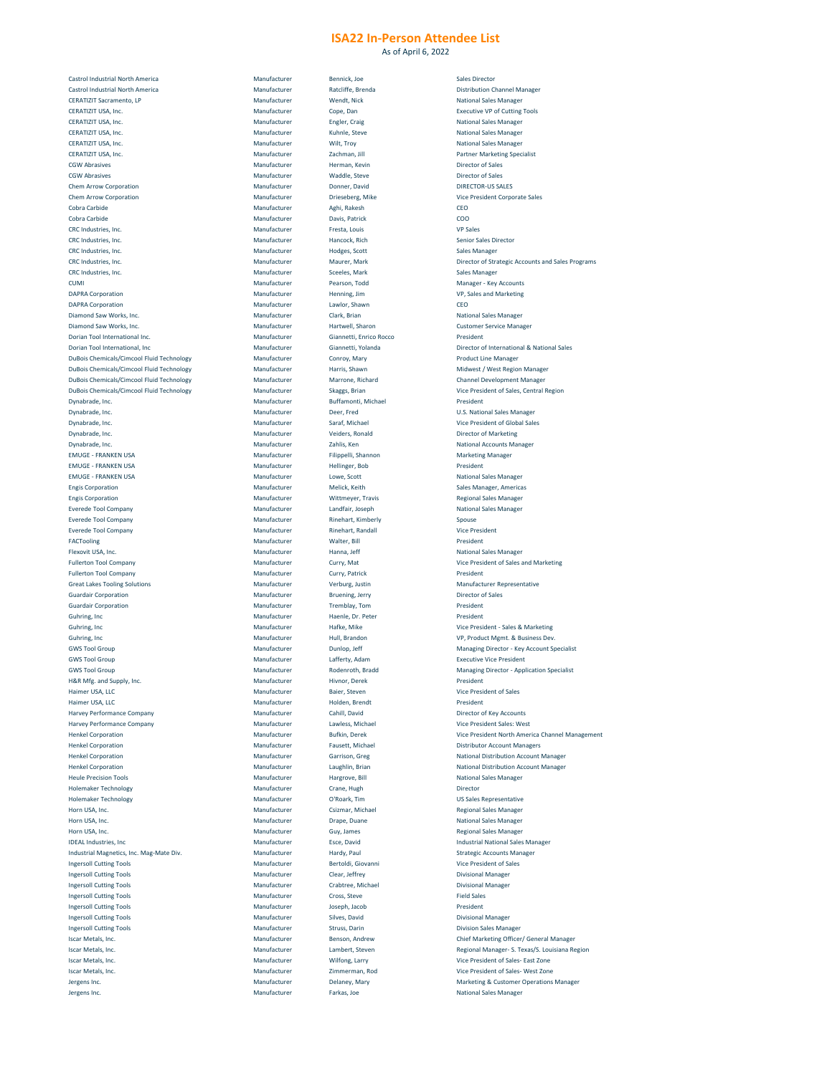As of April 6, 2022

| <b>Castrol Industrial North America</b>                                                                                                                                                                                                                                                                                          | Manufacturer | Bennick, Joe            | <b>Sales Director</b>      |
|----------------------------------------------------------------------------------------------------------------------------------------------------------------------------------------------------------------------------------------------------------------------------------------------------------------------------------|--------------|-------------------------|----------------------------|
| <b>Castrol Industrial North America</b>                                                                                                                                                                                                                                                                                          | Manufacturer | Ratcliffe, Brenda       | <b>Distribution Cha</b>    |
|                                                                                                                                                                                                                                                                                                                                  |              |                         |                            |
| <b>CERATIZIT Sacramento, LP</b>                                                                                                                                                                                                                                                                                                  | Manufacturer | Wendt, Nick             | <b>National Sales M</b>    |
| CERATIZIT USA, Inc.                                                                                                                                                                                                                                                                                                              | Manufacturer | Cope, Dan               | Executive VP of            |
| CERATIZIT USA, Inc.                                                                                                                                                                                                                                                                                                              | Manufacturer | Engler, Craig           | <b>National Sales M</b>    |
| CERATIZIT USA, Inc.                                                                                                                                                                                                                                                                                                              | Manufacturer | Kuhnle, Steve           | <b>National Sales M</b>    |
|                                                                                                                                                                                                                                                                                                                                  |              |                         |                            |
| CERATIZIT USA, Inc.                                                                                                                                                                                                                                                                                                              | Manufacturer | Wilt, Troy              | <b>National Sales M</b>    |
| CERATIZIT USA, Inc.                                                                                                                                                                                                                                                                                                              | Manufacturer | Zachman, Jill           | <b>Partner Marketii</b>    |
| <b>CGW Abrasives</b>                                                                                                                                                                                                                                                                                                             | Manufacturer | Herman, Kevin           | <b>Director of Sales</b>   |
|                                                                                                                                                                                                                                                                                                                                  |              |                         |                            |
| <b>CGW Abrasives</b>                                                                                                                                                                                                                                                                                                             | Manufacturer | Waddle, Steve           | <b>Director of Sales</b>   |
| <b>Chem Arrow Corporation</b>                                                                                                                                                                                                                                                                                                    | Manufacturer | Donner, David           | <b>DIRECTOR-US SA</b>      |
| <b>Chem Arrow Corporation</b>                                                                                                                                                                                                                                                                                                    | Manufacturer | Drieseberg, Mike        | Vice President C           |
|                                                                                                                                                                                                                                                                                                                                  |              |                         |                            |
| Cobra Carbide                                                                                                                                                                                                                                                                                                                    | Manufacturer | Aghi, Rakesh            | CEO                        |
| Cobra Carbide                                                                                                                                                                                                                                                                                                                    | Manufacturer | Davis, Patrick          | COO                        |
| CRC Industries, Inc.                                                                                                                                                                                                                                                                                                             | Manufacturer | Fresta, Louis           | <b>VP Sales</b>            |
|                                                                                                                                                                                                                                                                                                                                  |              |                         |                            |
| CRC Industries, Inc.                                                                                                                                                                                                                                                                                                             | Manufacturer | Hancock, Rich           | <b>Senior Sales Dire</b>   |
| CRC Industries, Inc.                                                                                                                                                                                                                                                                                                             | Manufacturer | Hodges, Scott           | <b>Sales Manager</b>       |
| CRC Industries, Inc.                                                                                                                                                                                                                                                                                                             | Manufacturer | Maurer, Mark            | <b>Director of Strat</b>   |
| CRC Industries, Inc.                                                                                                                                                                                                                                                                                                             | Manufacturer | Sceeles, Mark           | <b>Sales Manager</b>       |
|                                                                                                                                                                                                                                                                                                                                  |              |                         |                            |
| <b>CUMI</b>                                                                                                                                                                                                                                                                                                                      | Manufacturer | Pearson, Todd           | Manager - Key A            |
| <b>DAPRA Corporation</b>                                                                                                                                                                                                                                                                                                         | Manufacturer | Henning, Jim            | VP, Sales and Ma           |
| <b>DAPRA Corporation</b>                                                                                                                                                                                                                                                                                                         | Manufacturer | Lawlor, Shawn           | CEO                        |
|                                                                                                                                                                                                                                                                                                                                  |              |                         |                            |
| Diamond Saw Works, Inc.                                                                                                                                                                                                                                                                                                          | Manufacturer | Clark, Brian            | <b>National Sales M</b>    |
| Diamond Saw Works, Inc.                                                                                                                                                                                                                                                                                                          | Manufacturer | Hartwell, Sharon        | <b>Customer Servic</b>     |
| Dorian Tool International Inc.                                                                                                                                                                                                                                                                                                   | Manufacturer | Giannetti, Enrico Rocco | President                  |
|                                                                                                                                                                                                                                                                                                                                  |              |                         |                            |
| Dorian Tool International, Inc                                                                                                                                                                                                                                                                                                   | Manufacturer | Giannetti, Yolanda      | Director of Inter          |
| <b>DuBois Chemicals/Cimcool Fluid Technology</b>                                                                                                                                                                                                                                                                                 | Manufacturer | Conroy, Mary            | <b>Product Line Ma</b>     |
| <b>DuBois Chemicals/Cimcool Fluid Technology</b>                                                                                                                                                                                                                                                                                 | Manufacturer | Harris, Shawn           | Midwest / West             |
|                                                                                                                                                                                                                                                                                                                                  |              |                         |                            |
| <b>DuBois Chemicals/Cimcool Fluid Technology</b>                                                                                                                                                                                                                                                                                 | Manufacturer | Marrone, Richard        | <b>Channel Develor</b>     |
| <b>DuBois Chemicals/Cimcool Fluid Technology</b>                                                                                                                                                                                                                                                                                 | Manufacturer | Skaggs, Brian           | Vice President of          |
| Dynabrade, Inc.                                                                                                                                                                                                                                                                                                                  | Manufacturer | Buffamonti, Michael     | President                  |
|                                                                                                                                                                                                                                                                                                                                  |              |                         |                            |
| Dynabrade, Inc.                                                                                                                                                                                                                                                                                                                  | Manufacturer | Deer, Fred              | <b>U.S. National Sal</b>   |
| Dynabrade, Inc.                                                                                                                                                                                                                                                                                                                  | Manufacturer | Saraf, Michael          | Vice President of          |
| Dynabrade, Inc.                                                                                                                                                                                                                                                                                                                  | Manufacturer | Veiders, Ronald         | <b>Director of Mark</b>    |
|                                                                                                                                                                                                                                                                                                                                  |              |                         |                            |
| Dynabrade, Inc.                                                                                                                                                                                                                                                                                                                  | Manufacturer | Zahlis, Ken             | <b>National Accoun</b>     |
| <b>EMUGE - FRANKEN USA</b>                                                                                                                                                                                                                                                                                                       | Manufacturer | Filippelli, Shannon     | <b>Marketing Mana</b>      |
|                                                                                                                                                                                                                                                                                                                                  |              |                         |                            |
| <b>EMUGE - FRANKEN USA</b>                                                                                                                                                                                                                                                                                                       | Manufacturer | Hellinger, Bob          | President                  |
| <b>EMUGE - FRANKEN USA</b>                                                                                                                                                                                                                                                                                                       | Manufacturer | Lowe, Scott             | <b>National Sales M</b>    |
| <b>Engis Corporation</b>                                                                                                                                                                                                                                                                                                         | Manufacturer | Melick, Keith           | Sales Manager, A           |
| <b>Engis Corporation</b>                                                                                                                                                                                                                                                                                                         | Manufacturer | Wittmeyer, Travis       | <b>Regional Sales M</b>    |
|                                                                                                                                                                                                                                                                                                                                  |              |                         |                            |
| <b>Everede Tool Company</b>                                                                                                                                                                                                                                                                                                      | Manufacturer | Landfair, Joseph        | <b>National Sales M</b>    |
| <b>Everede Tool Company</b>                                                                                                                                                                                                                                                                                                      | Manufacturer | Rinehart, Kimberly      | Spouse                     |
| <b>Everede Tool Company</b>                                                                                                                                                                                                                                                                                                      | Manufacturer | Rinehart, Randall       | <b>Vice President</b>      |
|                                                                                                                                                                                                                                                                                                                                  |              |                         |                            |
| <b>FACTooling</b>                                                                                                                                                                                                                                                                                                                | Manufacturer | Walter, Bill            | President                  |
| Flexovit USA, Inc.                                                                                                                                                                                                                                                                                                               | Manufacturer | Hanna, Jeff             | <b>National Sales M</b>    |
|                                                                                                                                                                                                                                                                                                                                  |              |                         |                            |
| <b>Fullerton Tool Company</b>                                                                                                                                                                                                                                                                                                    | Manufacturer | Curry, Mat              | Vice President of          |
| <b>Fullerton Tool Company</b>                                                                                                                                                                                                                                                                                                    | Manufacturer | Curry, Patrick          | President                  |
| <b>Great Lakes Tooling Solutions</b>                                                                                                                                                                                                                                                                                             | Manufacturer | Verburg, Justin         | <b>Manufacturer Re</b>     |
| <b>Guardair Corporation</b>                                                                                                                                                                                                                                                                                                      | Manufacturer | Bruening, Jerry         | <b>Director of Sales</b>   |
|                                                                                                                                                                                                                                                                                                                                  |              |                         |                            |
| <b>Guardair Corporation</b>                                                                                                                                                                                                                                                                                                      | Manufacturer | Tremblay, Tom           | President                  |
| Guhring, Inc                                                                                                                                                                                                                                                                                                                     | Manufacturer | Haenle, Dr. Peter       | President                  |
|                                                                                                                                                                                                                                                                                                                                  |              |                         |                            |
| Guhring, Inc                                                                                                                                                                                                                                                                                                                     | Manufacturer | Hafke, Mike             | Vice President -           |
| Guhring, Inc                                                                                                                                                                                                                                                                                                                     | Manufacturer | Hull, Brandon           | VP, Product Mgr            |
| <b>GWS Tool Group</b>                                                                                                                                                                                                                                                                                                            | Manufacturer | Dunlop, Jeff            | <b>Managing Direct</b>     |
|                                                                                                                                                                                                                                                                                                                                  |              |                         |                            |
| <b>GWS Tool Group</b>                                                                                                                                                                                                                                                                                                            | Manufacturer | Lafferty, Adam          | <b>Executive Vice P</b>    |
| <b>GWS Tool Group</b>                                                                                                                                                                                                                                                                                                            | Manufacturer | Rodenroth, Bradd        | <b>Managing Direct</b>     |
| H&R Mfg. and Supply, Inc.                                                                                                                                                                                                                                                                                                        | Manufacturer | Hivnor, Derek           | President                  |
|                                                                                                                                                                                                                                                                                                                                  |              |                         |                            |
| Haimer USA, LLC                                                                                                                                                                                                                                                                                                                  | Manufacturer | Baier, Steven           | Vice President of          |
| Haimer USA, LLC                                                                                                                                                                                                                                                                                                                  | Manufacturer | Holden, Brendt          | President                  |
| <b>Harvey Performance Company</b>                                                                                                                                                                                                                                                                                                | Manufacturer | Cahill, David           | Director of Key A          |
|                                                                                                                                                                                                                                                                                                                                  |              |                         |                            |
| <b>Harvey Performance Company</b>                                                                                                                                                                                                                                                                                                | Manufacturer | Lawless, Michael        | Vice President Sa          |
| <b>Henkel Corporation</b>                                                                                                                                                                                                                                                                                                        | Manufacturer | <b>Bufkin, Derek</b>    | <b>Vice President N</b>    |
| <b>Henkel Corporation</b>                                                                                                                                                                                                                                                                                                        | Manufacturer | Fausett, Michael        | <b>Distributor Acco</b>    |
|                                                                                                                                                                                                                                                                                                                                  |              |                         |                            |
| <b>Henkel Corporation</b>                                                                                                                                                                                                                                                                                                        | Manufacturer | Garrison, Greg          | <b>National Distribu</b>   |
| <b>Henkel Corporation</b>                                                                                                                                                                                                                                                                                                        | Manufacturer | Laughlin, Brian         | <b>National Distribu</b>   |
| <b>Heule Precision Tools</b>                                                                                                                                                                                                                                                                                                     | Manufacturer | Hargrove, Bill          | <b>National Sales M</b>    |
|                                                                                                                                                                                                                                                                                                                                  |              |                         |                            |
| <b>Holemaker Technology</b>                                                                                                                                                                                                                                                                                                      | Manufacturer | Crane, Hugh             | Director                   |
| <b>Holemaker Technology</b>                                                                                                                                                                                                                                                                                                      | Manufacturer | O'Roark, Tim            | <b>US Sales Represe</b>    |
|                                                                                                                                                                                                                                                                                                                                  |              |                         |                            |
| Horn USA, Inc.                                                                                                                                                                                                                                                                                                                   | Manufacturer | Csizmar, Michael        | <b>Regional Sales M</b>    |
| Horn USA, Inc.                                                                                                                                                                                                                                                                                                                   | Manufacturer | Drape, Duane            | <b>National Sales M</b>    |
| Horn USA, Inc.                                                                                                                                                                                                                                                                                                                   | Manufacturer | Guy, James              | <b>Regional Sales M</b>    |
|                                                                                                                                                                                                                                                                                                                                  |              |                         |                            |
| <b>IDEAL Industries, Inc.</b>                                                                                                                                                                                                                                                                                                    |              | Esce, David             | <b>Industrial Nation</b>   |
| Industrial Magnetics, Inc. Mag-Mate Div.                                                                                                                                                                                                                                                                                         | Manufacturer |                         | <b>Strategic Accour</b>    |
| <b>Ingersoll Cutting Tools</b>                                                                                                                                                                                                                                                                                                   | Manufacturer | Hardy, Paul             |                            |
|                                                                                                                                                                                                                                                                                                                                  |              |                         |                            |
|                                                                                                                                                                                                                                                                                                                                  | Manufacturer | Bertoldi, Giovanni      | Vice President of          |
|                                                                                                                                                                                                                                                                                                                                  | Manufacturer | Clear, Jeffrey          | <b>Divisional Manag</b>    |
|                                                                                                                                                                                                                                                                                                                                  | Manufacturer | Crabtree, Michael       | <b>Divisional Manag</b>    |
|                                                                                                                                                                                                                                                                                                                                  |              |                         |                            |
|                                                                                                                                                                                                                                                                                                                                  | Manufacturer | Cross, Steve            | <b>Field Sales</b>         |
|                                                                                                                                                                                                                                                                                                                                  | Manufacturer | Joseph, Jacob           | President                  |
|                                                                                                                                                                                                                                                                                                                                  |              |                         |                            |
|                                                                                                                                                                                                                                                                                                                                  | Manufacturer | Silves, David           | <b>Divisional Manag</b>    |
|                                                                                                                                                                                                                                                                                                                                  | Manufacturer | Struss, Darin           | <b>Division Sales M</b>    |
|                                                                                                                                                                                                                                                                                                                                  | Manufacturer | Benson, Andrew          | <b>Chief Marketing</b>     |
|                                                                                                                                                                                                                                                                                                                                  |              |                         |                            |
|                                                                                                                                                                                                                                                                                                                                  | Manufacturer | Lambert, Steven         | <b>Regional Manage</b>     |
|                                                                                                                                                                                                                                                                                                                                  | Manufacturer | Wilfong, Larry          | Vice President of          |
|                                                                                                                                                                                                                                                                                                                                  | Manufacturer |                         | Vice President of          |
|                                                                                                                                                                                                                                                                                                                                  |              | Zimmerman, Rod          |                            |
|                                                                                                                                                                                                                                                                                                                                  | Manufacturer | Delaney, Mary           | <b>Marketing &amp; Cus</b> |
| <b>Ingersoll Cutting Tools</b><br><b>Ingersoll Cutting Tools</b><br><b>Ingersoll Cutting Tools</b><br><b>Ingersoll Cutting Tools</b><br><b>Ingersoll Cutting Tools</b><br><b>Ingersoll Cutting Tools</b><br>Iscar Metals, Inc.<br>Iscar Metals, Inc.<br>Iscar Metals, Inc.<br>Iscar Metals, Inc.<br>Jergens Inc.<br>Jergens Inc. | Manufacturer | Farkas, Joe             | <b>National Sales M</b>    |

| <b>Bennick, Joe</b>  |
|----------------------|
| Ratcliffe, Brenda    |
| <b>Wendt, Nick</b>   |
| Cope, Dan            |
| <b>Engler, Craig</b> |
| Kuhnle, Steve        |
| Wilt, Troy           |
| Zachman, Jill        |
| Herman, Kevin        |
| Waddle, Steve        |
| Donner, David        |
| Drieseberg, Mike     |
| Aghi, Rakesh         |
| Davis, Patrick       |
| Fresta, Louis        |
| Hancock, Rich        |
| Hodges, Scott        |
| Maurer, Mark         |

Distribution Channel Manager **National Sales Manager** Executive VP of Cutting Tools **National Sales Manager National Sales Manager National Sales Manager** Partner Marketing Specialist DIRECTOR-US SALES Vice President Corporate Sales Senior Sales Director Director of Strategic Accounts and Sales Programs Sales Manager Manager - Key Accounts VP, Sales and Marketing **National Sales Manager Customer Service Manager** Director of International & National Sales Product Line Manager Midwest / West Region Manager Channel Development Manager Vice President of Sales, Central Region U.S. National Sales Manager Vice President of Global Sales Director of Marketing **National Accounts Manager** Marketing Manager **National Sales Manager** Sales Manager, Americas Regional Sales Manager **National Sales Manager National Sales Manager** Vice President of Sales and Marketing Manufacturer Representative Vice President - Sales & Marketing VP, Product Mgmt. & Business Dev. Managing Director - Key Account Specialist Executive Vice President Managing Director - Application Specialist Vice President of Sales Director of Key Accounts Vice President Sales: West Vice President North America Channel Management Distributor Account Managers National Distribution Account Manager National Distribution Account Manager **National Sales Manager** US Sales Representative Regional Sales Manager **National Sales Manager** Regional Sales Manager Industrial National Sales Manager Strategic Accounts Manager Vice President of Sales Divisional Manager Divisional Manager Divisional Manager Division Sales Manager Chief Marketing Officer/ General Manager Regional Manager- S. Texas/S. Louisiana Region Vice President of Sales- East Zone Vice President of Sales- West Zone Marketing & Customer Operations Manager **National Sales Manager**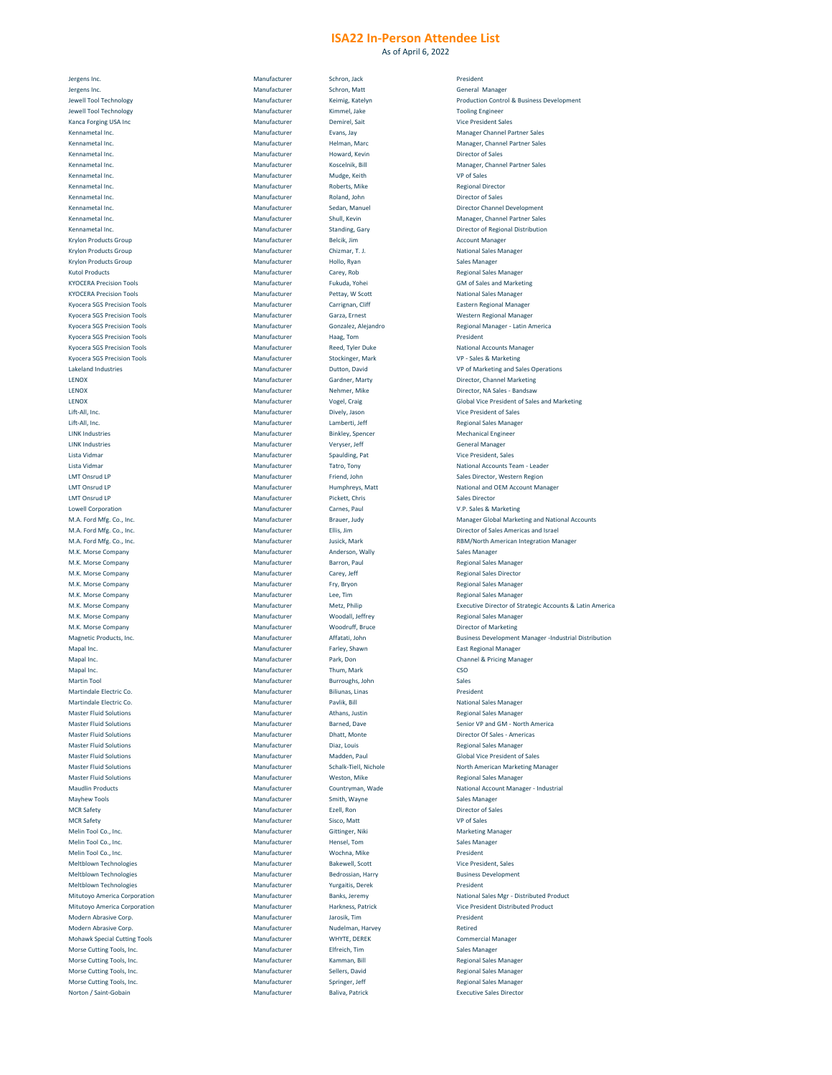As of April 6, 2022

| Jergens Inc.                        | Manufacturer | Schron, Jack            | President                                                |
|-------------------------------------|--------------|-------------------------|----------------------------------------------------------|
|                                     | Manufacturer |                         |                                                          |
| Jergens Inc.                        |              | Schron, Matt            | <b>General Manager</b>                                   |
| Jewell Tool Technology              | Manufacturer | Keimig, Katelyn         | <b>Production Control &amp; Business Development</b>     |
| Jewell Tool Technology              | Manufacturer | Kimmel, Jake            | <b>Tooling Engineer</b>                                  |
| <b>Kanca Forging USA Inc</b>        | Manufacturer | Demirel, Sait           | <b>Vice President Sales</b>                              |
|                                     | Manufacturer |                         |                                                          |
| Kennametal Inc.                     |              | Evans, Jay              | <b>Manager Channel Partner Sales</b>                     |
| Kennametal Inc.                     | Manufacturer | Helman, Marc            | <b>Manager, Channel Partner Sales</b>                    |
| Kennametal Inc.                     | Manufacturer | Howard, Kevin           | <b>Director of Sales</b>                                 |
| Kennametal Inc.                     | Manufacturer | Koscelnik, Bill         | <b>Manager, Channel Partner Sales</b>                    |
|                                     |              |                         |                                                          |
| Kennametal Inc.                     | Manufacturer | Mudge, Keith            | <b>VP of Sales</b>                                       |
| Kennametal Inc.                     | Manufacturer | Roberts, Mike           | <b>Regional Director</b>                                 |
| Kennametal Inc.                     | Manufacturer | Roland, John            | <b>Director of Sales</b>                                 |
|                                     |              |                         |                                                          |
| Kennametal Inc.                     | Manufacturer | Sedan, Manuel           | <b>Director Channel Development</b>                      |
| Kennametal Inc.                     | Manufacturer | Shull, Kevin            | <b>Manager, Channel Partner Sales</b>                    |
| Kennametal Inc.                     | Manufacturer | <b>Standing, Gary</b>   | <b>Director of Regional Distribution</b>                 |
|                                     |              |                         |                                                          |
| <b>Krylon Products Group</b>        | Manufacturer | Belcik, Jim             | <b>Account Manager</b>                                   |
| <b>Krylon Products Group</b>        | Manufacturer | Chizmar, T. J.          | <b>National Sales Manager</b>                            |
| <b>Krylon Products Group</b>        | Manufacturer | Hollo, Ryan             | <b>Sales Manager</b>                                     |
| <b>Kutol Products</b>               | Manufacturer | Carey, Rob              | <b>Regional Sales Manager</b>                            |
|                                     |              |                         |                                                          |
| <b>KYOCERA Precision Tools</b>      | Manufacturer | Fukuda, Yohei           | <b>GM of Sales and Marketing</b>                         |
| <b>KYOCERA Precision Tools</b>      | Manufacturer | Pettay, W Scott         | <b>National Sales Manager</b>                            |
| <b>Kyocera SGS Precision Tools</b>  | Manufacturer | Carrignan, Cliff        | <b>Eastern Regional Manager</b>                          |
|                                     |              |                         |                                                          |
| <b>Kyocera SGS Precision Tools</b>  | Manufacturer | Garza, Ernest           | <b>Western Regional Manager</b>                          |
| <b>Kyocera SGS Precision Tools</b>  | Manufacturer | Gonzalez, Alejandro     | <b>Regional Manager - Latin America</b>                  |
| <b>Kyocera SGS Precision Tools</b>  | Manufacturer | Haag, Tom               | President                                                |
|                                     |              |                         |                                                          |
| <b>Kyocera SGS Precision Tools</b>  | Manufacturer | <b>Reed, Tyler Duke</b> | <b>National Accounts Manager</b>                         |
| <b>Kyocera SGS Precision Tools</b>  | Manufacturer | Stockinger, Mark        | VP - Sales & Marketing                                   |
| Lakeland Industries                 | Manufacturer | Dutton, David           | <b>VP of Marketing and Sales Operations</b>              |
| LENOX                               | Manufacturer |                         | Director, Channel Marketing                              |
|                                     |              | <b>Gardner, Marty</b>   |                                                          |
| LENOX                               | Manufacturer | Nehmer, Mike            | Director, NA Sales - Bandsaw                             |
| LENOX                               | Manufacturer | Vogel, Craig            | <b>Global Vice President of Sales and Marketing</b>      |
| Lift-All, Inc.                      | Manufacturer | Dively, Jason           | <b>Vice President of Sales</b>                           |
|                                     |              |                         |                                                          |
| Lift-All, Inc.                      | Manufacturer | Lamberti, Jeff          | <b>Regional Sales Manager</b>                            |
| <b>LINK Industries</b>              | Manufacturer | <b>Binkley, Spencer</b> | <b>Mechanical Engineer</b>                               |
| LINK Industries                     | Manufacturer | Veryser, Jeff           | <b>General Manager</b>                                   |
|                                     |              |                         |                                                          |
| Lista Vidmar                        | Manufacturer | <b>Spaulding, Pat</b>   | <b>Vice President, Sales</b>                             |
| Lista Vidmar                        | Manufacturer | Tatro, Tony             | <b>National Accounts Team - Leader</b>                   |
| LMT Onsrud LP                       | Manufacturer | Friend, John            | Sales Director, Western Region                           |
|                                     |              |                         |                                                          |
| LMT Onsrud LP                       | Manufacturer | Humphreys, Matt         | <b>National and OEM Account Manager</b>                  |
| LMT Onsrud LP                       | Manufacturer | Pickett, Chris          | <b>Sales Director</b>                                    |
| <b>Lowell Corporation</b>           | Manufacturer | Carnes, Paul            | V.P. Sales & Marketing                                   |
|                                     |              |                         |                                                          |
| M.A. Ford Mfg. Co., Inc.            | Manufacturer | Brauer, Judy            | <b>Manager Global Marketing and National Acc</b>         |
| M.A. Ford Mfg. Co., Inc.            | Manufacturer | Ellis, Jim              | Director of Sales Americas and Israel                    |
| M.A. Ford Mfg. Co., Inc.            | Manufacturer | Jusick, Mark            | <b>RBM/North American Integration Manager</b>            |
| M.K. Morse Company                  | Manufacturer | Anderson, Wally         | <b>Sales Manager</b>                                     |
|                                     |              |                         |                                                          |
| M.K. Morse Company                  | Manufacturer | Barron, Paul            | <b>Regional Sales Manager</b>                            |
| M.K. Morse Company                  | Manufacturer | Carey, Jeff             | <b>Regional Sales Director</b>                           |
| M.K. Morse Company                  | Manufacturer | Fry, Bryon              | <b>Regional Sales Manager</b>                            |
|                                     |              |                         |                                                          |
| M.K. Morse Company                  | Manufacturer | Lee, Tim                | <b>Regional Sales Manager</b>                            |
| M.K. Morse Company                  | Manufacturer | Metz, Philip            | <b>Executive Director of Strategic Accounts &amp; La</b> |
| M.K. Morse Company                  | Manufacturer | Woodall, Jeffrey        | <b>Regional Sales Manager</b>                            |
|                                     |              |                         |                                                          |
| M.K. Morse Company                  | Manufacturer | <b>Woodruff, Bruce</b>  | <b>Director of Marketing</b>                             |
| Magnetic Products, Inc.             | Manufacturer | Affatati, John          | <b>Business Development Manager -Industrial D</b>        |
| Mapal Inc.                          | Manufacturer | Farley, Shawn           | <b>East Regional Manager</b>                             |
| Mapal Inc.                          | Manufacturer | Park, Don               | <b>Channel &amp; Pricing Manager</b>                     |
|                                     |              |                         |                                                          |
| Mapal Inc.                          | Manufacturer | Thum, Mark              | CSO                                                      |
| <b>Martin Tool</b>                  | Manufacturer | Burroughs, John         | Sales                                                    |
| Martindale Electric Co.             | Manufacturer | Biliunas, Linas         | President                                                |
|                                     |              |                         |                                                          |
| Martindale Electric Co.             | Manufacturer | Pavlik, Bill            | <b>National Sales Manager</b>                            |
| <b>Master Fluid Solutions</b>       | Manufacturer | Athans, Justin          | <b>Regional Sales Manager</b>                            |
| <b>Master Fluid Solutions</b>       | Manufacturer | Barned, Dave            | Senior VP and GM - North America                         |
|                                     |              |                         |                                                          |
| <b>Master Fluid Solutions</b>       | Manufacturer | Dhatt, Monte            | <b>Director Of Sales - Americas</b>                      |
| <b>Master Fluid Solutions</b>       | Manufacturer | Diaz, Louis             | <b>Regional Sales Manager</b>                            |
| <b>Master Fluid Solutions</b>       | Manufacturer | Madden, Paul            | <b>Global Vice President of Sales</b>                    |
| <b>Master Fluid Solutions</b>       | Manufacturer | Schalk-Tiell, Nichole   | <b>North American Marketing Manager</b>                  |
|                                     |              |                         |                                                          |
| <b>Master Fluid Solutions</b>       | Manufacturer | Weston, Mike            | <b>Regional Sales Manager</b>                            |
| <b>Maudlin Products</b>             | Manufacturer | Countryman, Wade        | <b>National Account Manager - Industrial</b>             |
| <b>Mayhew Tools</b>                 | Manufacturer | Smith, Wayne            | <b>Sales Manager</b>                                     |
|                                     |              |                         |                                                          |
| <b>MCR Safety</b>                   | Manufacturer | Ezell, Ron              | <b>Director of Sales</b>                                 |
| <b>MCR Safety</b>                   | Manufacturer | Sisco, Matt             | <b>VP of Sales</b>                                       |
| Melin Tool Co., Inc.                | Manufacturer | Gittinger, Niki         | <b>Marketing Manager</b>                                 |
|                                     |              |                         |                                                          |
| Melin Tool Co., Inc.                | Manufacturer | Hensel, Tom             | <b>Sales Manager</b>                                     |
| Melin Tool Co., Inc.                | Manufacturer | Wochna, Mike            | President                                                |
| <b>Meltblown Technologies</b>       | Manufacturer | <b>Bakewell, Scott</b>  | <b>Vice President, Sales</b>                             |
|                                     |              |                         |                                                          |
| <b>Meltblown Technologies</b>       | Manufacturer | Bedrossian, Harry       | <b>Business Development</b>                              |
| <b>Meltblown Technologies</b>       | Manufacturer | <b>Yurgaitis, Derek</b> | President                                                |
| <b>Mitutoyo America Corporation</b> | Manufacturer | Banks, Jeremy           | <b>National Sales Mgr - Distributed Product</b>          |
|                                     |              |                         |                                                          |
| <b>Mitutoyo America Corporation</b> | Manufacturer | Harkness, Patrick       | Vice President Distributed Product                       |
| Modern Abrasive Corp.               | Manufacturer | Jarosik, Tim            | President                                                |
| Modern Abrasive Corp.               | Manufacturer | Nudelman, Harvey        | Retired                                                  |
|                                     |              |                         |                                                          |
| <b>Mohawk Special Cutting Tools</b> | Manufacturer | WHYTE, DEREK            | <b>Commercial Manager</b>                                |
| Morse Cutting Tools, Inc.           | Manufacturer | Elfreich, Tim           | <b>Sales Manager</b>                                     |
| Morse Cutting Tools, Inc.           | Manufacturer | Kamman, Bill            | <b>Regional Sales Manager</b>                            |
|                                     |              |                         |                                                          |
| Morse Cutting Tools, Inc.           |              |                         |                                                          |
|                                     | Manufacturer | Sellers, David          | <b>Regional Sales Manager</b>                            |
| Morse Cutting Tools, Inc.           | Manufacturer | Springer, Jeff          | <b>Regional Sales Manager</b>                            |
| Norton / Saint-Gobain               | Manufacturer | <b>Baliva, Patrick</b>  | <b>Executive Sales Director</b>                          |

| Jergens Inc.                                              | Manufacturer                 | Schron, Jack                      |
|-----------------------------------------------------------|------------------------------|-----------------------------------|
| Jergens Inc.                                              | Manufacturer                 | Schron, Matt                      |
| <b>Jewell Tool Technology</b>                             | Manufacturer                 | Keimig, Katelyn                   |
| <b>Jewell Tool Technology</b>                             | Manufacturer                 | Kimmel, Jake                      |
| <b>Kanca Forging USA Inc</b>                              | Manufacturer                 | Demirel, Sait                     |
| Kennametal Inc.                                           | Manufacturer                 | Evans, Jay                        |
| Kennametal Inc.                                           | Manufacturer                 | Helman, Marc                      |
| Kennametal Inc.<br>Kennametal Inc.                        | Manufacturer                 | Howard, Kevin                     |
| Kennametal Inc.                                           | Manufacturer<br>Manufacturer | Koscelnik, Bill                   |
| Kennametal Inc.                                           | Manufacturer                 | Mudge, Keith<br>Roberts, Mike     |
| Kennametal Inc.                                           | Manufacturer                 | Roland, John                      |
| Kennametal Inc.                                           | Manufacturer                 | Sedan, Manuel                     |
| Kennametal Inc.                                           | Manufacturer                 | Shull, Kevin                      |
| Kennametal Inc.                                           | Manufacturer                 | <b>Standing, Gary</b>             |
| <b>Krylon Products Group</b>                              | Manufacturer                 | Belcik, Jim                       |
| <b>Krylon Products Group</b>                              | Manufacturer                 | Chizmar, T. J.                    |
| <b>Krylon Products Group</b>                              | Manufacturer                 | Hollo, Ryan                       |
| <b>Kutol Products</b>                                     | Manufacturer                 | Carey, Rob                        |
| <b>KYOCERA Precision Tools</b>                            | Manufacturer                 | Fukuda, Yohei                     |
| <b>KYOCERA Precision Tools</b>                            | Manufacturer                 | Pettay, W Scott                   |
| <b>Kyocera SGS Precision Tools</b>                        | Manufacturer                 | Carrignan, Cliff                  |
| <b>Kyocera SGS Precision Tools</b>                        | Manufacturer                 | Garza, Ernest                     |
| <b>Kyocera SGS Precision Tools</b>                        | Manufacturer                 | Gonzalez, Alejandro               |
| <b>Kyocera SGS Precision Tools</b>                        | Manufacturer                 | Haag, Tom                         |
| <b>Kyocera SGS Precision Tools</b>                        | Manufacturer                 | <b>Reed, Tyler Duke</b>           |
| <b>Kyocera SGS Precision Tools</b><br>Lakeland Industries | Manufacturer<br>Manufacturer | Stockinger, Mark<br>Dutton, David |
| <b>LENOX</b>                                              | Manufacturer                 | <b>Gardner, Marty</b>             |
| <b>LENOX</b>                                              | Manufacturer                 | Nehmer, Mike                      |
| <b>LENOX</b>                                              | Manufacturer                 | Vogel, Craig                      |
| Lift-All, Inc.                                            | Manufacturer                 | Dively, Jason                     |
| Lift-All, Inc.                                            | Manufacturer                 | Lamberti, Jeff                    |
| <b>LINK Industries</b>                                    | Manufacturer                 | <b>Binkley, Spencer</b>           |
| <b>LINK Industries</b>                                    | Manufacturer                 | Veryser, Jeff                     |
| Lista Vidmar                                              | Manufacturer                 | Spaulding, Pat                    |
| Lista Vidmar                                              | Manufacturer                 | Tatro, Tony                       |
| LMT Onsrud LP                                             | Manufacturer                 | Friend, John                      |
| LMT Onsrud LP                                             | Manufacturer                 | Humphreys, Matt                   |
| LMT Onsrud LP                                             | Manufacturer                 | Pickett, Chris                    |
| <b>Lowell Corporation</b>                                 | Manufacturer                 | Carnes, Paul                      |
| M.A. Ford Mfg. Co., Inc.                                  | Manufacturer                 | Brauer, Judy                      |
| M.A. Ford Mfg. Co., Inc.                                  | Manufacturer                 | Ellis, Jim                        |
| M.A. Ford Mfg. Co., Inc.                                  | Manufacturer                 | Jusick, Mark                      |
|                                                           |                              |                                   |
| M.K. Morse Company                                        | Manufacturer                 | Anderson, Wally                   |
| M.K. Morse Company                                        | Manufacturer                 | Barron, Paul                      |
| M.K. Morse Company                                        | Manufacturer                 | Carey, Jeff                       |
| M.K. Morse Company                                        | Manufacturer                 | Fry, Bryon                        |
| M.K. Morse Company                                        | Manufacturer<br>Manufacturer | Lee, Tim                          |
| M.K. Morse Company<br>M.K. Morse Company                  | Manufacturer                 | Metz, Philip<br>Woodall, Jeffrey  |
| M.K. Morse Company                                        | Manufacturer                 | Woodruff, Bruce                   |
| Magnetic Products, Inc.                                   | Manufacturer                 | Affatati, John                    |
| Mapal Inc.                                                | Manufacturer                 | Farley, Shawn                     |
| Mapal Inc.                                                | Manufacturer                 | Park, Don                         |
| Mapal Inc.                                                | Manufacturer                 | Thum, Mark                        |
| <b>Martin Tool</b>                                        | Manufacturer                 | Burroughs, John                   |
| Martindale Electric Co.                                   | Manufacturer                 | Biliunas, Linas                   |
| Martindale Electric Co.                                   | Manufacturer                 | Pavlik, Bill                      |
| <b>Master Fluid Solutions</b>                             | Manufacturer                 | Athans, Justin                    |
| <b>Master Fluid Solutions</b>                             | Manufacturer                 | Barned, Dave                      |
| <b>Master Fluid Solutions</b>                             | Manufacturer                 | Dhatt, Monte                      |
| <b>Master Fluid Solutions</b>                             | Manufacturer                 | Diaz, Louis                       |
| <b>Master Fluid Solutions</b>                             | Manufacturer                 | Madden, Paul                      |
| <b>Master Fluid Solutions</b>                             | Manufacturer                 | Schalk-Tiell, Nichole             |
| <b>Master Fluid Solutions</b>                             | Manufacturer                 | Weston, Mike                      |
| <b>Maudlin Products</b>                                   | Manufacturer<br>Manufacturer | Countryman, Wade                  |
| <b>Mayhew Tools</b><br><b>MCR Safety</b>                  | Manufacturer                 | Smith, Wayne<br>Ezell, Ron        |
| <b>MCR Safety</b>                                         | Manufacturer                 | Sisco, Matt                       |
| Melin Tool Co., Inc.                                      | Manufacturer                 | Gittinger, Niki                   |
| Melin Tool Co., Inc.                                      | Manufacturer                 | Hensel, Tom                       |
| Melin Tool Co., Inc.                                      | Manufacturer                 | Wochna, Mike                      |
| <b>Meltblown Technologies</b>                             | Manufacturer                 | <b>Bakewell, Scott</b>            |
| <b>Meltblown Technologies</b>                             | Manufacturer                 | <b>Bedrossian, Harry</b>          |
| <b>Meltblown Technologies</b>                             | Manufacturer                 | Yurgaitis, Derek                  |
| <b>Mitutoyo America Corporation</b>                       | Manufacturer                 | Banks, Jeremy                     |
| <b>Mitutoyo America Corporation</b>                       | Manufacturer                 | Harkness, Patrick                 |
| Modern Abrasive Corp.                                     | Manufacturer                 | Jarosik, Tim                      |
| Modern Abrasive Corp.                                     | Manufacturer                 | Nudelman, Harvey                  |
| <b>Mohawk Special Cutting Tools</b>                       | Manufacturer                 | <b>WHYTE, DEREK</b>               |
| Morse Cutting Tools, Inc.                                 | Manufacturer                 | Elfreich, Tim                     |
| Morse Cutting Tools, Inc.                                 | Manufacturer                 | Kamman, Bill                      |
| Morse Cutting Tools, Inc.                                 | Manufacturer                 | Sellers, David                    |
| Morse Cutting Tools, Inc.<br>Norton / Saint-Gobain        | Manufacturer<br>Manufacturer | Springer, Jeff<br>Baliva, Patrick |

| President                                        |
|--------------------------------------------------|
| General Manager                                  |
| <b>Production Control &amp; Business Develor</b> |
| <b>Tooling Engineer</b>                          |
| <b>Vice President Sales</b>                      |
| <b>Manager Channel Partner Sales</b>             |
| <b>Manager, Channel Partner Sales</b>            |
| <b>Director of Sales</b>                         |
| <b>Manager, Channel Partner Sales</b>            |
| <b>VP of Sales</b>                               |
| <b>Regional Director</b>                         |
| <b>Director of Sales</b>                         |
| <b>Director Channel Development</b>              |
| <b>Manager, Channel Partner Sales</b>            |
| <b>Director of Regional Distribution</b>         |
| <b>Account Manager</b>                           |
| <b>National Sales Manager</b>                    |
| Sales Manager                                    |

Regional Sales Manager **GM of Sales and Marketing National Sales Manager** Eastern Regional Manager Western Regional Manager Regional Manager - Latin America **National Accounts Manager** VP - Sales & Marketing VP of Marketing and Sales Operations Director, Channel Marketing Director, NA Sales - Bandsaw **Global Vice President of Sales and Marketing** Vice President of Sales Regional Sales Manager Mechanical Engineer General Manager Vice President, Sales National Accounts Team - Leader Sales Director, Western Region National and OEM Account Manager V.P. Sales & Marketing Manager Global Marketing and National Accounts Director of Sales Americas and Israel RBM/North American Integration Manager Sales Manager Regional Sales Manager Regional Sales Director Regional Sales Manager Regional Sales Manager Executive Director of Strategic Accounts & Latin America Regional Sales Manager Director of Marketing Business Development Manager -Industrial Distribution East Regional Manager Channel & Pricing Manager **National Sales Manager** Regional Sales Manager Senior VP and GM - North America Director Of Sales - Americas Regional Sales Manager **Global Vice President of Sales** North American Marketing Manager Regional Sales Manager National Account Manager - Industrial Sales Manager Director of Sales Marketing Manager Sales Manager Vice President, Sales **Business Development** National Sales Mgr - Distributed Product Vice President Distributed Product Commercial Manager Sales Manager Regional Sales Manager Regional Sales Manager Regional Sales Manager **Executive Sales Director**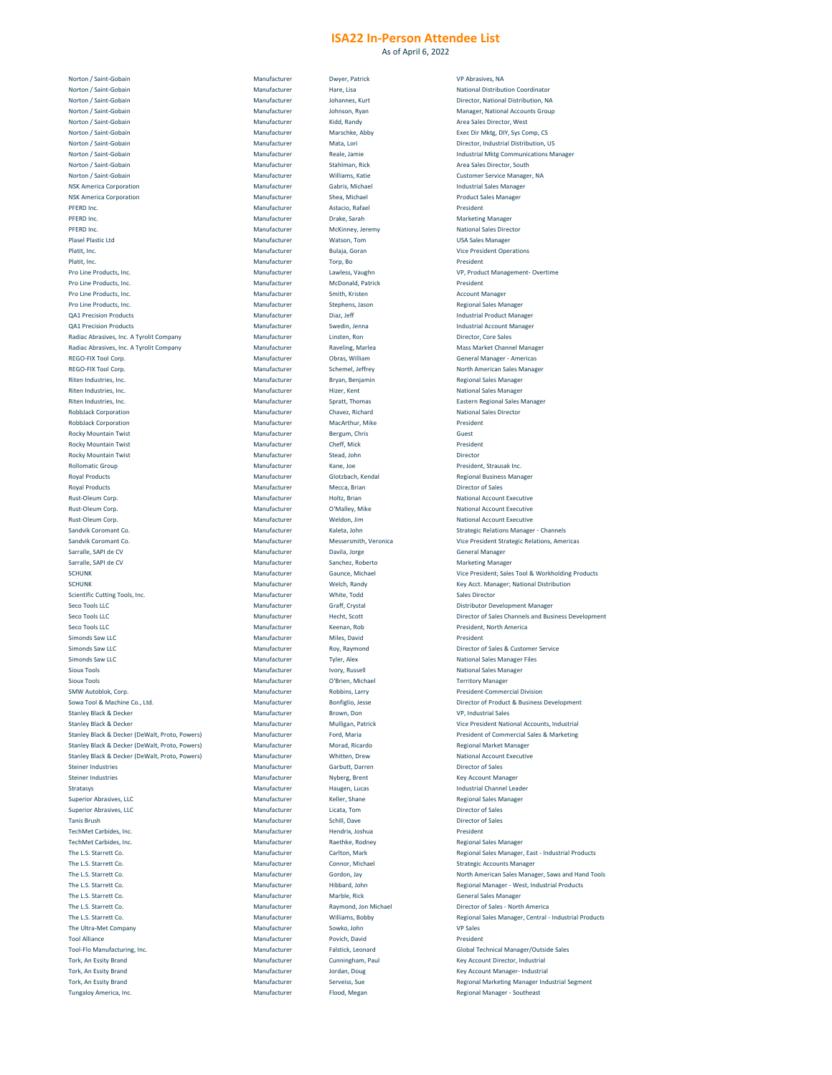As of April 6, 2022

| Norton / Saint-Gobain                          | Manufacturer | Dwyer, Patrick           | <b>VP Abrasives,</b>   |
|------------------------------------------------|--------------|--------------------------|------------------------|
|                                                |              |                          |                        |
| Norton / Saint-Gobain                          | Manufacturer | Hare, Lisa               | <b>National Distr</b>  |
| Norton / Saint-Gobain                          | Manufacturer | Johannes, Kurt           | Director, Nati         |
| Norton / Saint-Gobain                          | Manufacturer | Johnson, Ryan            | Manager, Nat           |
| Norton / Saint-Gobain                          | Manufacturer | Kidd, Randy              | <b>Area Sales Dir</b>  |
| Norton / Saint-Gobain                          | Manufacturer | Marschke, Abby           | <b>Exec Dir Mktg</b>   |
|                                                |              |                          |                        |
| Norton / Saint-Gobain                          | Manufacturer | Mata, Lori               | Director, Indu         |
| Norton / Saint-Gobain                          | Manufacturer | Reale, Jamie             | <b>Industrial Mkt</b>  |
| Norton / Saint-Gobain                          | Manufacturer | Stahlman, Rick           | <b>Area Sales Dir</b>  |
| Norton / Saint-Gobain                          | Manufacturer | Williams, Katie          | <b>Customer Ser</b>    |
|                                                |              |                          |                        |
| <b>NSK America Corporation</b>                 | Manufacturer | Gabris, Michael          | <b>Industrial Sale</b> |
| <b>NSK America Corporation</b>                 | Manufacturer | Shea, Michael            | <b>Product Sales</b>   |
| PFERD Inc.                                     | Manufacturer | Astacio, Rafael          | President              |
|                                                |              |                          |                        |
| PFERD Inc.                                     | Manufacturer | Drake, Sarah             | <b>Marketing Ma</b>    |
| PFERD Inc.                                     | Manufacturer | McKinney, Jeremy         | <b>National Sales</b>  |
| <b>Plasel Plastic Ltd</b>                      | Manufacturer | Watson, Tom              | <b>USA Sales Ma</b>    |
| Platit, Inc.                                   | Manufacturer | Bulaja, Goran            | <b>Vice Presiden</b>   |
|                                                |              |                          |                        |
| Platit, Inc.                                   | Manufacturer | Torp, Bo                 | President              |
| Pro Line Products, Inc.                        | Manufacturer | Lawless, Vaughn          | VP, Product N          |
| Pro Line Products, Inc.                        | Manufacturer | <b>McDonald, Patrick</b> | President              |
|                                                |              |                          |                        |
| Pro Line Products, Inc.                        | Manufacturer | Smith, Kristen           | <b>Account Mana</b>    |
| Pro Line Products, Inc.                        | Manufacturer | Stephens, Jason          | <b>Regional Sales</b>  |
| <b>QA1 Precision Products</b>                  | Manufacturer | Diaz, Jeff               | Industrial Pro         |
| <b>QA1 Precision Products</b>                  | Manufacturer | Swedin, Jenna            | <b>Industrial Acc</b>  |
|                                                |              |                          |                        |
| Radiac Abrasives, Inc. A Tyrolit Company       | Manufacturer | Linsten, Ron             | Director, Core         |
| Radiac Abrasives, Inc. A Tyrolit Company       | Manufacturer | Raveling, Marlea         | <b>Mass Market</b>     |
| <b>REGO-FIX Tool Corp.</b>                     | Manufacturer | Obras, William           | <b>General Mana</b>    |
| <b>REGO-FIX Tool Corp.</b>                     | Manufacturer | Schemel, Jeffrey         | <b>North Americ</b>    |
|                                                |              |                          |                        |
| Riten Industries, Inc.                         | Manufacturer | Bryan, Benjamin          | <b>Regional Sales</b>  |
| Riten Industries, Inc.                         | Manufacturer | Hizer, Kent              | <b>National Sales</b>  |
| Riten Industries, Inc.                         | Manufacturer | Spratt, Thomas           | <b>Eastern Regio</b>   |
| <b>RobbJack Corporation</b>                    | Manufacturer | Chavez, Richard          | <b>National Sales</b>  |
|                                                |              |                          |                        |
| <b>RobbJack Corporation</b>                    | Manufacturer | MacArthur, Mike          | President              |
| <b>Rocky Mountain Twist</b>                    | Manufacturer | Bergum, Chris            | Guest                  |
| <b>Rocky Mountain Twist</b>                    | Manufacturer | Cheff, Mick              | President              |
|                                                |              |                          |                        |
| <b>Rocky Mountain Twist</b>                    | Manufacturer | Stead, John              | Director               |
| <b>Rollomatic Group</b>                        | Manufacturer | Kane, Joe                | President, Str.        |
| <b>Royal Products</b>                          | Manufacturer | Glotzbach, Kendal        | <b>Regional Busil</b>  |
| <b>Royal Products</b>                          | Manufacturer | Mecca, Brian             | Director of Sa         |
|                                                |              |                          |                        |
| Rust-Oleum Corp.                               | Manufacturer | Holtz, Brian             | <b>National Acco</b>   |
| <b>Rust-Oleum Corp.</b>                        | Manufacturer | O'Malley, Mike           | <b>National Acco</b>   |
| <b>Rust-Oleum Corp.</b>                        | Manufacturer | Weldon, Jim              | <b>National Acco</b>   |
| Sandvik Coromant Co.                           | Manufacturer | Kaleta, John             | <b>Strategic Rela</b>  |
|                                                |              |                          |                        |
| Sandvik Coromant Co.                           | Manufacturer | Messersmith, Veronica    | <b>Vice Presiden</b>   |
| Sarralle, SAPI de CV                           | Manufacturer | Davila, Jorge            | <b>General Mana</b>    |
| Sarralle, SAPI de CV                           | Manufacturer | Sanchez, Roberto         | <b>Marketing Ma</b>    |
|                                                |              |                          |                        |
| <b>SCHUNK</b>                                  | Manufacturer | Gaunce, Michael          | <b>Vice Presiden</b>   |
| <b>SCHUNK</b>                                  | Manufacturer | Welch, Randy             | Key Acct. Mar          |
| <b>Scientific Cutting Tools, Inc.</b>          | Manufacturer | White, Todd              | <b>Sales Director</b>  |
| <b>Seco Tools LLC</b>                          | Manufacturer | <b>Graff, Crystal</b>    | Distributor De         |
|                                                |              |                          |                        |
| <b>Seco Tools LLC</b>                          | Manufacturer | Hecht, Scott             | Director of Sa         |
| <b>Seco Tools LLC</b>                          | Manufacturer | Keenan, Rob              | President, No          |
| Simonds Saw LLC                                | Manufacturer | Miles, David             | President              |
| Simonds Saw LLC                                | Manufacturer | Roy, Raymond             | Director of Sa         |
|                                                |              |                          |                        |
| Simonds Saw LLC                                | Manufacturer | <b>Tyler, Alex</b>       | <b>National Sales</b>  |
| <b>Sioux Tools</b>                             | Manufacturer | Ivory, Russell           | <b>National Sales</b>  |
| <b>Sioux Tools</b>                             | Manufacturer | O'Brien, Michael         | <b>Territory Man</b>   |
|                                                |              |                          |                        |
| <b>SMW Autoblok, Corp.</b>                     | Manufacturer | Robbins, Larry           | <b>President-Cor</b>   |
| Sowa Tool & Machine Co., Ltd.                  | Manufacturer | Bonfiglio, Jesse         | Director of Pr         |
| <b>Stanley Black &amp; Decker</b>              | Manufacturer | Brown, Don               | VP, Industrial         |
| <b>Stanley Black &amp; Decker</b>              | Manufacturer | Mulligan, Patrick        | <b>Vice Presiden</b>   |
|                                                |              |                          |                        |
| Stanley Black & Decker (DeWalt, Proto, Powers) | Manufacturer | Ford, Maria              | President of C         |
| Stanley Black & Decker (DeWalt, Proto, Powers) | Manufacturer | Morad, Ricardo           | <b>Regional Marl</b>   |
| Stanley Black & Decker (DeWalt, Proto, Powers) | Manufacturer | Whitten, Drew            | <b>National Acco</b>   |
| <b>Steiner Industries</b>                      | Manufacturer | Garbutt, Darren          | Director of Sa         |
|                                                |              |                          |                        |
| <b>Steiner Industries</b>                      | Manufacturer | Nyberg, Brent            | <b>Key Account N</b>   |
| Stratasys                                      | Manufacturer | Haugen, Lucas            | <b>Industrial Cha</b>  |
| <b>Superior Abrasives, LLC</b>                 | Manufacturer | Keller, Shane            | <b>Regional Sales</b>  |
| <b>Superior Abrasives, LLC</b>                 | Manufacturer | Licata, Tom              | Director of Sa         |
|                                                |              |                          |                        |
| <b>Tanis Brush</b>                             | Manufacturer | Schill, Dave             | Director of Sa         |
| TechMet Carbides, Inc.                         | Manufacturer | Hendrix, Joshua          | President              |
| TechMet Carbides, Inc.                         | Manufacturer | Raethke, Rodney          | <b>Regional Sales</b>  |
| The L.S. Starrett Co.                          | Manufacturer | Carlton, Mark            | <b>Regional Sales</b>  |
|                                                |              |                          |                        |
| The L.S. Starrett Co.                          | Manufacturer | Connor, Michael          | <b>Strategic Accc</b>  |
| The L.S. Starrett Co.                          | Manufacturer | Gordon, Jay              | <b>North Americ</b>    |
| The L.S. Starrett Co.                          | Manufacturer | Hibbard, John            | <b>Regional Man</b>    |
|                                                |              |                          |                        |
| The L.S. Starrett Co.                          | Manufacturer | Marble, Rick             | <b>General Sales</b>   |
| The L.S. Starrett Co.                          | Manufacturer | Raymond, Jon Michael     | Director of Sa         |
| The L.S. Starrett Co.                          | Manufacturer | Williams, Bobby          | <b>Regional Sales</b>  |
| The Ultra-Met Company                          |              |                          | <b>VP Sales</b>        |
|                                                |              |                          |                        |
|                                                | Manufacturer | Sowko, John              |                        |
| <b>Tool Alliance</b>                           | Manufacturer | Povich, David            | President              |
| Tool-Flo Manufacturing, Inc.                   | Manufacturer | <b>Falstick, Leonard</b> | <b>Global Techni</b>   |
| Tork, An Essity Brand                          | Manufacturer | Cunningham, Paul         | <b>Key Account I</b>   |
|                                                |              |                          |                        |
| Tork, An Essity Brand                          | Manufacturer | Jordan, Doug             | <b>Key Account N</b>   |
| Tork, An Essity Brand                          | Manufacturer | Serveiss, Sue            | <b>Regional Marl</b>   |
| Tungaloy America, Inc.                         | Manufacturer | Flood, Megan             | <b>Regional Man</b>    |

| $\mathsf{r}$ | Dwyer, Patrick       |
|--------------|----------------------|
| $\mathsf{r}$ | Hare, Lisa           |
| $\mathsf{r}$ | Johannes, Kurt       |
| r            | Johnson, Ryan        |
| $\mathsf{r}$ | Kidd, Randy          |
| r            | Marschke, Abk        |
| $\mathsf{r}$ | Mata, Lori           |
| r            | Reale, Jamie         |
| $\mathsf{r}$ | Stahlman, Rick       |
| r            | Williams, Katie      |
| $\mathbf{r}$ | Gabris, Michae       |
| $\mathsf{r}$ | Shea, Michael        |
| r            | Astacio, Rafael      |
| $\mathsf{r}$ | Drake, Sarah         |
| r            | McKinney, Jer        |
| $\mathsf{r}$ | Watson, Tom          |
|              | <b>Bulaja, Goran</b> |
|              | Torp, Bo             |

Robert 1. Saint-Gobain Manufacturer Dwy Abrasives, NA **National Distribution Coordinator** rt **Norton Contacturer Internation Manufacturer Director, National Distribution, NA** Manager, National Accounts Group Area Sales Director, West by Exec Dir Mktg, DIY, Sys Comp, CS Director, Industrial Distribution, US Industrial Mktg Communications Manager Norton Area Sales Director, South Customer Service Manager, NA el **NSK America Corporation Manufacturer Gabris**, Industrial Sales Manager Product Sales Manager Marketing Manager PFERD Inc. Mational Sales Director USA Sales Manager **Vice President Operations** VP, Product Management- Overtime<sup>/</sup> VP, Product Management- Overtime Industrial Product Manager Varlea **Manufactures, Inc. A Tyrolit Company Manufacturer Channel Manager** Manufacturer Raveling, Manufacturer R liam General Manager - Americas Veffrey **North American Sales Manager** North American Sales Manager **National Sales Manager Rite Industries, Inc. Manufacturer Sprattern Regional Sales Manager** President, Strausak Inc. **National Account Executive** in Strategic Relations Manager - Channels nith, Veronica **Sandwich Coromant Co. Manufacturer Messersmith**, Veronica Vice President Strategic Relations, Americas ge General Manager Roberto **Marketing Manager** Aichael Vice President; Sales Tool & Workholding Products ndy Key Acct. Manager; National Distribution Transied Manufacturer Critical Distributor Development Manager Director of Sales Channels and Business Development ob President, North America School Manufacturer Director of Sales & Customer Service **National Sales Manager Files** sell **National Sales Manager** National Sales Manager Iichael Territory Manager Supersident-Commercial Division Jesse **Source Co., Lesse Engine Co., Ltd. Manufacturer Bonacier Bonacists** Development VP, Industrial Sales Patrick **Black Accounts** Vice President National Accounts, Industrial President of Commercial Sales & Marketing cardo **Black Black Black Black Black Black Black Annufacturer Manager** Regional Market Manager **Stand Black Black Black Black Black Black Black Black Black Black Black Black Black Black Black Black Black Black Black Black Black Black Black Black Black Black Black Black Black Black Black Black Black Black Black Black** Steiner Industries Manufacturer Director of Sales Frent Industries Manufacturer Ney Account Manager ucas **Industrial Channel Leader** ane Superior Abraham Regional Sales Manager Director of Sales Director of Sales Rodney **Tech Carbides Regional Sales Manager** Regional Sales Manager Iark Manufacturer Co. Starrett Co. Manufacturer Carlie Regional Sales Manager, East - Industrial Products ichael Strategic Accounts Manager North American Sales Manager, Saws and Hand Tools Iohn **The Learn Co. Starrett Co. Starrett Co. Manufacturer Hibbard, John Regional Manager - West, Industrial Products** The L.S. Starrett Co. Starrett Co. Starrett Co. Manufacturer General Sales Manager The L.S. Starrett Co. Starrett Co. Starrett Co. Manufacturer R. Starrett Co. 2011 N.M. Starrett Co. 2014. The L.S. Starrett Co. 2014. The L.S. Starrett Co. 2014. The L.S. Starrett Co. 2014. The L.S. Starrett Co. 2014. The Regional Sales Manager, Central - Industrial Products eonard Global Technical Manager/Outside Sales am, Paul Key Account Director, Industrial **The Essimus Essimus Example 12 November 15 November 10 November 10 November 2016** ue<br>Regional Marketing Manager Industrial Segment gan **Iungalow America, Inc. Manufacturer Flood, Manufacturer Flood, Manufacturer Flood, Megan Regional Manager - Southeast** 

Pro Line 2018 Manufacturer Sten **Products, Inc. Manufacturer Stephens, Inc. Manufacturer Stephens, Inc. And Sales Manufacturer Stephens, Inc. A** QA1 Precision Products Manufacturer Swedin, Jenna Industrial Account Manager **Radiac Abrahabrasive Company Manufacturer Core Sales** njamin **Industries, Inc. Manufacturer Bryan, Inc. Manufacturer Bryan, Bryan, Bryan, Bryan, Bryan, Bryan, Bryan, B Chard** Chard Chard Chard Chard National Sales Director Regional Business Manager Regional Business Manager rian **Products Manufacturer Mechanism** Director of Sales **Mike** Mational Account Executive m Mational Account Executive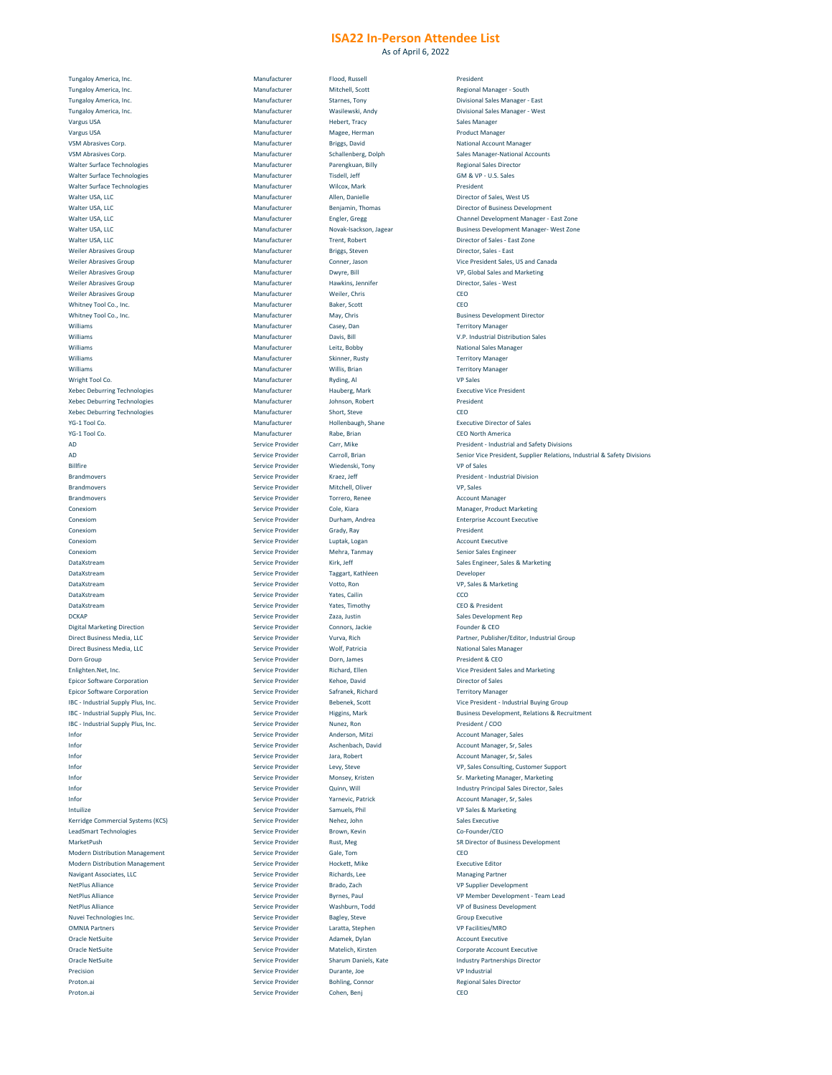As of April 6, 2022

| Tungaloy America, Inc.                                                                                                                                                                                                                                                                                                                                                                                                                                               | Manufacturer            | Flood, Russell              | President                                                                                                                                                                                                                                 |
|----------------------------------------------------------------------------------------------------------------------------------------------------------------------------------------------------------------------------------------------------------------------------------------------------------------------------------------------------------------------------------------------------------------------------------------------------------------------|-------------------------|-----------------------------|-------------------------------------------------------------------------------------------------------------------------------------------------------------------------------------------------------------------------------------------|
| Tungaloy America, Inc.                                                                                                                                                                                                                                                                                                                                                                                                                                               | Manufacturer            | Mitchell, Scott             | <b>Regional Mana</b>                                                                                                                                                                                                                      |
| Tungaloy America, Inc.                                                                                                                                                                                                                                                                                                                                                                                                                                               | Manufacturer            | <b>Starnes, Tony</b>        | <b>Divisional Sales</b>                                                                                                                                                                                                                   |
|                                                                                                                                                                                                                                                                                                                                                                                                                                                                      |                         |                             |                                                                                                                                                                                                                                           |
| Tungaloy America, Inc.                                                                                                                                                                                                                                                                                                                                                                                                                                               | Manufacturer            | Wasilewski, Andy            | <b>Divisional Sales</b>                                                                                                                                                                                                                   |
| <b>Vargus USA</b>                                                                                                                                                                                                                                                                                                                                                                                                                                                    | Manufacturer            | Hebert, Tracy               | <b>Sales Manager</b>                                                                                                                                                                                                                      |
| <b>Vargus USA</b>                                                                                                                                                                                                                                                                                                                                                                                                                                                    | Manufacturer            | Magee, Herman               | <b>Product Manag</b>                                                                                                                                                                                                                      |
| <b>VSM Abrasives Corp.</b>                                                                                                                                                                                                                                                                                                                                                                                                                                           | Manufacturer            | <b>Briggs, David</b>        | <b>National Accou</b>                                                                                                                                                                                                                     |
| <b>VSM Abrasives Corp.</b>                                                                                                                                                                                                                                                                                                                                                                                                                                           | Manufacturer            | Schallenberg, Dolph         | <b>Sales Manager-</b>                                                                                                                                                                                                                     |
|                                                                                                                                                                                                                                                                                                                                                                                                                                                                      |                         |                             |                                                                                                                                                                                                                                           |
| <b>Walter Surface Technologies</b>                                                                                                                                                                                                                                                                                                                                                                                                                                   | Manufacturer            | Parengkuan, Billy           | <b>Regional Sales</b>                                                                                                                                                                                                                     |
| <b>Walter Surface Technologies</b>                                                                                                                                                                                                                                                                                                                                                                                                                                   | Manufacturer            | Tisdell, Jeff               | <b>GM &amp; VP - U.S.</b>                                                                                                                                                                                                                 |
| <b>Walter Surface Technologies</b>                                                                                                                                                                                                                                                                                                                                                                                                                                   | Manufacturer            | Wilcox, Mark                | President                                                                                                                                                                                                                                 |
|                                                                                                                                                                                                                                                                                                                                                                                                                                                                      |                         |                             |                                                                                                                                                                                                                                           |
| Walter USA, LLC                                                                                                                                                                                                                                                                                                                                                                                                                                                      | Manufacturer            | Allen, Danielle             | <b>Director of Sale</b>                                                                                                                                                                                                                   |
| Walter USA, LLC                                                                                                                                                                                                                                                                                                                                                                                                                                                      | Manufacturer            | Benjamin, Thomas            | <b>Director of Bus</b>                                                                                                                                                                                                                    |
| Walter USA, LLC                                                                                                                                                                                                                                                                                                                                                                                                                                                      | Manufacturer            | Engler, Gregg               | <b>Channel Develo</b>                                                                                                                                                                                                                     |
| Walter USA, LLC                                                                                                                                                                                                                                                                                                                                                                                                                                                      | Manufacturer            | Novak-Isackson, Jagear      | <b>Business Develo</b>                                                                                                                                                                                                                    |
|                                                                                                                                                                                                                                                                                                                                                                                                                                                                      |                         |                             |                                                                                                                                                                                                                                           |
| Walter USA, LLC                                                                                                                                                                                                                                                                                                                                                                                                                                                      | Manufacturer            | <b>Trent, Robert</b>        | <b>Director of Sale</b>                                                                                                                                                                                                                   |
| <b>Weiler Abrasives Group</b>                                                                                                                                                                                                                                                                                                                                                                                                                                        | Manufacturer            | <b>Briggs, Steven</b>       | Director, Sales                                                                                                                                                                                                                           |
| <b>Weiler Abrasives Group</b>                                                                                                                                                                                                                                                                                                                                                                                                                                        | Manufacturer            | Conner, Jason               | <b>Vice President</b>                                                                                                                                                                                                                     |
| <b>Weiler Abrasives Group</b>                                                                                                                                                                                                                                                                                                                                                                                                                                        | Manufacturer            | Dwyre, Bill                 | VP, Global Sale                                                                                                                                                                                                                           |
|                                                                                                                                                                                                                                                                                                                                                                                                                                                                      |                         |                             |                                                                                                                                                                                                                                           |
| <b>Weiler Abrasives Group</b>                                                                                                                                                                                                                                                                                                                                                                                                                                        | Manufacturer            | Hawkins, Jennifer           | Director, Sales                                                                                                                                                                                                                           |
| <b>Weiler Abrasives Group</b>                                                                                                                                                                                                                                                                                                                                                                                                                                        | Manufacturer            | Weiler, Chris               | <b>CEO</b>                                                                                                                                                                                                                                |
| Whitney Tool Co., Inc.                                                                                                                                                                                                                                                                                                                                                                                                                                               | Manufacturer            | <b>Baker, Scott</b>         | CEO                                                                                                                                                                                                                                       |
|                                                                                                                                                                                                                                                                                                                                                                                                                                                                      |                         |                             |                                                                                                                                                                                                                                           |
| Whitney Tool Co., Inc.                                                                                                                                                                                                                                                                                                                                                                                                                                               | Manufacturer            | May, Chris                  | <b>Business Develo</b>                                                                                                                                                                                                                    |
| Williams                                                                                                                                                                                                                                                                                                                                                                                                                                                             | Manufacturer            | Casey, Dan                  | <b>Territory Mana</b>                                                                                                                                                                                                                     |
| Williams                                                                                                                                                                                                                                                                                                                                                                                                                                                             | Manufacturer            | Davis, Bill                 | V.P. Industrial I                                                                                                                                                                                                                         |
| Williams                                                                                                                                                                                                                                                                                                                                                                                                                                                             | Manufacturer            | Leitz, Bobby                | <b>National Sales I</b>                                                                                                                                                                                                                   |
|                                                                                                                                                                                                                                                                                                                                                                                                                                                                      |                         |                             |                                                                                                                                                                                                                                           |
| Williams                                                                                                                                                                                                                                                                                                                                                                                                                                                             | Manufacturer            | <b>Skinner, Rusty</b>       | <b>Territory Mana</b>                                                                                                                                                                                                                     |
| Williams                                                                                                                                                                                                                                                                                                                                                                                                                                                             | Manufacturer            | Willis, Brian               | <b>Territory Mana</b>                                                                                                                                                                                                                     |
| Wright Tool Co.                                                                                                                                                                                                                                                                                                                                                                                                                                                      | Manufacturer            | Ryding, Al                  | <b>VP Sales</b>                                                                                                                                                                                                                           |
|                                                                                                                                                                                                                                                                                                                                                                                                                                                                      |                         |                             |                                                                                                                                                                                                                                           |
| <b>Xebec Deburring Technologies</b>                                                                                                                                                                                                                                                                                                                                                                                                                                  | Manufacturer            | Hauberg, Mark               | <b>Executive Vice</b>                                                                                                                                                                                                                     |
| <b>Xebec Deburring Technologies</b>                                                                                                                                                                                                                                                                                                                                                                                                                                  | Manufacturer            | Johnson, Robert             | President                                                                                                                                                                                                                                 |
| <b>Xebec Deburring Technologies</b>                                                                                                                                                                                                                                                                                                                                                                                                                                  | Manufacturer            | Short, Steve                | <b>CEO</b>                                                                                                                                                                                                                                |
|                                                                                                                                                                                                                                                                                                                                                                                                                                                                      |                         |                             |                                                                                                                                                                                                                                           |
| YG-1 Tool Co.                                                                                                                                                                                                                                                                                                                                                                                                                                                        | Manufacturer            | Hollenbaugh, Shane          | <b>Executive Dired</b>                                                                                                                                                                                                                    |
| YG-1 Tool Co.                                                                                                                                                                                                                                                                                                                                                                                                                                                        | Manufacturer            | Rabe, Brian                 | <b>CEO North Ame</b>                                                                                                                                                                                                                      |
| AD                                                                                                                                                                                                                                                                                                                                                                                                                                                                   | <b>Service Provider</b> | Carr, Mike                  | President - Indi                                                                                                                                                                                                                          |
|                                                                                                                                                                                                                                                                                                                                                                                                                                                                      |                         |                             |                                                                                                                                                                                                                                           |
| <b>AD</b>                                                                                                                                                                                                                                                                                                                                                                                                                                                            | <b>Service Provider</b> | Carroll, Brian              | <b>Senior Vice Pre</b>                                                                                                                                                                                                                    |
| <b>Billfire</b>                                                                                                                                                                                                                                                                                                                                                                                                                                                      | <b>Service Provider</b> | Wiedenski, Tony             | <b>VP of Sales</b>                                                                                                                                                                                                                        |
| <b>Brandmovers</b>                                                                                                                                                                                                                                                                                                                                                                                                                                                   | <b>Service Provider</b> | Kraez, Jeff                 | President - Indi                                                                                                                                                                                                                          |
|                                                                                                                                                                                                                                                                                                                                                                                                                                                                      |                         |                             |                                                                                                                                                                                                                                           |
| <b>Brandmovers</b>                                                                                                                                                                                                                                                                                                                                                                                                                                                   | <b>Service Provider</b> | Mitchell, Oliver            | VP, Sales                                                                                                                                                                                                                                 |
| <b>Brandmovers</b>                                                                                                                                                                                                                                                                                                                                                                                                                                                   | <b>Service Provider</b> | Torrero, Renee              | <b>Account Manag</b>                                                                                                                                                                                                                      |
| Conexiom                                                                                                                                                                                                                                                                                                                                                                                                                                                             | <b>Service Provider</b> | Cole, Kiara                 | Manager, Prod                                                                                                                                                                                                                             |
| Conexiom                                                                                                                                                                                                                                                                                                                                                                                                                                                             | <b>Service Provider</b> | Durham, Andrea              |                                                                                                                                                                                                                                           |
|                                                                                                                                                                                                                                                                                                                                                                                                                                                                      |                         |                             | <b>Enterprise Acco</b>                                                                                                                                                                                                                    |
| Conexiom                                                                                                                                                                                                                                                                                                                                                                                                                                                             | Service Provider        | Grady, Ray                  | President                                                                                                                                                                                                                                 |
| Conexiom                                                                                                                                                                                                                                                                                                                                                                                                                                                             | <b>Service Provider</b> | Luptak, Logan               | <b>Account Execut</b>                                                                                                                                                                                                                     |
| Conexiom                                                                                                                                                                                                                                                                                                                                                                                                                                                             | <b>Service Provider</b> | Mehra, Tanmay               | <b>Senior Sales En</b>                                                                                                                                                                                                                    |
|                                                                                                                                                                                                                                                                                                                                                                                                                                                                      |                         |                             |                                                                                                                                                                                                                                           |
| DataXstream                                                                                                                                                                                                                                                                                                                                                                                                                                                          | <b>Service Provider</b> | Kirk, Jeff                  | <b>Sales Engineer,</b>                                                                                                                                                                                                                    |
| DataXstream                                                                                                                                                                                                                                                                                                                                                                                                                                                          | <b>Service Provider</b> | Taggart, Kathleen           | Developer                                                                                                                                                                                                                                 |
| DataXstream                                                                                                                                                                                                                                                                                                                                                                                                                                                          | <b>Service Provider</b> | Votto, Ron                  | VP, Sales & Ma                                                                                                                                                                                                                            |
|                                                                                                                                                                                                                                                                                                                                                                                                                                                                      |                         |                             |                                                                                                                                                                                                                                           |
| DataXstream                                                                                                                                                                                                                                                                                                                                                                                                                                                          | <b>Service Provider</b> | Yates, Cailin               | CCO                                                                                                                                                                                                                                       |
| DataXstream                                                                                                                                                                                                                                                                                                                                                                                                                                                          | <b>Service Provider</b> | Yates, Timothy              | <b>CEO &amp; Presider</b>                                                                                                                                                                                                                 |
| <b>DCKAP</b>                                                                                                                                                                                                                                                                                                                                                                                                                                                         | <b>Service Provider</b> | Zaza, Justin                | <b>Sales Developm</b>                                                                                                                                                                                                                     |
|                                                                                                                                                                                                                                                                                                                                                                                                                                                                      |                         |                             |                                                                                                                                                                                                                                           |
| <b>Digital Marketing Direction</b>                                                                                                                                                                                                                                                                                                                                                                                                                                   | <b>Service Provider</b> | Connors, Jackie             | Founder & CEO                                                                                                                                                                                                                             |
| Direct Business Media, LLC                                                                                                                                                                                                                                                                                                                                                                                                                                           | <b>Service Provider</b> | Vurva, Rich                 | Partner, Publisl                                                                                                                                                                                                                          |
| Direct Business Media, LLC                                                                                                                                                                                                                                                                                                                                                                                                                                           | <b>Service Provider</b> | <b>Wolf, Patricia</b>       | <b>National Sales I</b>                                                                                                                                                                                                                   |
|                                                                                                                                                                                                                                                                                                                                                                                                                                                                      |                         |                             |                                                                                                                                                                                                                                           |
| Dorn Group                                                                                                                                                                                                                                                                                                                                                                                                                                                           | Service Provider        | Dorn, James                 | President & CE                                                                                                                                                                                                                            |
| Enlighten. Net, Inc.                                                                                                                                                                                                                                                                                                                                                                                                                                                 | <b>Service Provider</b> | <b>Richard, Ellen</b>       | <b>Vice President</b>                                                                                                                                                                                                                     |
| <b>Epicor Software Corporation</b>                                                                                                                                                                                                                                                                                                                                                                                                                                   | <b>Service Provider</b> | Kehoe, David                | <b>Director of Sale</b>                                                                                                                                                                                                                   |
|                                                                                                                                                                                                                                                                                                                                                                                                                                                                      |                         |                             |                                                                                                                                                                                                                                           |
| <b>Epicor Software Corporation</b>                                                                                                                                                                                                                                                                                                                                                                                                                                   | <b>Service Provider</b> | Safranek, Richard           | <b>Territory Mana</b>                                                                                                                                                                                                                     |
| IBC - Industrial Supply Plus, Inc.                                                                                                                                                                                                                                                                                                                                                                                                                                   | <b>Service Provider</b> | Bebenek, Scott              | <b>Vice President</b>                                                                                                                                                                                                                     |
| IBC - Industrial Supply Plus, Inc.                                                                                                                                                                                                                                                                                                                                                                                                                                   | <b>Service Provider</b> | Higgins, Mark               | <b>Business Develo</b>                                                                                                                                                                                                                    |
| IBC - Industrial Supply Plus, Inc.                                                                                                                                                                                                                                                                                                                                                                                                                                   | <b>Service Provider</b> | Nunez, Ron                  | President / CO                                                                                                                                                                                                                            |
|                                                                                                                                                                                                                                                                                                                                                                                                                                                                      |                         |                             |                                                                                                                                                                                                                                           |
| Infor                                                                                                                                                                                                                                                                                                                                                                                                                                                                | <b>Service Provider</b> | Anderson, Mitzi             | <b>Account Manag</b>                                                                                                                                                                                                                      |
| Infor                                                                                                                                                                                                                                                                                                                                                                                                                                                                | <b>Service Provider</b> | Aschenbach, David           | <b>Account Manag</b>                                                                                                                                                                                                                      |
| Infor                                                                                                                                                                                                                                                                                                                                                                                                                                                                | <b>Service Provider</b> | Jara, Robert                | <b>Account Manag</b>                                                                                                                                                                                                                      |
|                                                                                                                                                                                                                                                                                                                                                                                                                                                                      |                         |                             |                                                                                                                                                                                                                                           |
| Infor                                                                                                                                                                                                                                                                                                                                                                                                                                                                | <b>Service Provider</b> | Levy, Steve                 | <b>VP, Sales Consu</b>                                                                                                                                                                                                                    |
| Infor                                                                                                                                                                                                                                                                                                                                                                                                                                                                | <b>Service Provider</b> | Monsey, Kristen             | <b>Sr. Marketing N</b>                                                                                                                                                                                                                    |
|                                                                                                                                                                                                                                                                                                                                                                                                                                                                      |                         | Quinn, Will                 | <b>Industry Princip</b>                                                                                                                                                                                                                   |
|                                                                                                                                                                                                                                                                                                                                                                                                                                                                      | <b>Service Provider</b> |                             |                                                                                                                                                                                                                                           |
|                                                                                                                                                                                                                                                                                                                                                                                                                                                                      |                         |                             |                                                                                                                                                                                                                                           |
|                                                                                                                                                                                                                                                                                                                                                                                                                                                                      | <b>Service Provider</b> | Yarnevic, Patrick           |                                                                                                                                                                                                                                           |
|                                                                                                                                                                                                                                                                                                                                                                                                                                                                      | <b>Service Provider</b> | Samuels, Phil               |                                                                                                                                                                                                                                           |
|                                                                                                                                                                                                                                                                                                                                                                                                                                                                      | <b>Service Provider</b> | Nehez, John                 |                                                                                                                                                                                                                                           |
|                                                                                                                                                                                                                                                                                                                                                                                                                                                                      |                         |                             |                                                                                                                                                                                                                                           |
|                                                                                                                                                                                                                                                                                                                                                                                                                                                                      | <b>Service Provider</b> | Brown, Kevin                |                                                                                                                                                                                                                                           |
|                                                                                                                                                                                                                                                                                                                                                                                                                                                                      | <b>Service Provider</b> | Rust, Meg                   |                                                                                                                                                                                                                                           |
|                                                                                                                                                                                                                                                                                                                                                                                                                                                                      |                         |                             |                                                                                                                                                                                                                                           |
|                                                                                                                                                                                                                                                                                                                                                                                                                                                                      | <b>Service Provider</b> | Gale, Tom                   | CEO                                                                                                                                                                                                                                       |
|                                                                                                                                                                                                                                                                                                                                                                                                                                                                      | <b>Service Provider</b> | Hockett, Mike               |                                                                                                                                                                                                                                           |
|                                                                                                                                                                                                                                                                                                                                                                                                                                                                      | <b>Service Provider</b> | Richards, Lee               |                                                                                                                                                                                                                                           |
|                                                                                                                                                                                                                                                                                                                                                                                                                                                                      |                         |                             |                                                                                                                                                                                                                                           |
|                                                                                                                                                                                                                                                                                                                                                                                                                                                                      | <b>Service Provider</b> | Brado, Zach                 |                                                                                                                                                                                                                                           |
|                                                                                                                                                                                                                                                                                                                                                                                                                                                                      | <b>Service Provider</b> | <b>Byrnes, Paul</b>         |                                                                                                                                                                                                                                           |
|                                                                                                                                                                                                                                                                                                                                                                                                                                                                      | <b>Service Provider</b> | Washburn, Todd              |                                                                                                                                                                                                                                           |
|                                                                                                                                                                                                                                                                                                                                                                                                                                                                      |                         |                             | <b>Account Manag</b><br>VP Sales & Mar<br><b>Sales Executive</b><br>Co-Founder/CE<br><b>SR Director of E</b><br><b>Executive Editc</b><br><b>Managing Partr</b><br><b>VP Supplier Det</b><br><b>VP Member De</b><br><b>VP of Business</b> |
|                                                                                                                                                                                                                                                                                                                                                                                                                                                                      | <b>Service Provider</b> | <b>Bagley, Steve</b>        | <b>Group Executiv</b>                                                                                                                                                                                                                     |
|                                                                                                                                                                                                                                                                                                                                                                                                                                                                      | <b>Service Provider</b> | Laratta, Stephen            | <b>VP Facilities/M</b>                                                                                                                                                                                                                    |
|                                                                                                                                                                                                                                                                                                                                                                                                                                                                      | <b>Service Provider</b> | Adamek, Dylan               | <b>Account Execut</b>                                                                                                                                                                                                                     |
|                                                                                                                                                                                                                                                                                                                                                                                                                                                                      |                         |                             |                                                                                                                                                                                                                                           |
|                                                                                                                                                                                                                                                                                                                                                                                                                                                                      | <b>Service Provider</b> | Matelich, Kirsten           | <b>Corporate Acco</b>                                                                                                                                                                                                                     |
|                                                                                                                                                                                                                                                                                                                                                                                                                                                                      | <b>Service Provider</b> | <b>Sharum Daniels, Kate</b> | <b>Industry Partne</b>                                                                                                                                                                                                                    |
| Infor<br>Infor<br>Intuilize<br>Kerridge Commercial Systems (KCS)<br><b>LeadSmart Technologies</b><br>MarketPush<br><b>Modern Distribution Management</b><br><b>Modern Distribution Management</b><br><b>Navigant Associates, LLC</b><br><b>NetPlus Alliance</b><br><b>NetPlus Alliance</b><br><b>NetPlus Alliance</b><br>Nuvei Technologies Inc.<br><b>OMNIA Partners</b><br><b>Oracle NetSuite</b><br><b>Oracle NetSuite</b><br><b>Oracle NetSuite</b><br>Precision | <b>Service Provider</b> | Durante, Joe                | <b>VP Industrial</b>                                                                                                                                                                                                                      |
| Proton.ai                                                                                                                                                                                                                                                                                                                                                                                                                                                            | <b>Service Provider</b> |                             |                                                                                                                                                                                                                                           |
|                                                                                                                                                                                                                                                                                                                                                                                                                                                                      |                         | <b>Bohling, Connor</b>      |                                                                                                                                                                                                                                           |
| Proton.ai                                                                                                                                                                                                                                                                                                                                                                                                                                                            | <b>Service Provider</b> | Cohen, Benj                 | <b>Regional Sales</b><br><b>CEO</b>                                                                                                                                                                                                       |

Regional Manager - South Divisional Sales Manager - East Divisional Sales Manager - West Product Manager **National Account Manager** Sales Manager-National Accounts Regional Sales Director GM & VP - U.S. Sales Director of Sales, West US Director of Business Development Channel Development Manager - East Zone Business Development Manager- West Zone Director of Sales - East Zone Director, Sales - East Vice President Sales, US and Canada VP, Global Sales and Marketing Director, Sales - West Business Development Director Territory Manager V.P. Industrial Distribution Sales National Sales Manager Territory Manager Territory Manager Executive Vice President **Executive Director of Sales** CEO North America President - Industrial and Safety Divisions Senior Vice President, Supplier Relations, Industrial & Safety Divisions **President - Industrial Division** Account Manager Manager, Product Marketing Enterprise Account Executive Account Executive Senior Sales Engineer Sales Engineer, Sales & Marketing VP, Sales & Marketing CEO & President Sales Development Rep Founder & CEO Partner, Publisher/Editor, Industrial Group **National Sales Manager** President & CEO Vice President Sales and Marketing Director of Sales Territory Manager Vice President - Industrial Buying Group Business Development, Relations & Recruitment President / COO Account Manager, Sales Account Manager, Sr, Sales Account Manager, Sr, Sales VP, Sales Consulting, Customer Support **Sr. Marketing Manager, Marketing** Industry Principal Sales Director, Sales Account Manager, Sr, Sales VP Sales & Marketing Co-Founder/CEO SR Director of Business Development **Executive Editor** Managing Partner VP Supplier Development VP Member Development - Team Lead VP of Business Development **Group Executive** VP Facilities/MRO Account Executive Corporate Account Executive Industry Partnerships Director Regional Sales Director